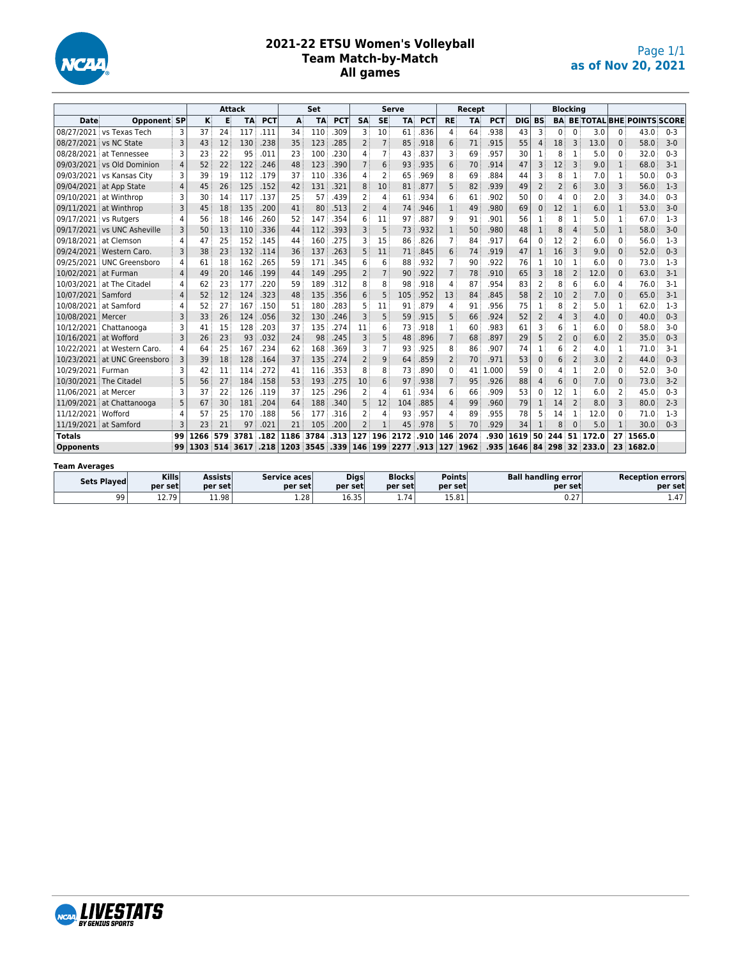

#### **2021-22 ETSU Women's Volleyball Team Match-by-Match All games**

|                         |                              |                | Attack |     |      |            |           | Set       |            |                |                 | <b>Serve</b> |            |                | Recept    |            |                  |                |                | <b>Blocking</b> |          |                |                                  |         |
|-------------------------|------------------------------|----------------|--------|-----|------|------------|-----------|-----------|------------|----------------|-----------------|--------------|------------|----------------|-----------|------------|------------------|----------------|----------------|-----------------|----------|----------------|----------------------------------|---------|
| <b>Date</b>             | Opponent SP                  |                | κ      | E   | TA   | <b>PCT</b> | A         | <b>TA</b> | <b>PCT</b> | <b>SA</b>      | <b>SE</b>       | <b>TA</b>    | <b>PCT</b> | <b>RE</b>      | <b>TA</b> | <b>PCT</b> | DIG              | <b>BS</b>      | <b>BA</b>      |                 |          |                | <b>BE TOTAL BHE POINTS SCORE</b> |         |
|                         | 08/27/2021 vs Texas Tech     | 3              | 37     | 24  | 117  | .111       | 34        | 110       | .309       | 3              | 10              | 61           | .836       | 4              | 64        | .938       | 43               | 3              | $\Omega$       | $\Omega$        | 3.0      | 0              | 43.0                             | $0 - 3$ |
| 08/27/2021 vs NC State  |                              | 3              | 43     | 12  | 130  | .238       | 35        | 123       | .285       | $\overline{2}$ | $\overline{7}$  | 85           | .918       | 6              | 71        | .915       | 55               | $\overline{4}$ | 18             | 3               | 13.0     | $\Omega$       | 58.0                             | $3-0$   |
|                         | 08/28/2021 at Tennessee      | 3              | 23     | 22  | 95   | .011       | 23        | 100       | .230       | 4              | $7\overline{ }$ | 43           | .837       | 3              | 69        | .957       | 30               | 1              | 8              | $\mathbf{1}$    | 5.0      | 0              | 32.0                             | $0 - 3$ |
|                         | 09/03/2021 vs Old Dominion   | $\overline{4}$ | 52     | 22  | 122  | .246       | 48        | 123       | .390       | $\overline{7}$ | 6               | 93           | .935       | 6              | 70        | .914       | 47               | 3              | 12             | 3               | 9.0      | $\mathbf{1}$   | 68.0                             | $3-1$   |
|                         | 09/03/2021 vs Kansas City    | 3              | 39     | 19  | 112  | .179       | 37        | 110       | .336       | 4              | $\overline{2}$  | 65           | .969       | 8              | 69        | .884       | 44               | 3              | 8              | 1               | 7.0      | 1              | 50.0                             | $0 - 3$ |
| 09/04/2021 at App State |                              | $\overline{4}$ | 45     | 26  | 125  | .152       | 42        | 131       | .321       | 8              | 10              | 81           | .877       | 5              | 82        | .939       | 49               | $\overline{2}$ | 2              | 6               | 3.0      | 3              | 56.0                             | $1-3$   |
| 09/10/2021 at Winthrop  |                              | 3              | 30     | 14  | 117  | .137       | 25        | 57        | .439       | 2              | 4               | 61           | .934       | 6              | 61        | .902       | 50               | 0              | 4              | $\Omega$        | 2.0      | 3              | 34.0                             | $0 - 3$ |
| 09/11/2021 at Winthrop  |                              | 3              | 45     | 18  | 135  | .200       | 41        | 80        | .513       | $\overline{2}$ | $\overline{4}$  | 74           | .946       | $\mathbf{1}$   | 49        | .980       | 69               | $\mathbf 0$    | 12             | 1               | 6.0      | $\mathbf{1}$   | 53.0                             | $3-0$   |
| 09/17/2021 vs Rutgers   |                              | 4              | 56     | 18  | 146  | .260       | 52        | 147       | .354       | 6              | 11              | 97           | .887       | 9              | 91        | .901       | 56               | 1              | 8              | 1               | 5.0      | 1              | 67.0                             | $1-3$   |
|                         | 09/17/2021 vs UNC Asheville  | 3              | 50     | 13  | 110  | .336       | 44        | 112       | .393       | 3              | 5               | 73           | .932       | $\mathbf{1}$   | 50        | .980       | 48               | $\mathbf 1$    | 8              | $\overline{4}$  | 5.0      | $\mathbf{1}$   | 58.0                             | $3 - 0$ |
| 09/18/2021 at Clemson   |                              | 4              | 47     | 25  | 152  | .145       | 44        | 160       | .275       | 3              | 15              | 86           | .826       | $\overline{7}$ | 84        | .917       | 64               | 0              | 12             | $\overline{2}$  | 6.0      | $\Omega$       | 56.0                             | $1-3$   |
|                         | 09/24/2021 Western Caro.     | 3              | 38     | 23  | 132  | .114       | 36        | 137       | .263       | 5              | 11              | 71           | .845       | 6              | 74        | .919       | 47               | $\mathbf{1}$   | 16             | $\overline{3}$  | 9.0      | $\Omega$       | 52.0                             | $0 - 3$ |
|                         | 09/25/2021 UNC Greensboro    | 4              | 61     | 18  | 162  | .265       | 59        | 171       | .345       | 6              | 6               | 88           | .932       | $\overline{7}$ | 90        | .922       | 76               | 1              | 10             | $\mathbf{1}$    | 6.0      | 0              | 73.0                             | $1-3$   |
| 10/02/2021 at Furman    |                              | $\overline{4}$ | 49     | 20  | 146  | .199       | 44        | 149       | .295       | $\overline{2}$ | $\overline{7}$  | 90           | .922       | $\overline{7}$ | 78        | .910       | 65               | 3              | 18             | $\overline{2}$  | 12.0     | $\Omega$       | 63.0                             | $3-1$   |
|                         | 10/03/2021 at The Citadel    | 4              | 62     | 23  | 177  | .220       | 59        | 189       | .312       | 8              | 8               | 98           | .918       | 4              | 87        | .954       | 83               | $\overline{2}$ |                | 6               | 6.0      | 4              | 76.0                             | $3-1$   |
| 10/07/2021 Samford      |                              | $\overline{4}$ | 52     | 12  | 124  | .323       | 48        | 135       | .356       | 6              | 5               | 105          | .952       | 13             | 84        | .845       | 58               | $\overline{2}$ | 10             | $\overline{2}$  | 7.0      | $\Omega$       | 65.0                             | $3-1$   |
| 10/08/2021 at Samford   |                              | 4              | 52     | 27  | 167  | .150       | 51        | 180       | .283       | 5              | 11              | 91           | .879       | 4              | 91        | .956       | 75               | $\mathbf{1}$   | 8              | $\overline{2}$  | 5.0      | $\mathbf{1}$   | 62.0                             | $1-3$   |
| 10/08/2021 Mercer       |                              | $\overline{3}$ | 33     | 26  | 124  | .056       | 32        | 130       | .246       | 3              | 5               | 59           | .915       | 5              | 66        | .924       | 52               | $\overline{2}$ | $\overline{4}$ | 3               | 4.0      | $\Omega$       | 40.0                             | $0 - 3$ |
|                         | 10/12/2021 Chattanooga       | 3              | 41     | 15  | 128  | .203       | 37        | 135       | .274       | 11             | 6               | 73           | .918       | 1              | 60        | .983       | 61               | 3              | 6              | 1               | 6.0      | $\Omega$       | 58.0                             | $3-0$   |
| 10/16/2021 at Wofford   |                              | 3              | 26     | 23  | 93   | .032       | 24        | 98        | .245       | 3              | 5               | 48           | .896       | $\overline{7}$ | 68        | .897       | 29               | 5              | $\overline{2}$ | $\mathbf{0}$    | 6.0      | $\overline{2}$ | 35.0                             | $0 - 3$ |
|                         | 10/22/2021 at Western Caro.  | 4              | 64     | 25  | 167  | .234       | 62        | 168       | .369       | 3              | $7\overline{ }$ | 93           | .925       | 8              | 86        | .907       | 74               | 1              | 6              | $\overline{2}$  | 4.0      | 1              | 71.0                             | $3-1$   |
|                         | 10/23/2021 at UNC Greensboro | 3              | 39     | 18  | 128  | .164       | 37        | 135       | .274       | $\overline{2}$ | 9               | 64           | .859       | $\overline{2}$ | 70        | .971       | 53               | $\mathbf 0$    | 6              | $\overline{2}$  | 3.0      | $\overline{2}$ | 44.0                             | $0 - 3$ |
| 10/29/2021 Furman       |                              | 3              | 42     | 11  | 114  | .272       | 41        | 116       | .353       | 8              | 8               | 73           | .890       | 0              | 41        | 1.000      | 59               | 0              | 4              | 1               | 2.0      | 0              | 52.0                             | $3-0$   |
| 10/30/2021 The Citadel  |                              | 5              | 56     | 27  | 184  | .158       | 53        | 193       | .275       | 10             | 6               | 97           | .938       | $\overline{7}$ | 95        | .926       | 88               | 4              | 6              | $\Omega$        | 7.0      | $\Omega$       | 73.0                             | $3-2$   |
| 11/06/2021 at Mercer    |                              | 3              | 37     | 22  | 126  | .119       | 37        | 125       | .296       | 2              | $\overline{4}$  | 61           | .934       | 6              | 66        | .909       | 53               | $\Omega$       | 12             | 1               | 6.0      | 2              | 45.0                             | $0 - 3$ |
|                         | 11/09/2021 at Chattanooga    | 5              | 67     | 30  | 181  | .204       | 64        | 188       | .340       | 5              | 12              | 104          | .885       | 4              | 99        | .960       | 79               | $\mathbf{1}$   | 14             | $\overline{2}$  | 8.0      | 3              | 80.0                             | $2 - 3$ |
| 11/12/2021 Wofford      |                              | 4              | 57     | 25  | 170  | .188       | 56        | 177       | .316       | 2              | 4               | 93           | .957       | 4              | 89        | .955       | 78               | 5              | 14             | 1               | 12.0     | 0              | 71.0                             | $1-3$   |
| 11/19/2021 at Samford   |                              | 3              | 23     | 21  | 97   | .021       | 21        | 105       | .200       | $\overline{2}$ | $\mathbf{1}$    | 45           | .978       | 5              | 70        | .929       | 34               | $\mathbf{1}$   |                | $\Omega$        | 5.0      | $\mathbf{1}$   | 30.0                             | $0 - 3$ |
| <b>Totals</b>           |                              | 99             | 1266   | 579 | 3781 | .182       | 1186      | 3784      | .313       | 127            | 196             | 2172         | .910       | 146            | 2074      | .930       | 1619             | 50             | 244            | - 51            | 172.0    |                | 27 1565.0                        |         |
| <b>Opponents</b>        |                              | 99             | 1303   | 514 | 3617 | .218       | 1203 3545 |           | .339       | 146            |                 | 199.2277     | .913       |                | 127 1962  |            | $.935 \mid 1646$ |                | 84 298         |                 | 32 233.0 |                | 23 1682.0                        |         |
| <b>Team Averages</b>    |                              |                |        |     |      |            |           |           |            |                |                 |              |            |                |           |            |                  |                |                |                 |          |                |                                  |         |

| .                  |                         |                    |                          |                        |                          |                           |                                       |                                    |
|--------------------|-------------------------|--------------------|--------------------------|------------------------|--------------------------|---------------------------|---------------------------------------|------------------------------------|
| <b>Sets Plaved</b> | <b>Kills</b><br>per set | Assists<br>per set | Service acesl<br>per set | <b>Digs</b><br>per set | <b>Blocks</b><br>per set | <b>Points</b><br>per setl | <b>Ball handling error</b><br>per set | <b>Reception errors</b><br>per set |
| 99                 | 12.791<br>.             | 11.98              | 1.28                     | 1635<br>10.35          | 1.74                     | <b>15.01.</b><br>10.OT    | $-$ -<br>v.z.                         | 1.47                               |

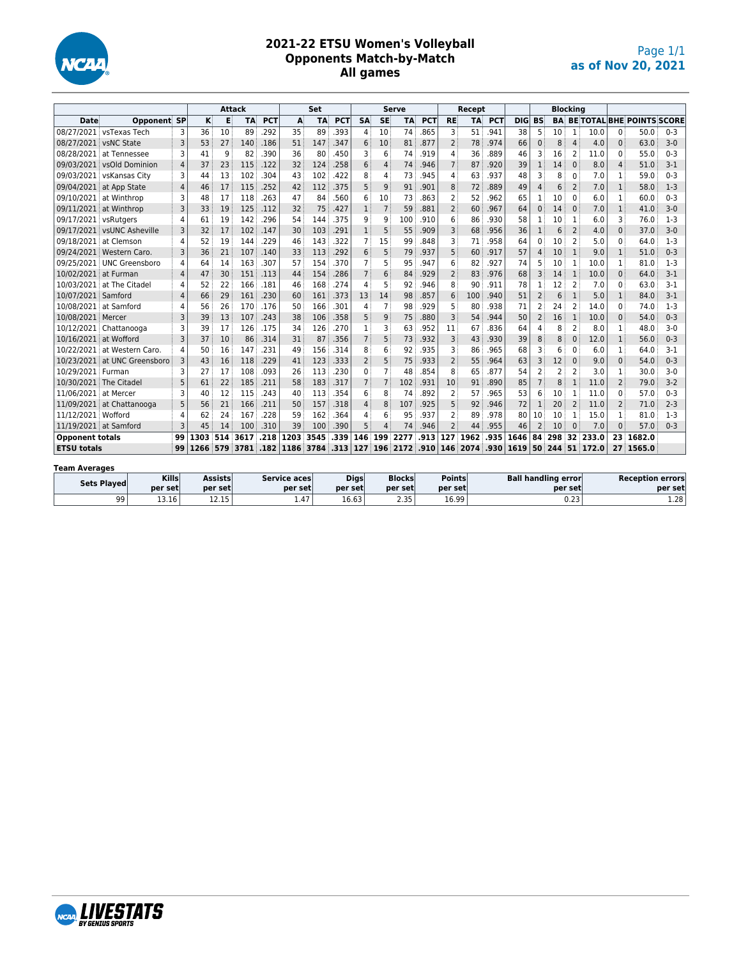

#### **2021-22 ETSU Women's Volleyball Opponents Match-by-Match All games**

|                        |                            |                | <b>Attack</b> |     |      |            |      | Set       |            |                |                | <b>Serve</b> |            |                          | Recept    |            |            |                |                | <b>Blocking</b> |       |                |                                  |         |
|------------------------|----------------------------|----------------|---------------|-----|------|------------|------|-----------|------------|----------------|----------------|--------------|------------|--------------------------|-----------|------------|------------|----------------|----------------|-----------------|-------|----------------|----------------------------------|---------|
| <b>Date</b>            | <b>Opponent SP</b>         |                | ĸ             | Е   | TA   | <b>PCT</b> | A    | <b>TA</b> | <b>PCT</b> | <b>SA</b>      | <b>SE</b>      | <b>TA</b>    | <b>PCT</b> | <b>RE</b>                | <b>TA</b> | <b>PCT</b> | <b>DIG</b> | <b>BS</b>      | <b>BA</b>      |                 |       |                | <b>BE TOTAL BHE POINTS SCORE</b> |         |
|                        | 08/27/2021 vsTexas Tech    | 3              | 36            | 10  | 89   | .292       | 35   | 89        | .393       | 4              | 10             | 74           | .865       | 3                        | 51        | 941        | 38         | 5              | 10             | $\mathbf{1}$    | 10.0  | 0              | 50.0                             | $0 - 3$ |
| 08/27/2021             | vsNC State                 | 3              | 53            | 27  | 140  | .186       | 51   | 147       | .347       | 6              | 10             | 81           | .877       | $\overline{2}$           | 78        | .974       | 66         | $\mathbf{0}$   | 8              | $\overline{4}$  | 4.0   | 0              | 63.0                             | $3-0$   |
| 08/28/2021             | at Tennessee               | 3              | 41            | 9   | 82   | .390       | 36   | 80        | .450       | ٦              | 6              | 74           | .919       | 4                        | 36        | .889       | 46         | 3              | 16             | 2               | 11.0  | 0              | 55.0                             | $0 - 3$ |
| 09/03/2021             | vsOld Dominion             | $\overline{a}$ | 37            | 23  | 115  | .122       | 32   | 124       | .258       | 6              | 4              | 74           | .946       | $\overline{7}$           | 87        | .920       | 39         | $\mathbf{1}$   | 14             | $\mathbf{0}$    | 8.0   | 4              | 51.0                             | $3-1$   |
| 09/03/2021             | vsKansas City              | 3              | 44            | 13  | 102  | 304        | 43   | 102       | .422       | 8              | 4              | 73           | .945       | 4                        | 63        | 937        | 48         | 3              | 8              | $\Omega$        | 7.0   | 1              | 59.0                             | $0 - 3$ |
|                        | 09/04/2021 at App State    | $\overline{4}$ | 46            | 17  | 115  | .252       | 42   | 112       | 375        | 5              | 9              | 91           | 901        | 8                        | 72        | .889       | 49         | $\overline{4}$ | 6              | $\overline{2}$  | 7.0   | $\mathbf{1}$   | 58.0                             | $1 - 3$ |
|                        | 09/10/2021 at Winthrop     | 3              | 48            | 17  | 118  | 263        | 47   | 84        | .560       | 6              | 10             | 73           | 863        | $\overline{2}$           | 52        | 962        | 65         | 1              | 10             | $\Omega$        | 6.0   | 1              | 60.0                             | $0 - 3$ |
|                        | 09/11/2021 at Winthrop     | 3              | 33            | 19  | 125  | .112       | 32   | 75        | .427       | $\mathbf{1}$   | $\overline{7}$ | 59           | .881       | $\overline{2}$           | 60        | .967       | 64         | $\mathbf{0}$   | 14             | $\mathbf{0}$    | 7.0   | $\mathbf{1}$   | 41.0                             | $3-0$   |
| 09/17/2021 vsRutgers   |                            | 4              | 61            | 19  | 142  | .296       | 54   | 144       | .375       | 9              | 9              | 100          | .910       | 6                        | 86        | .930       | 58         | 1              | 10             | 1               | 6.0   | 3              | 76.0                             | $1-3$   |
|                        | 09/17/2021 vsUNC Asheville | 3              | 32            | 17  | 102  | .147       | 30   | 103       | .291       | $\mathbf{1}$   | 5              | 55           | 909        | 3                        | 68        | 956        | 36         | 1              | 6              | $\overline{2}$  | 4.0   | $\Omega$       | 37.0                             | $3-0$   |
| 09/18/2021             | at Clemson                 | 4              | 52            | 19  | 144  | .229       | 46   | 143       | .322       | 7              | 15             | 99           | .848       | 3                        | 71        | .958       | 64         | 0              | 10             | 2               | 5.0   | 0              | 64.0                             | $1-3$   |
| 09/24/2021             | Western Caro.              | 3              | 36            | 21  | 107  | .140       | 33   | 113       | .292       | 6              | 5              | 79           | .937       | 5                        | 60        | .917       | 57         | $\overline{4}$ | 10             | $\mathbf{1}$    | 9.0   | $\mathbf{1}$   | 51.0                             | $0 - 3$ |
| 09/25/2021             | UNC Greensboro             | 4              | 64            | 14  | 163  | .307       | 57   | 154       | .370       |                | 5              | 95           | .947       | 6                        | 82        | 927        | 74         | 5              | 10             | $\overline{1}$  | 10.0  |                | 81.0                             | $1-3$   |
| 10/02/2021 at Furman   |                            | 4              | 47            | 30  | 151  | .113       | 44   | 154       | .286       | $\overline{7}$ | 6              | 84           | .929       | 2                        | 83        | 976        | 68         | 3              | 14             | $\mathbf{1}$    | 10.0  | 0              | 64.0                             | $3-1$   |
| 10/03/2021             | at The Citadel             | 4              | 52            | 22  | 166  | .181       | 46   | 168       | .274       | 4              | 5              | 92           | .946       | 8                        | 90        | 911        | 78         | 1              | 12             | 2               | 7.0   | 0              | 63.0                             | $3-1$   |
| 10/07/2021 Samford     |                            | $\overline{4}$ | 66            | 29  | 161  | .230       | 60   | 161       | .373       | 13             | 14             | 98           | .857       | 6                        | 100       | .940       | 51         | $\overline{2}$ | 6              | 1               | 5.0   | $\mathbf{1}$   | 84.0                             | $3-1$   |
| 10/08/2021             | at Samford                 | 4              | 56            | 26  | 170  | .176       | 50   | 166       | .301       | 4              | $\overline{7}$ | 98           | .929       | 5                        | 80        | .938       | 71         | $\overline{2}$ | 24             | $\overline{2}$  | 14.0  | 0              | 74.0                             | $1-3$   |
| 10/08/2021             | Mercer                     | 3              | 39            | 13  | 107  | .243       | 38   | 106       | .358       | 5              | 9              | 75           | .880       | 3                        | 54        | 944        | 50         | $\overline{2}$ | 16             | $\mathbf{1}$    | 10.0  | 0              | 54.0                             | $0 - 3$ |
| 10/12/2021             | Chattanooga                | 3              | 39            | 17  | 126  | .175       | 34   | 126       | .270       | 1              | 3              | 63           | 952        | 11                       | 67        | 836        | 64         | 4              | 8              | $\overline{2}$  | 8.0   | 1              | 48.0                             | $3-0$   |
| 10/16/2021             | at Wofford                 | 3              | 37            | 10  | 86   | .314       | 31   | 87        | .356       |                | 5              | 73           | .932       | 3                        | 43        | .930       | 39         | 8              | 8              | $\mathbf{0}$    | 12.0  | $\mathbf{1}$   | 56.0                             | $0 - 3$ |
| 10/22/2021             | at Western Caro.           | 4              | 50            | 16  | 147  | .231       | 49   | 156       | .314       | 8              | 6              | 92           | .935       | 3                        | 86        | .965       | 68         | 3              | 6              | $\Omega$        | 6.0   | 1              | 64.0                             | $3-1$   |
| 10/23/2021             | at UNC Greensboro          | 3              | 43            | 16  | 118  | .229       | 41   | 123       | .333       | $\overline{2}$ | 5              | 75           | .933       | $\overline{\phantom{0}}$ | 55        | .964       | 63         | 3              | 12             | $\Omega$        | 9.0   | $\Omega$       | 54.0                             | $0 - 3$ |
| 10/29/2021             | Furman                     | 3              | 27            | 17  | 108  | .093       | 26   | 113       | .230       | 0              | $\overline{7}$ | 48           | 854        | 8                        | 65        | 877        | 54         | $\overline{2}$ | $\overline{2}$ | $\overline{2}$  | 3.0   | 1              | 30.0                             | $3-0$   |
| 10/30/2021             | The Citadel                | 5              | 61            | 22  | 185  | .211       | 58   | 183       | .317       |                | $\overline{7}$ | 102          | .931       | 10                       | 91        | .890       | 85         | $\overline{7}$ | 8              | $\mathbf{1}$    | 11.0  | $\overline{2}$ | 79.0                             | $3-2$   |
| 11/06/2021             | at Mercer                  | 3              | 40            | 12  | 115  | .243       | 40   | 113       | .354       | 6              | 8              | 74           | 892        | $\overline{2}$           | 57        | .965       | 53         | 6              | 10             | $\mathbf{1}$    | 11.0  | 0              | 57.0                             | $0 - 3$ |
| 11/09/2021             | at Chattanooga             | 5              | 56            | 21  | 166  | .211       | 50   | 157       | .318       | 4              | 8              | 107          | .925       | 5                        | 92        | .946       | 72         | 1              | 20             | $\overline{2}$  | 11.0  | $\overline{2}$ | 71.0                             | $2 - 3$ |
| 11/12/2021 Wofford     |                            | 4              | 62            | 24  | 167  | .228       | 59   | 162       | .364       | 4              | 6              | 95           | 937        | $\overline{2}$           | 89        | 978        | 80         | 10             | 10             | $\mathbf{1}$    | 15.0  | 1              | 81.0                             | $1-3$   |
|                        | 11/19/2021 at Samford      | 3              | 45            | 14  | 100  | .310       | 39   | 100       | .390       |                | $\Delta$       | 74           | .946       | $\overline{2}$           | 44        | .955       | 46         | $\overline{2}$ | 10             | $\Omega$        | 7.0   | 0              | 57.0                             | $0 - 3$ |
| <b>Opponent totals</b> |                            | 99             | 1303          | 514 | 3617 | .218       | 1203 | 3545      | .339       | 146            | 199            | 2277         | .913       | 127                      | 1962      | .935       | 1646       | 84             | 298            | 32              | 233.0 |                | 23 1682.0                        |         |
| <b>ETSU totals</b>     |                            | 99             | 1266          | 579 | 3781 | .182       | 1186 | 3784      | .313       | 127            | 196            | 2172         | .910       |                          | 146 2074  | .930       | 1619       | 50             | 244            | 51              | 172.0 |                | 27 1565.0                        |         |

#### **Team Averages**

| Sets Played | <b>Kills</b> | Assists               | Service aces | <b>Digs</b> | <b>Blocks</b> | <b>Points</b> | <b>Ball handling error</b> | <b>Reception errors</b> |
|-------------|--------------|-----------------------|--------------|-------------|---------------|---------------|----------------------------|-------------------------|
|             | per set      | per setl              | per set      | per set     | per set       | per set       | per set                    | per set                 |
| 99          | 13.16        | $\sim$<br><b>****</b> | 1.47         | 16.63       | פר מ<br>ر ر.ر | 16.99         | $ -$<br>U.ZJ               | 1.28                    |

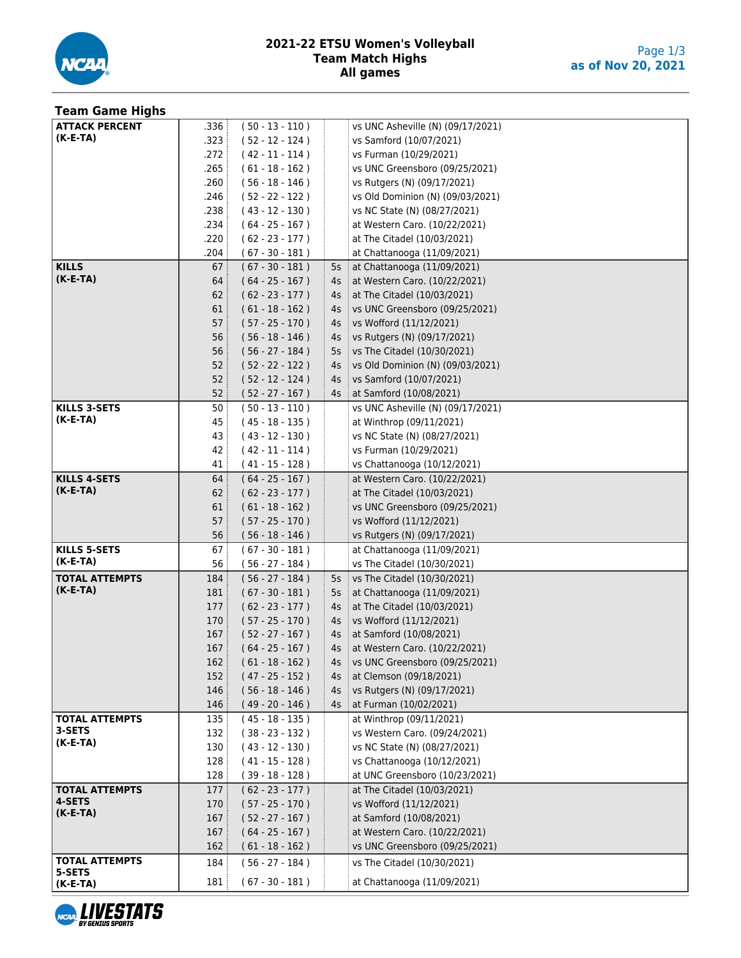

| <b>Team Game Highs</b>          |      |                   |        |                                       |
|---------------------------------|------|-------------------|--------|---------------------------------------|
| <b>ATTACK PERCENT</b>           | .336 | $(50 - 13 - 110)$ |        | vs UNC Asheville (N) (09/17/2021)     |
| $(K-E-TA)$                      | .323 | $(52 - 12 - 124)$ |        | vs Samford (10/07/2021)               |
|                                 | .272 | $(42 - 11 - 114)$ |        | vs Furman (10/29/2021)                |
|                                 | .265 | $(61 - 18 - 162)$ |        | vs UNC Greensboro (09/25/2021)        |
|                                 | .260 | $(56 - 18 - 146)$ |        | vs Rutgers (N) (09/17/2021)           |
|                                 | .246 | $(52 - 22 - 122)$ |        | vs Old Dominion (N) (09/03/2021)      |
|                                 | .238 | $(43 - 12 - 130)$ |        | vs NC State (N) (08/27/2021)          |
|                                 | .234 | $(64 - 25 - 167)$ |        | at Western Caro. (10/22/2021)         |
|                                 | .220 | $(62 - 23 - 177)$ |        | at The Citadel (10/03/2021)           |
|                                 | .204 | $(67 - 30 - 181)$ |        | at Chattanooga (11/09/2021)           |
| <b>KILLS</b>                    | 67   | $(67 - 30 - 181)$ | 5s     | at Chattanooga (11/09/2021)           |
| $(K-E-TA)$                      | 64   | $(64 - 25 - 167)$ | 4s     | at Western Caro. (10/22/2021)         |
|                                 | 62   | $(62 - 23 - 177)$ | 4s     | at The Citadel (10/03/2021)           |
|                                 | 61   | $(61 - 18 - 162)$ | 4s     | vs UNC Greensboro (09/25/2021)        |
|                                 | 57   | $(57 - 25 - 170)$ | 4s     | vs Wofford (11/12/2021)               |
|                                 | 56   | $(56 - 18 - 146)$ | 4s     | vs Rutgers (N) (09/17/2021)           |
|                                 | 56   | $(56 - 27 - 184)$ | 5s     | vs The Citadel (10/30/2021)           |
|                                 | 52   | $(52 - 22 - 122)$ | 4s     | vs Old Dominion (N) (09/03/2021)      |
|                                 | 52   | $(52 - 12 - 124)$ | 4s     | vs Samford (10/07/2021)               |
|                                 | 52:  | $(52 - 27 - 167)$ | $4s$ : | at Samford (10/08/2021)               |
| <b>KILLS 3-SETS</b>             | 50   | $(50 - 13 - 110)$ |        | vs UNC Asheville (N) (09/17/2021)     |
| $(K-E-TA)$                      | 45   | $(45 - 18 - 135)$ |        | at Winthrop (09/11/2021)              |
|                                 | 43   | $(43 - 12 - 130)$ |        | vs NC State (N) (08/27/2021)          |
|                                 | 42   | $(42 - 11 - 114)$ |        | vs Furman (10/29/2021)                |
|                                 | 41   | $(41 - 15 - 128)$ |        | vs Chattanooga (10/12/2021)           |
| <b>KILLS 4-SETS</b>             | 64   | $(64 - 25 - 167)$ |        | at Western Caro. (10/22/2021)         |
| $(K-E-TA)$                      | 62   | $(62 - 23 - 177)$ |        | at The Citadel (10/03/2021)           |
|                                 | 61   | $(61 - 18 - 162)$ |        | vs UNC Greensboro (09/25/2021)        |
|                                 | 57   | $(57 - 25 - 170)$ |        | vs Wofford (11/12/2021)               |
|                                 | 56   | $(56 - 18 - 146)$ |        | vs Rutgers (N) (09/17/2021)           |
| <b>KILLS 5-SETS</b>             | 67   | $(67 - 30 - 181)$ |        | at Chattanooga (11/09/2021)           |
| $(K-E-TA)$                      | 56   | $(56 - 27 - 184)$ |        | vs The Citadel (10/30/2021)           |
| <b>TOTAL ATTEMPTS</b>           | 184  | $(56 - 27 - 184)$ | 5s     | vs The Citadel (10/30/2021)           |
| $(K-E-TA)$                      | 181  | $(67 - 30 - 181)$ | 5s     | at Chattanooga (11/09/2021)           |
|                                 | 177  | $(62 - 23 - 177)$ | 4s     | at The Citadel (10/03/2021)           |
|                                 | 170  | $(57 - 25 - 170)$ | 4s     | $\frac{1}{2}$ vs Wofford (11/12/2021) |
|                                 | 167: | $(52 - 27 - 167)$ |        | 4s   at Samford (10/08/2021)          |
|                                 | 167  | $(64 - 25 - 167)$ |        | $4s$ at Western Caro. (10/22/2021)    |
|                                 | 162  | $(61 - 18 - 162)$ |        | 4s   vs UNC Greensboro (09/25/2021)   |
|                                 | 152  | $(47 - 25 - 152)$ | $4s$ : | at Clemson (09/18/2021)               |
|                                 | 146  | $(56 - 18 - 146)$ | 4s     | vs Rutgers (N) (09/17/2021)           |
|                                 | 146  | $(49 - 20 - 146)$ | $4s$ : | at Furman (10/02/2021)                |
| <b>TOTAL ATTEMPTS</b><br>3-SETS | 135  | $(45 - 18 - 135)$ |        | at Winthrop (09/11/2021)              |
| $(K-E-TA)$                      | 132  | $(38 - 23 - 132)$ |        | vs Western Caro. (09/24/2021)         |
|                                 | 130  | $(43 - 12 - 130)$ |        | vs NC State (N) (08/27/2021)          |
|                                 | 128  | $(41 - 15 - 128)$ |        | vs Chattanooga (10/12/2021)           |
|                                 | 128  | $(39 - 18 - 128)$ |        | at UNC Greensboro (10/23/2021)        |
| <b>TOTAL ATTEMPTS</b><br>4-SETS | 177  | $(62 - 23 - 177)$ |        | at The Citadel (10/03/2021)           |
| $(K-E-TA)$                      | 170  | $(57 - 25 - 170)$ |        | vs Wofford (11/12/2021)               |
|                                 | 167  | $(52 - 27 - 167)$ |        | at Samford (10/08/2021)               |
|                                 | 167  | $(64 - 25 - 167)$ |        | at Western Caro. (10/22/2021)         |
|                                 | 162  | $(61 - 18 - 162)$ |        | vs UNC Greensboro (09/25/2021)        |
| <b>TOTAL ATTEMPTS</b><br>5-SETS | 184  | $(56 - 27 - 184)$ |        | vs The Citadel (10/30/2021)           |
| $(K-E-TA)$                      | 181  | $(67 - 30 - 181)$ |        | at Chattanooga (11/09/2021)           |

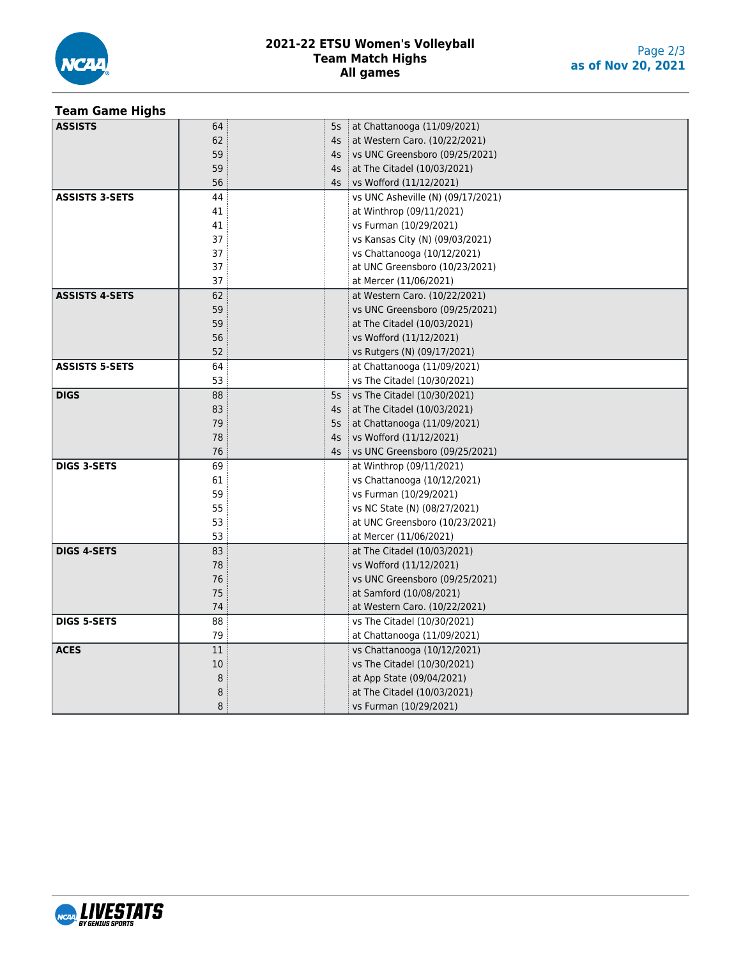

#### **2021-22 ETSU Women's Volleyball Team Match Highs All games**

### **Team Game Highs**

| <b>ASSISTS</b>        | 64 | 5s     | at Chattanooga (11/09/2021)       |
|-----------------------|----|--------|-----------------------------------|
|                       | 62 | 4s     | at Western Caro. (10/22/2021)     |
|                       | 59 | 4s     | vs UNC Greensboro (09/25/2021)    |
|                       | 59 | 4s     | at The Citadel (10/03/2021)       |
|                       | 56 | $4s$ : | vs Wofford (11/12/2021)           |
| <b>ASSISTS 3-SETS</b> | 44 |        | vs UNC Asheville (N) (09/17/2021) |
|                       | 41 |        | at Winthrop (09/11/2021)          |
|                       | 41 |        | vs Furman (10/29/2021)            |
|                       | 37 |        | vs Kansas City (N) (09/03/2021)   |
|                       | 37 |        | vs Chattanooga (10/12/2021)       |
|                       | 37 |        | at UNC Greensboro (10/23/2021)    |
|                       | 37 |        | at Mercer (11/06/2021)            |
| <b>ASSISTS 4-SETS</b> | 62 |        | at Western Caro. (10/22/2021)     |
|                       | 59 |        | vs UNC Greensboro (09/25/2021)    |
|                       | 59 |        | at The Citadel (10/03/2021)       |
|                       | 56 |        | vs Wofford (11/12/2021)           |
|                       | 52 |        | vs Rutgers (N) (09/17/2021)       |
| <b>ASSISTS 5-SETS</b> | 64 |        | at Chattanooga (11/09/2021)       |
|                       | 53 |        | vs The Citadel (10/30/2021)       |
| <b>DIGS</b>           | 88 | 5s     | vs The Citadel (10/30/2021)       |
|                       | 83 | 4s     | at The Citadel (10/03/2021)       |
|                       | 79 | 5s     | at Chattanooga (11/09/2021)       |
|                       | 78 | 4s     | vs Wofford (11/12/2021)           |
|                       | 76 | 4s     | vs UNC Greensboro (09/25/2021)    |
| <b>DIGS 3-SETS</b>    | 69 |        | at Winthrop (09/11/2021)          |
|                       | 61 |        | vs Chattanooga (10/12/2021)       |
|                       | 59 |        | vs Furman (10/29/2021)            |
|                       | 55 |        | vs NC State (N) (08/27/2021)      |
|                       | 53 |        | at UNC Greensboro (10/23/2021)    |
|                       | 53 |        | at Mercer (11/06/2021)            |
| <b>DIGS 4-SETS</b>    | 83 |        | at The Citadel (10/03/2021)       |
|                       | 78 |        | vs Wofford (11/12/2021)           |
|                       | 76 |        | vs UNC Greensboro (09/25/2021)    |
|                       | 75 |        | at Samford (10/08/2021)           |
|                       | 74 |        | at Western Caro. (10/22/2021)     |
| <b>DIGS 5-SETS</b>    | 88 |        | vs The Citadel (10/30/2021)       |
|                       | 79 |        | at Chattanooga (11/09/2021)       |
| <b>ACES</b>           | 11 |        | vs Chattanooga (10/12/2021)       |
|                       | 10 |        | vs The Citadel (10/30/2021)       |
|                       | 8  |        | at App State (09/04/2021)         |
|                       | 8  |        | at The Citadel (10/03/2021)       |
|                       | 8  |        | vs Furman (10/29/2021)            |

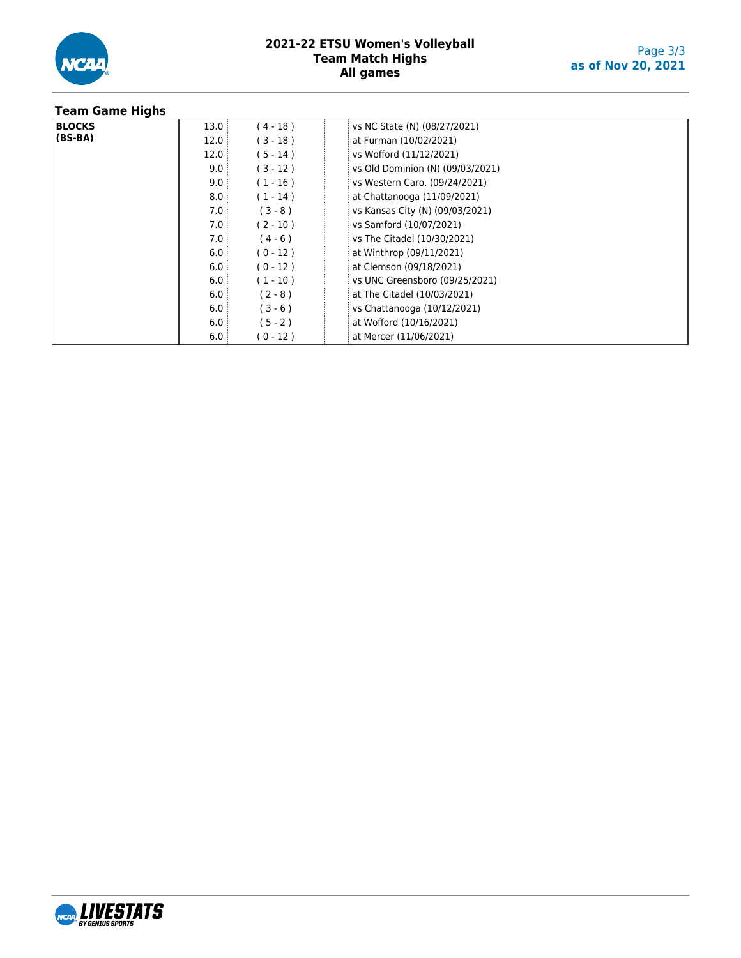

#### **2021-22 ETSU Women's Volleyball Team Match Highs All games**

| <b>Team Game Highs</b> |      |            |                                  |
|------------------------|------|------------|----------------------------------|
| <b>BLOCKS</b>          | 13.0 | (4-18)     | vs NC State (N) (08/27/2021)     |
| $(BS-BA)$              | 12.0 | $(3 - 18)$ | at Furman (10/02/2021)           |
|                        | 12.0 | $(5 - 14)$ | vs Wofford (11/12/2021)          |
|                        | 9.0  | $(3 - 12)$ | vs Old Dominion (N) (09/03/2021) |
|                        | 9.0  | $(1 - 16)$ | vs Western Caro. (09/24/2021)    |
|                        | 8.0  | $(1 - 14)$ | at Chattanooga (11/09/2021)      |
|                        | 7.0  | $(3 - 8)$  | vs Kansas City (N) (09/03/2021)  |
|                        | 7.0  | $(2 - 10)$ | vs Samford (10/07/2021)          |
|                        | 7.0  | $(4 - 6)$  | vs The Citadel (10/30/2021)      |
|                        | 6.0  | $(0 - 12)$ | at Winthrop (09/11/2021)         |
|                        | 6.0  | $(0 - 12)$ | at Clemson (09/18/2021)          |
|                        | 6.0  | $(1 - 10)$ | vs UNC Greensboro (09/25/2021)   |
|                        | 6.0  | $(2 - 8)$  | at The Citadel (10/03/2021)      |
|                        | 6.0  | $(3 - 6)$  | vs Chattanooga (10/12/2021)      |
|                        | 6.0  | $(5 - 2)$  | at Wofford (10/16/2021)          |
|                        | 6.0  | (0-12)     | at Mercer (11/06/2021)           |

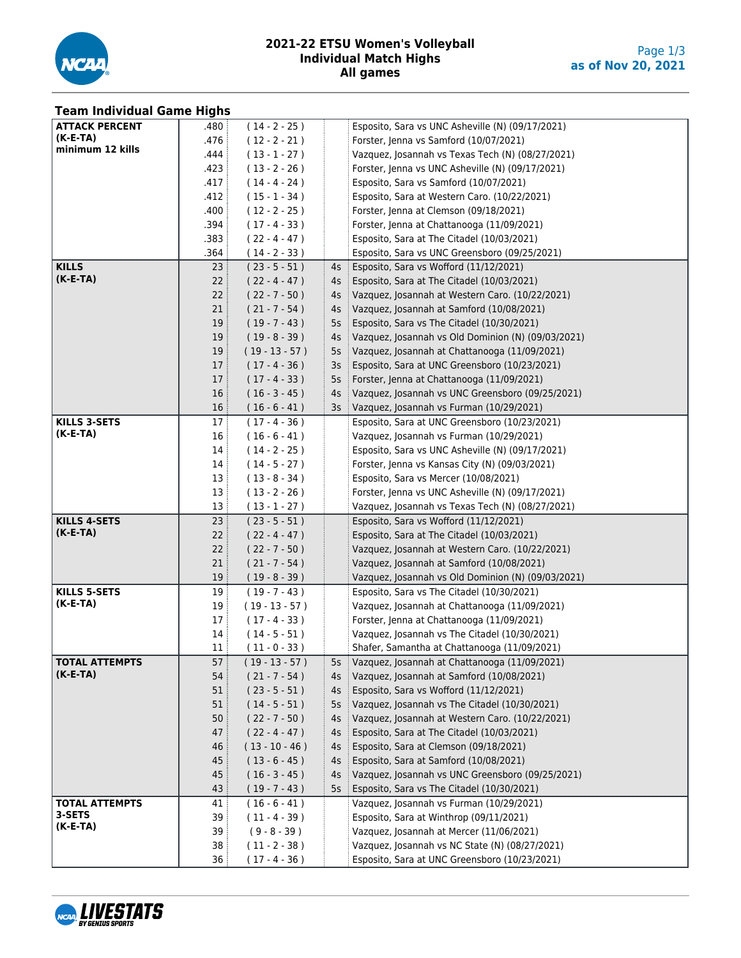

#### **2021-22 ETSU Women's Volleyball Individual Match Highs All games**

| <b>Team Individual Game Highs</b> |                  |                                    |                |                                                                                            |
|-----------------------------------|------------------|------------------------------------|----------------|--------------------------------------------------------------------------------------------|
| <b>ATTACK PERCENT</b>             | .480             | $(14 - 2 - 25)$                    |                | Esposito, Sara vs UNC Asheville (N) (09/17/2021)                                           |
| $(K-E-TA)$                        | .476             | $(12 - 2 - 21)$                    |                | Forster, Jenna vs Samford (10/07/2021)                                                     |
| minimum 12 kills                  | .444             | $(13 - 1 - 27)$                    |                | Vazquez, Josannah vs Texas Tech (N) (08/27/2021)                                           |
|                                   | .423             | $(13 - 2 - 26)$                    |                | Forster, Jenna vs UNC Asheville (N) (09/17/2021)                                           |
|                                   | .417             | $(14 - 4 - 24)$                    |                | Esposito, Sara vs Samford (10/07/2021)                                                     |
|                                   | .412             | $(15 - 1 - 34)$                    |                | Esposito, Sara at Western Caro. (10/22/2021)                                               |
|                                   | .400             | $(12 - 2 - 25)$                    |                | Forster, Jenna at Clemson (09/18/2021)                                                     |
|                                   | .394             | $(17 - 4 - 33)$                    |                | Forster, Jenna at Chattanooga (11/09/2021)                                                 |
|                                   | .383             | $(22 - 4 - 47)$                    |                | Esposito, Sara at The Citadel (10/03/2021)                                                 |
|                                   | .364             | $(14 - 2 - 33)$                    |                | Esposito, Sara vs UNC Greensboro (09/25/2021)                                              |
| <b>KILLS</b>                      | 23:              | $(23 - 5 - 51)$                    | 4s :           | Esposito, Sara vs Wofford (11/12/2021)                                                     |
| $(K-E-TA)$                        | 22:              | $(22 - 4 - 47)$                    | $4s$ :         | Esposito, Sara at The Citadel (10/03/2021)                                                 |
|                                   | 22:              | $(22 - 7 - 50)$                    | $4s$ :         | Vazquez, Josannah at Western Caro. (10/22/2021)                                            |
|                                   | 21               | $(21 - 7 - 54)$                    | 4s             | Vazquez, Josannah at Samford (10/08/2021)                                                  |
|                                   | 19 <sup>3</sup>  | $(19 - 7 - 43)$                    | 5s             | Esposito, Sara vs The Citadel (10/30/2021)                                                 |
|                                   | 19:              | $(19 - 8 - 39)$                    |                | 4s   Vazquez, Josannah vs Old Dominion (N) (09/03/2021)                                    |
|                                   | 19:              | (19 - 13 - 57 )                    |                | 5s   Vazquez, Josannah at Chattanooga (11/09/2021)                                         |
|                                   | 17:              | $(17 - 4 - 36)$                    | 3s             | Esposito, Sara at UNC Greensboro (10/23/2021)                                              |
|                                   | 17 <sup>1</sup>  | $(17 - 4 - 33)$                    |                | 5s Forster, Jenna at Chattanooga (11/09/2021)                                              |
|                                   | 16               | $(16 - 3 - 45)$                    |                | 4s   Vazquez, Josannah vs UNC Greensboro (09/25/2021)                                      |
|                                   | 16:              | $(16 - 6 - 41)$                    |                | 3s   Vazquez, Josannah vs Furman (10/29/2021)                                              |
| <b>KILLS 3-SETS</b>               | 17 <sup>1</sup>  | $(17 - 4 - 36)$                    |                | Esposito, Sara at UNC Greensboro (10/23/2021)                                              |
| $(K-E-TA)$                        | 16               | $(16 - 6 - 41)$                    |                | Vazquez, Josannah vs Furman (10/29/2021)                                                   |
|                                   | 14:              | $(14 - 2 - 25)$                    |                | Esposito, Sara vs UNC Asheville (N) (09/17/2021)                                           |
|                                   | 14               | $(14 - 5 - 27)$                    |                | Forster, Jenna vs Kansas City (N) (09/03/2021)                                             |
|                                   | 13:              | $(13 - 8 - 34)$                    |                | Esposito, Sara vs Mercer (10/08/2021)                                                      |
|                                   | 13               | $(13 - 2 - 26)$                    |                | Forster, Jenna vs UNC Asheville (N) (09/17/2021)                                           |
|                                   | 13:              | $(13 - 1 - 27)$                    |                | Vazquez, Josannah vs Texas Tech (N) (08/27/2021)                                           |
| <b>KILLS 4-SETS</b>               | 23:              | $(23 - 5 - 51)$                    |                | Esposito, Sara vs Wofford (11/12/2021)                                                     |
| $(K-E-TA)$                        | 22:              | $(22 - 4 - 47)$                    |                | Esposito, Sara at The Citadel (10/03/2021)                                                 |
|                                   | 22               | $(22 - 7 - 50)$                    |                | Vazquez, Josannah at Western Caro. (10/22/2021)                                            |
|                                   | 21               | $(21 - 7 - 54)$                    |                | Vazquez, Josannah at Samford (10/08/2021)                                                  |
|                                   | 19:              | $(19 - 8 - 39)$                    |                | Vazquez, Josannah vs Old Dominion (N) (09/03/2021)                                         |
| KILLS 5-SETS                      | 19               | $(19 - 7 - 43)$                    |                | Esposito, Sara vs The Citadel (10/30/2021)                                                 |
| (K-E-TA)                          | 19               | $(19 - 13 - 57)$                   |                | Vazquez, Josannah at Chattanooga (11/09/2021)                                              |
|                                   | 17:              | $(17 - 4 - 33)$                    |                | Forster, Jenna at Chattanooga (11/09/2021)                                                 |
|                                   | 14               | $(14 - 5 - 51)$                    |                | Vazquez, Josannah vs The Citadel (10/30/2021)                                              |
|                                   | 11:              | $(11 - 0 - 33)$                    |                | Shafer, Samantha at Chattanooga (11/09/2021)                                               |
| <b>TOTAL ATTEMPTS</b>             | 57:              | $(19 - 13 - 57)$                   |                | 5s   Vazquez, Josannah at Chattanooga (11/09/2021)                                         |
| $(K-E-TA)$                        | 54               | $(21 - 7 - 54)$                    | $4s$ :         | Vazquez, Josannah at Samford (10/08/2021)                                                  |
|                                   | 51:              | $(23 - 5 - 51)$                    | 4s             | Esposito, Sara vs Wofford (11/12/2021)                                                     |
|                                   | 51               | $(14 - 5 - 51)$                    |                | 5s Vazquez, Josannah vs The Citadel (10/30/2021)                                           |
|                                   | $50 \frac{1}{2}$ |                                    |                | Vazquez, Josannah at Western Caro. (10/22/2021)                                            |
|                                   | 47               | $(22 - 7 - 50)$<br>$(22 - 4 - 47)$ | 4s :<br>$4s$ : | Esposito, Sara at The Citadel (10/03/2021)                                                 |
|                                   | 46               | $(13 - 10 - 46)$                   | 4s :           | Esposito, Sara at Clemson (09/18/2021)                                                     |
|                                   | 45:              |                                    |                |                                                                                            |
|                                   | 45               | $(13 - 6 - 45)$                    | 4s :           | Esposito, Sara at Samford (10/08/2021)<br>Vazquez, Josannah vs UNC Greensboro (09/25/2021) |
|                                   | 43               | $(16 - 3 - 45)$                    | 4s :           | Esposito, Sara vs The Citadel (10/30/2021)                                                 |
|                                   |                  | $(19 - 7 - 43)$                    | $5s$ :         |                                                                                            |
| <b>TOTAL ATTEMPTS</b><br>3-SETS   | 41 :             | $(16 - 6 - 41)$                    |                | Vazquez, Josannah vs Furman (10/29/2021)                                                   |
| (K-E-TA)                          | 39               | $(11 - 4 - 39)$                    |                | Esposito, Sara at Winthrop (09/11/2021)                                                    |
|                                   | 39               | $(9 - 8 - 39)$                     |                | Vazquez, Josannah at Mercer (11/06/2021)                                                   |
|                                   | 38               | $(11 - 2 - 38)$                    |                | Vazquez, Josannah vs NC State (N) (08/27/2021)                                             |
|                                   | 36 <sup>3</sup>  | $(17 - 4 - 36)$                    |                | Esposito, Sara at UNC Greensboro (10/23/2021)                                              |

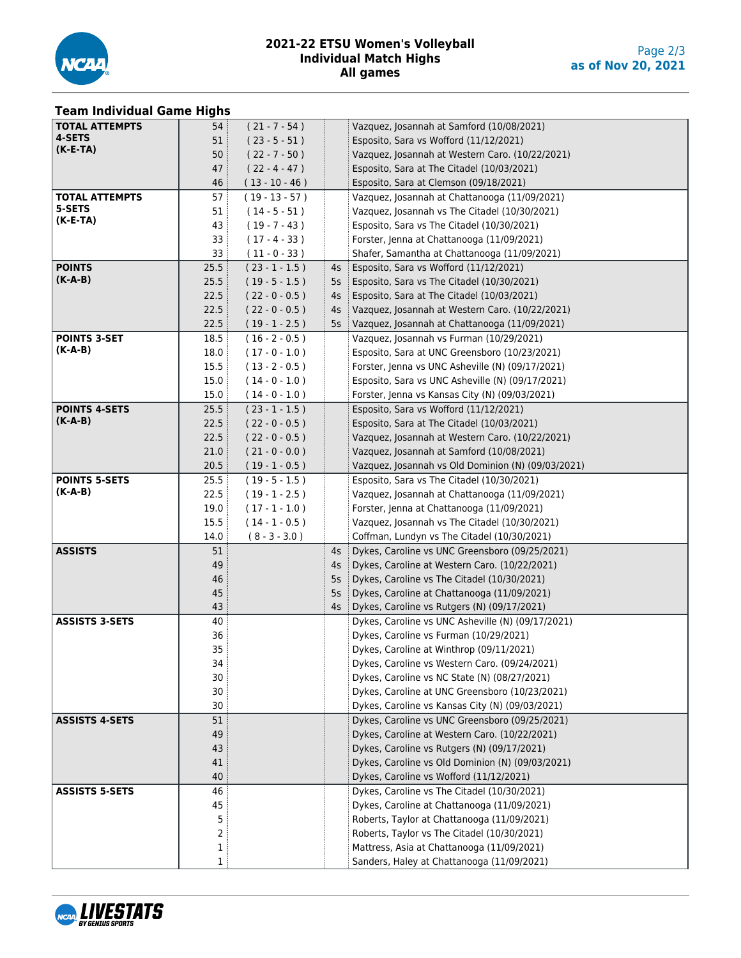

#### **2021-22 ETSU Women's Volleyball Individual Match Highs All games**

# **Team Individual Game Highs**

| <b>TOTAL ATTEMPTS</b> | 54:             | $(21 - 7 - 54)$                      |              | Vazquez, Josannah at Samford (10/08/2021)                                                        |
|-----------------------|-----------------|--------------------------------------|--------------|--------------------------------------------------------------------------------------------------|
| 4-SETS                | 51              | $(23 - 5 - 51)$                      |              | Esposito, Sara vs Wofford (11/12/2021)                                                           |
| $(K-E-TA)$            | 50 <sup>3</sup> | $(22 - 7 - 50)$                      |              | Vazquez, Josannah at Western Caro. (10/22/2021)                                                  |
|                       | 47              | $(22 - 4 - 47)$                      |              | Esposito, Sara at The Citadel (10/03/2021)                                                       |
|                       | 46              | $(13 - 10 - 46)$                     |              | Esposito, Sara at Clemson (09/18/2021)                                                           |
| <b>TOTAL ATTEMPTS</b> | 57 <sup>3</sup> | $(19 - 13 - 57)$                     |              | Vazquez, Josannah at Chattanooga (11/09/2021)                                                    |
| 5-SETS                | 51              | $(14 - 5 - 51)$                      |              | Vazquez, Josannah vs The Citadel (10/30/2021)                                                    |
| $(K-E-TA)$            | 43:             | $(19 - 7 - 43)$                      |              | Esposito, Sara vs The Citadel (10/30/2021)                                                       |
|                       | 33 <sup>3</sup> | $(17 - 4 - 33)$                      |              | Forster, Jenna at Chattanooga (11/09/2021)                                                       |
|                       | 33              | $(11 - 0 - 33)$                      |              | Shafer, Samantha at Chattanooga (11/09/2021)                                                     |
| <b>POINTS</b>         | 25.5            | $(23 - 1 - 1.5)$                     | 4s           | Esposito, Sara vs Wofford (11/12/2021)                                                           |
| $(K-A-B)$             | 25.5            | $(19 - 5 - 1.5)$                     | 5s           | Esposito, Sara vs The Citadel (10/30/2021)                                                       |
|                       | 22.5            | $(22 - 0 - 0.5)$                     | 4s           | Esposito, Sara at The Citadel (10/03/2021)                                                       |
|                       | 22.5            | $(22 - 0 - 0.5)$                     | $4s$ :       | Vazquez, Josannah at Western Caro. (10/22/2021)                                                  |
|                       | 22.5            | $(19 - 1 - 2.5)$                     |              | 5s   Vazquez, Josannah at Chattanooga (11/09/2021)                                               |
| <b>POINTS 3-SET</b>   | 18.5            | $(16 - 2 - 0.5)$                     |              | Vazquez, Josannah vs Furman (10/29/2021)                                                         |
| $(K-A-B)$             | 18.0            | $(17 - 0 - 1.0)$                     |              | Esposito, Sara at UNC Greensboro (10/23/2021)                                                    |
|                       | 15.5            | $(13 - 2 - 0.5)$                     |              | Forster, Jenna vs UNC Asheville (N) (09/17/2021)                                                 |
|                       | 15.0            | $(14 - 0 - 1.0)$                     |              | Esposito, Sara vs UNC Asheville (N) (09/17/2021)                                                 |
|                       | 15.0            | $(14 - 0 - 1.0)$                     |              | Forster, Jenna vs Kansas City (N) (09/03/2021)                                                   |
| <b>POINTS 4-SETS</b>  | 25.5            | $(23 - 1 - 1.5)$                     |              | Esposito, Sara vs Wofford (11/12/2021)                                                           |
| $(K-A-B)$             | 22.5            | $(22 - 0 - 0.5)$                     |              | Esposito, Sara at The Citadel (10/03/2021)                                                       |
|                       | 22.5            | $(22 - 0 - 0.5)$                     |              | Vazquez, Josannah at Western Caro. (10/22/2021)                                                  |
|                       | 21.0            |                                      |              |                                                                                                  |
|                       | 20.5            | $(21 - 0 - 0.0)$<br>$(19 - 1 - 0.5)$ |              | Vazquez, Josannah at Samford (10/08/2021)                                                        |
| <b>POINTS 5-SETS</b>  |                 |                                      |              | Vazquez, Josannah vs Old Dominion (N) (09/03/2021)                                               |
| $(K-A-B)$             | 25.5<br>22.5    | $(19 - 5 - 1.5)$<br>$(19 - 1 - 2.5)$ |              | Esposito, Sara vs The Citadel (10/30/2021)<br>Vazquez, Josannah at Chattanooga (11/09/2021)      |
|                       |                 |                                      |              |                                                                                                  |
|                       | 19.0            | $(17 - 1 - 1.0)$                     |              | Forster, Jenna at Chattanooga (11/09/2021)                                                       |
|                       | 15.5            | $(14 - 1 - 0.5)$                     |              | Vazquez, Josannah vs The Citadel (10/30/2021)                                                    |
| <b>ASSISTS</b>        | 14.0            | $(8 - 3 - 3.0)$                      |              | Coffman, Lundyn vs The Citadel (10/30/2021)                                                      |
|                       | 51<br>49        |                                      | $4s$ :<br>4s | Dykes, Caroline vs UNC Greensboro (09/25/2021)<br>Dykes, Caroline at Western Caro. (10/22/2021)  |
|                       | 46              |                                      |              | Dykes, Caroline vs The Citadel (10/30/2021)                                                      |
|                       | 45              |                                      | 5s           | Dykes, Caroline at Chattanooga (11/09/2021)                                                      |
|                       | 43              |                                      | 5s<br>$4s$ : |                                                                                                  |
| <b>ASSISTS 3-SETS</b> | 40              |                                      |              | Dykes, Caroline vs Rutgers (N) (09/17/2021)<br>Dykes, Caroline vs UNC Asheville (N) (09/17/2021) |
|                       | 36              |                                      |              | Dykes, Caroline vs Furman (10/29/2021)                                                           |
|                       | 35              |                                      |              | Dykes, Caroline at Winthrop (09/11/2021)                                                         |
|                       |                 |                                      |              |                                                                                                  |
|                       | 34<br>30        |                                      |              | Dykes, Caroline vs Western Caro. (09/24/2021)                                                    |
|                       | 30              |                                      |              | Dykes, Caroline vs NC State (N) (08/27/2021)<br>Dykes, Caroline at UNC Greensboro (10/23/2021)   |
|                       | 30              |                                      |              | Dykes, Caroline vs Kansas City (N) (09/03/2021)                                                  |
| <b>ASSISTS 4-SETS</b> | 51              |                                      |              |                                                                                                  |
|                       |                 |                                      |              | Dykes, Caroline vs UNC Greensboro (09/25/2021)                                                   |
|                       | 49              |                                      |              | Dykes, Caroline at Western Caro. (10/22/2021)                                                    |
|                       | 43              |                                      |              | Dykes, Caroline vs Rutgers (N) (09/17/2021)                                                      |
|                       | 41<br>40        |                                      |              | Dykes, Caroline vs Old Dominion (N) (09/03/2021)                                                 |
|                       |                 |                                      |              | Dykes, Caroline vs Wofford (11/12/2021)                                                          |
| <b>ASSISTS 5-SETS</b> | 46              |                                      |              | Dykes, Caroline vs The Citadel (10/30/2021)                                                      |
|                       | 45              |                                      |              | Dykes, Caroline at Chattanooga (11/09/2021)                                                      |
|                       | 5               |                                      |              | Roberts, Taylor at Chattanooga (11/09/2021)                                                      |
|                       | 2               |                                      |              | Roberts, Taylor vs The Citadel (10/30/2021)                                                      |
|                       | 1               |                                      |              | Mattress, Asia at Chattanooga (11/09/2021)                                                       |
|                       | 1               |                                      |              | Sanders, Haley at Chattanooga (11/09/2021)                                                       |

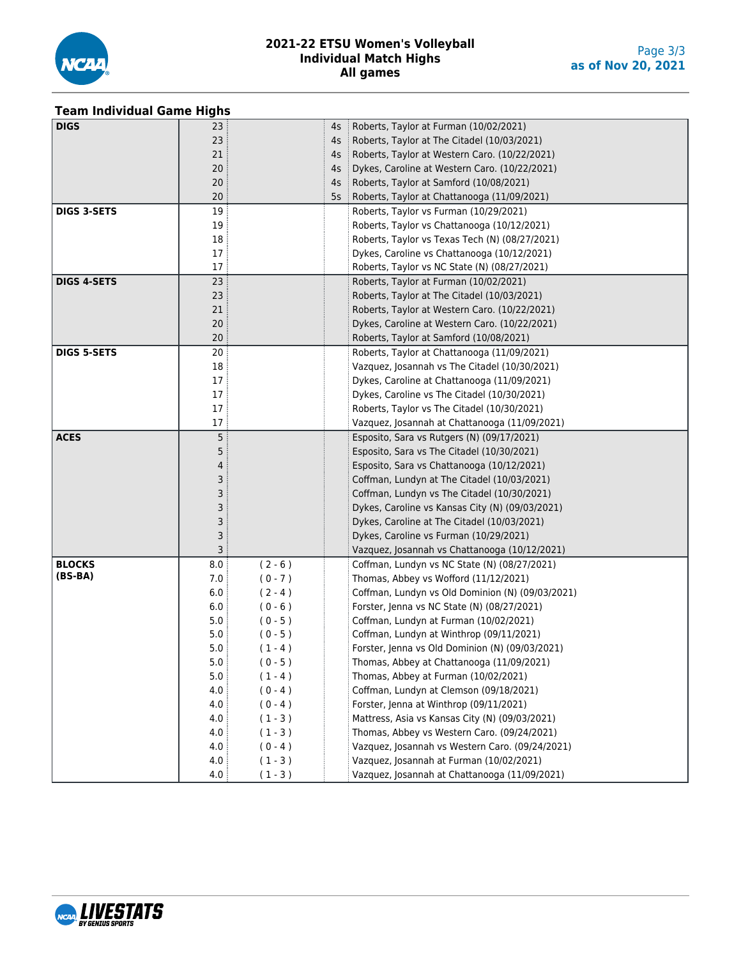

#### **2021-22 ETSU Women's Volleyball Individual Match Highs All games**

#### **Team Individual Game Highs**

| <b>DIGS</b>        | 23     |           | 4s     | Roberts, Taylor at Furman (10/02/2021)           |
|--------------------|--------|-----------|--------|--------------------------------------------------|
|                    | 23     |           | 4s     | Roberts, Taylor at The Citadel (10/03/2021)      |
|                    | 21     |           | 4s     | Roberts, Taylor at Western Caro. (10/22/2021)    |
|                    | 20     |           | 4s     | Dykes, Caroline at Western Caro. (10/22/2021)    |
|                    | 20     |           | 4s     | Roberts, Taylor at Samford (10/08/2021)          |
|                    | 20     |           | $5s$ : | Roberts, Taylor at Chattanooga (11/09/2021)      |
| <b>DIGS 3-SETS</b> | 19     |           |        | Roberts, Taylor vs Furman (10/29/2021)           |
|                    | 19     |           |        | Roberts, Taylor vs Chattanooga (10/12/2021)      |
|                    | 18     |           |        | Roberts, Taylor vs Texas Tech (N) (08/27/2021)   |
|                    | $17\,$ |           |        | Dykes, Caroline vs Chattanooga (10/12/2021)      |
|                    | 17     |           |        | Roberts, Taylor vs NC State (N) (08/27/2021)     |
| <b>DIGS 4-SETS</b> | 23     |           |        | Roberts, Taylor at Furman (10/02/2021)           |
|                    | 23     |           |        | Roberts, Taylor at The Citadel (10/03/2021)      |
|                    | 21     |           |        | Roberts, Taylor at Western Caro. (10/22/2021)    |
|                    | 20     |           |        | Dykes, Caroline at Western Caro. (10/22/2021)    |
|                    | 20     |           |        | Roberts, Taylor at Samford (10/08/2021)          |
| <b>DIGS 5-SETS</b> | 20     |           |        | Roberts, Taylor at Chattanooga (11/09/2021)      |
|                    | 18     |           |        | Vazquez, Josannah vs The Citadel (10/30/2021)    |
|                    | $17\,$ |           |        | Dykes, Caroline at Chattanooga (11/09/2021)      |
|                    | 17     |           |        | Dykes, Caroline vs The Citadel (10/30/2021)      |
|                    | 17     |           |        | Roberts, Taylor vs The Citadel (10/30/2021)      |
|                    | 17     |           |        | Vazquez, Josannah at Chattanooga (11/09/2021)    |
| <b>ACES</b>        | 5      |           |        | Esposito, Sara vs Rutgers (N) (09/17/2021)       |
|                    | 5      |           |        | Esposito, Sara vs The Citadel (10/30/2021)       |
|                    | 4      |           |        | Esposito, Sara vs Chattanooga (10/12/2021)       |
|                    | 3      |           |        | Coffman, Lundyn at The Citadel (10/03/2021)      |
|                    | 3      |           |        | Coffman, Lundyn vs The Citadel (10/30/2021)      |
|                    | 3      |           |        | Dykes, Caroline vs Kansas City (N) (09/03/2021)  |
|                    | 3      |           |        | Dykes, Caroline at The Citadel (10/03/2021)      |
|                    | 3      |           |        | Dykes, Caroline vs Furman (10/29/2021)           |
|                    | 3      |           |        | Vazquez, Josannah vs Chattanooga (10/12/2021)    |
| <b>BLOCKS</b>      | 8.0    | $(2 - 6)$ |        | Coffman, Lundyn vs NC State (N) (08/27/2021)     |
| $(BS-BA)$          | 7.0    | $(0 - 7)$ |        | Thomas, Abbey vs Wofford (11/12/2021)            |
|                    | 6.0    | $(2 - 4)$ |        | Coffman, Lundyn vs Old Dominion (N) (09/03/2021) |
|                    | 6.0    | $(0 - 6)$ |        | Forster, Jenna vs NC State (N) (08/27/2021)      |
|                    | 5.0    | $(0 - 5)$ |        | Coffman, Lundyn at Furman (10/02/2021)           |
|                    | 5.0    | $(0 - 5)$ |        | Coffman, Lundyn at Winthrop (09/11/2021)         |
|                    | 5.0    | $(1 - 4)$ |        | Forster, Jenna vs Old Dominion (N) (09/03/2021)  |
|                    | 5.0    | $(0 - 5)$ |        | Thomas, Abbey at Chattanooga (11/09/2021)        |
|                    | 5.0    | $(1 - 4)$ |        | Thomas, Abbey at Furman (10/02/2021)             |
|                    | 4.0    | $(0 - 4)$ |        | Coffman, Lundyn at Clemson (09/18/2021)          |
|                    | 4.0    | $(0 - 4)$ |        | Forster, Jenna at Winthrop (09/11/2021)          |
|                    | 4.0    | $(1 - 3)$ |        | Mattress, Asia vs Kansas City (N) (09/03/2021)   |
|                    | 4.0    | $(1 - 3)$ |        | Thomas, Abbey vs Western Caro. (09/24/2021)      |
|                    | 4.0    | $(0 - 4)$ |        | Vazquez, Josannah vs Western Caro. (09/24/2021)  |
|                    | 4.0    | $(1 - 3)$ |        | Vazquez, Josannah at Furman (10/02/2021)         |
|                    | 4.0    | $(1 - 3)$ |        | Vazquez, Josannah at Chattanooga (11/09/2021)    |
|                    |        |           |        |                                                  |

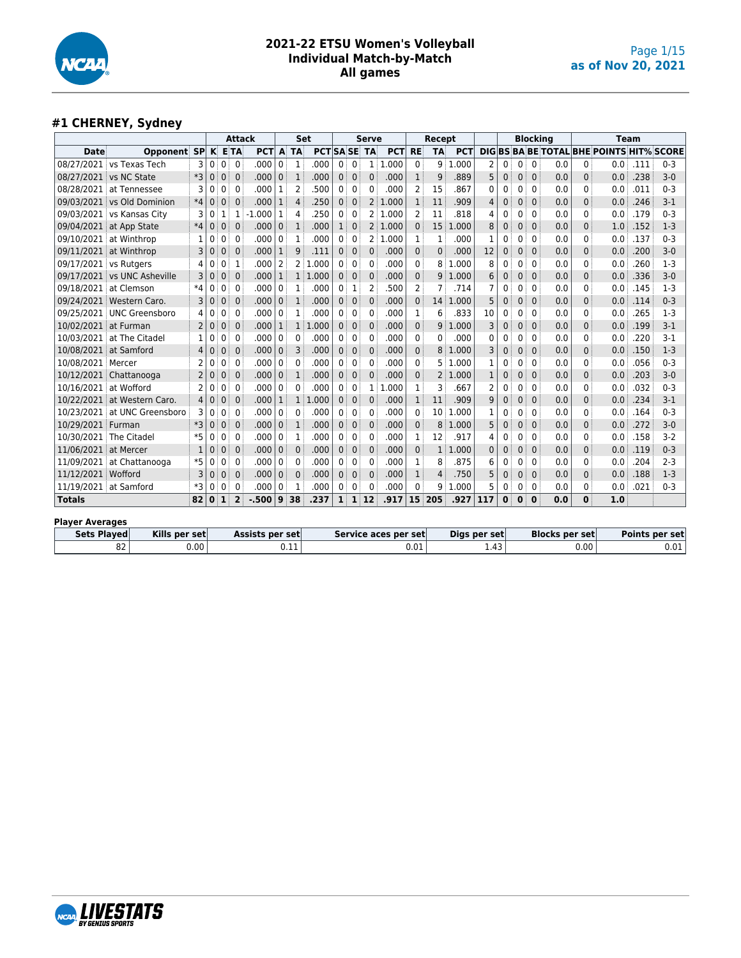

# **#1 CHERNEY, Sydney**

|                        |                                  |                |              |              | <b>Attack</b>  |            |                |                | <b>Set</b>           |                   |              | <b>Serve</b>         |            |              | Recept         |            |                       |             |              | <b>Blocking</b> |                |              | Team                                            |      |         |
|------------------------|----------------------------------|----------------|--------------|--------------|----------------|------------|----------------|----------------|----------------------|-------------------|--------------|----------------------|------------|--------------|----------------|------------|-----------------------|-------------|--------------|-----------------|----------------|--------------|-------------------------------------------------|------|---------|
| <b>Date</b>            | Opponent                         | <b>SP</b>      | K            |              | <b>E</b> TA    | <b>PCT</b> | A              | <b>TA</b>      | <b>PCTISA SE</b>     |                   |              | <b>TA</b>            | <b>PCT</b> | <b>RE</b>    | <b>TA</b>      | <b>PCT</b> |                       |             |              |                 |                |              | <b>DIG BS BA BE TOTAL BHE POINTS HIT% SCORE</b> |      |         |
| 08/27/2021             | vs Texas Tech                    | 3              | $\mathbf{0}$ | $\mathbf{0}$ | $\overline{0}$ | .000       | $\overline{0}$ | 1              | .000                 | $0^{\frac{1}{2}}$ | $\Omega$     |                      | 1 1.000    | $\mathbf{0}$ | 9 <sup>1</sup> | .000       | $\overline{2}$        | 0           | $\mathbf{0}$ | $\Omega$        | 0.0            | 0            | 0.0                                             | .111 | $0 - 3$ |
| 08/27/2021             | vs NC State                      | *3             | $\mathbf{0}$ | $\Omega$     | $\Omega$       | .000       | 0 <sup>1</sup> | $\mathbf{1}$   | .000                 | 0                 | $\mathbf{0}$ | $\mathbf{0}$         | .000       | $\mathbf{1}$ | 9              | .889       | 5                     | 0           | $\Omega$     | $\mathbf{0}$    | 0.0            | 0            | 0.0                                             | .238 | $3 - 0$ |
| 08/28/2021             | at Tennessee                     | 3              | 0            | 0            | $\Omega$       | .000       | 1              | $\overline{2}$ | .500                 | 0                 | 0            | 0                    | .000       | 2            | 15             | 867        | 0                     | 0           | 0            | $\mathbf 0$     | 0.0            | 0            | 0.0                                             | .011 | $0 - 3$ |
| 09/03/2021             | vs Old Dominion                  | $*4$           | $\Omega$     | $\mathbf{0}$ | $\Omega$       | .000       | $\mathbf{1}$   | 4              | .250                 | 0                 | $\mathbf 0$  | $\overline{2}$       | 1.000      | $\mathbf{1}$ | 11             | .909       | 4                     | 0           | $\mathbf{0}$ | $\mathbf{0}$    | 0.0            | 0            | 0.0                                             | .246 | $3 - 1$ |
| 09/03/2021             | vs Kansas City                   | 3              | 0            | 1            | 1              | .000       | 1              | 4              | .250                 | 0                 | 0            |                      | 2 1.000    | 2            | 11             | 818        | 4                     | 0           | 0            | $\mathbf 0$     | 0.0            | 0            | 0.0                                             | .179 | $0 - 3$ |
| 09/04/2021             | at App State                     | $*4$           | $\Omega$     | $\mathbf 0$  | $\Omega$       | .000       | 0 <sup>3</sup> | $\mathbf{1}$   | .000                 | 1:                | $\mathbf 0$  |                      | 2 1.000    | $\Omega$     | 15             | .000<br>1  | 8                     | 0           | $\mathbf{0}$ | $\mathbf{0}$    | 0.0            | 0            | 1.0                                             | .152 | $1-3$   |
| 09/10/2021             | at Winthrop                      | 1              | 0            | 0            | $\Omega$       | .000       | 0              | 1              | .000                 | $\mathbf{0}$      | 0            | 2                    | 1.000      | 1            | 1              | .000       | 1                     | 0           | 0            | $\mathbf{0}$    | 0.0            | 0            | 0.0                                             | .137 | $0 - 3$ |
|                        | 09/11/2021 at Winthrop           | 3              | $\Omega$     | 0            | $\Omega$       | .000       | 1 <sup>1</sup> | 9              | .111                 | 0 <sup>1</sup>    | $\mathbf 0$  | 0                    | .000       | $\Omega$     | 0              | .000       | 12                    | 0           | $\mathbf{0}$ | $\Omega$        | 0.0            | $\mathbf{0}$ | 0.0                                             | .200 | $3-0$   |
| 09/17/2021             | vs Rutgers                       | 4              | 0            | 0            | $\mathbf{1}$   | .000       | 2              |                | 2:1.000              | 0 <sup>1</sup>    | $\Omega$     | $\Omega$             | .000       | $\Omega$     | 8              | 1.000      | 8                     | 0           | 0            | $\mathbf{0}$    | 0.0            | 0            | 0.0                                             | .260 | $1-3$   |
| 09/17/2021             | vs UNC Asheville                 | 3              | $\Omega$     | $\mathbf 0$  | $\Omega$       | .000       | $\mathbf{1}$   |                | 1 1.000              | 0:                | $\mathbf 0$  | $\mathbf 0$          | .000       | $\Omega$     | 9              | 1.000      | 6                     | 0           | $\mathbf 0$  | $\mathbf{0}$    | 0.0            | 0            | 0.0                                             | .336 | $3 - 0$ |
| 09/18/2021             | at Clemson                       | $*4$           | $\mathbf{0}$ | 0            | $\Omega$       | .000       | $\mathbf{0}$   | 1              | .000                 | 0:                | 1            | $\overline{2}$       | .500       | 2            | 7              | .714       | 7                     | 0           | 0            | $\mathbf{0}$    | 0.0            | 0            | 0.0                                             | .145 | $1-3$   |
| 09/24/2021             | Western Caro.                    | 3              | $\mathbf{0}$ | 0            | $\mathbf{0}$   | .000       | 0 <sup>1</sup> | $\mathbf{1}$   | .000                 | 0 <sup>1</sup>    | $\mathbf{0}$ | $\mathbf{0}$         | .000       | $\mathbf{0}$ | 14             | 1.000      | 5                     | 0           | 0            | $\mathbf{0}$    | 0.0            | 0            | 0.0                                             | .114 | $0 - 3$ |
| 09/25/2021             | <b>UNC Greensboro</b>            | 4              | $\Omega$     | 0            | $\mathbf{0}$   | .000       | 0              | 1              | .000                 | 0 <sup>1</sup>    | $\mathbf 0$  | 0                    | .000       | 1            | 6              | .833       | 10                    | 0           | 0            | $\mathbf 0$     | 0.0            | 0            | 0.0                                             | .265 | $1-3$   |
| 10/02/2021             | at Furman                        | 2              | $\Omega$     | $\mathbf{0}$ | $\Omega$       | .000       | 1              |                | 1 1.000              |                   | $01$ 0       | $\mathbf 0$          | .000       | 0            | 9              | 1.000      | 3                     | $\mathbf 0$ | $\mathbf{0}$ | $\mathbf{0}$    | 0.0            | 0            | 0.0                                             | .199 | $3-1$   |
| 10/03/2021             | at The Citadel                   | 1              | ი            | 0            | 0              | .000       | 0              | 0              | .000                 | 0:                | 0            | $\Omega$             | .000       | 0            | 0              | .000       | 0                     | 0           | 0            | $\mathbf{0}$    | 0.0            | 0            | 0.0                                             | .220 | $3 - 1$ |
| 10/08/2021             | at Samford                       | 4              | $\Omega$     | $\Omega$     | $\Omega$       | .000       | 0              | 3              | .000                 | 0 <sup>1</sup>    | $\mathbf{0}$ | $\Omega$             | .000       | $\Omega$     | 8              | 1.000      | 3                     | 0           | $\mathbf{0}$ | $\Omega$        | 0.0            | 0            | 0.0                                             | .150 | $1-3$   |
| 10/08/2021             | Mercer                           | 2              | 0            | 0            | $\Omega$       | .000       | 0              | 0              | .000                 |                   | $01$ 0       | $\mathbf{0}$         | .000       | 0            | 5              | 1.000      | 1                     | 0           | 0            | $\Omega$        | 0.0            | 0            | 0.0                                             | .056 | $0 - 3$ |
| 10/12/2021             | Chattanooga                      | $\overline{2}$ | $\Omega$     | $\mathbf{0}$ | $\Omega$       | .000       | 0 <sup>1</sup> | $\mathbf{1}$   | .000                 | 0 <sup>1</sup>    | $\mathbf 0$  | $\Omega$             | .000       | $\Omega$     | 2              | 1.000      |                       | 0           | $\Omega$     | $\Omega$        | 0.0            | $\mathbf{0}$ | 0.0                                             | .203 | $3-0$   |
| 10/16/2021             | at Wofford                       | 2              | $\Omega$     | 0            | $\Omega$       | .000       | 0              | $\Omega$       | .000                 | 0                 | $\mathbf 0$  | 1                    | .000<br>1  | 1            | 3              | 667        | 2                     | 0           | 0            | $\mathbf{0}$    | 0.0            | $\Omega$     | 0.0                                             | .032 | $0 - 3$ |
| 10/22/2021             | at Western Caro.                 | 4              | $\Omega$     | 0            | $\Omega$       | .000       | 1              | 1 1            | .000                 | 0 <sup>3</sup>    | $\mathbf 0$  | 0                    | .000       | $\mathbf{1}$ | 11             | .909       | 9                     | 0           | 0            | $\mathbf{0}$    | 0.0            | 0            | 0.0                                             | .234 | $3 - 1$ |
| 10/23/2021             | at UNC Greensboro                | 3              | 0            | 0            | $\Omega$       | .000       | 0 <sup>1</sup> | 0              | .000                 | 0 <sup>1</sup>    | 0            | 0                    | .000       | $\Omega$     | 10             | .000<br>1  | 1                     | 0           | 0            | $\mathbf{0}$    | 0.0            | 0            | 0.0                                             | .164 | $0 - 3$ |
| 10/29/2021             | Furman                           | *3             | $\mathbf{0}$ | 0            | $\mathbf{0}$   | .000       | 0              | $\mathbf{1}$   | .000                 | 0                 | $\mathbf 0$  | $\mathbf 0$          | .000       | $\Omega$     | 8              | 1.000      | 5                     | 0           | $\mathbf 0$  | $\mathbf{0}$    | 0.0            | 0            | 0.0                                             | .272 | $3 - 0$ |
| 10/30/2021             | The Citadel                      | $*5$           | 0            | 0            | $\Omega$       | .000       | 0              | 1              | .000                 | 0 <sup>1</sup>    | 0            | $\Omega$             | .000       | 1            | 12             | .917       | 4                     | 0           | 0            | $\mathbf 0$     | 0.0            | 0            | 0.0                                             | .158 | $3-2$   |
| 11/06/2021             | at Mercer                        | 1              | 0            | 0            | $\Omega$       | .000       | 0              | 0              | .000                 | $0^{\frac{1}{2}}$ | $\mathbf 0$  | $\mathbf 0$          | .000       | $\Omega$     | 1 <sup>1</sup> | .000<br>1  | 0                     | 0           | $\mathbf{0}$ | $\mathbf{0}$    | 0.0            | 0            | 0.0                                             | .119 | $0 - 3$ |
| 11/09/2021             | at Chattanooga                   | $*5$           | 0            | 0            | $\mathbf{0}$   | .000       | 0              | 0              | .000                 | 0 <sup>1</sup>    | 0            | $\Omega$             | .000       | 1            | 8              | .875       | 6                     | 0           | 0            | $\mathbf{0}$    | 0.0            | 0            | 0.0                                             | .204 | $2 - 3$ |
| 11/12/2021 Wofford     |                                  | 3              | $\Omega$     | $\Omega$     | $\Omega$       | .000       | $\mathbf{0}$   | 0              | .000                 | $\mathbf{0}$      | $\mathbf{0}$ | $\mathbf{0}$         | .000       | $\mathbf{1}$ | 4              | .750       | 5                     | 0           | $\Omega$     | $\Omega$        | 0.0            | $\mathbf{0}$ | 0.0                                             | .188 | $1 - 3$ |
|                        | 11/19/2021 at Samford            | *3             | $\mathbf{0}$ | $\mathbf{0}$ | $\Omega$       | .000       | 0 <sup>1</sup> | $\mathbf 1$    | .000                 | $\mathbf{0}$      | $\mathbf{0}$ | $\mathbf{0}$         | .000       | $\Omega$     | q              | 1.000      |                       | 0           | $\mathbf{0}$ | $\mathbf 0$     | 0.0            | $\Omega$     | 0.0                                             | .021 | $0 - 3$ |
| <b>Totals</b>          | 82                               |                | $\mathbf{0}$ | $\mathbf{1}$ | $\overline{2}$ | $-0.500$   | 9              | 38             | .237                 |                   |              | $1 \quad 1 \quad 12$ | .917       |              | 15 205         | .927       | 117                   | $\mathbf 0$ | $\mathbf 0$  | $\mathbf 0$     | 0.0            | 0            | 1.0                                             |      |         |
|                        |                                  |                |              |              |                |            |                |                |                      |                   |              |                      |            |              |                |            |                       |             |              |                 |                |              |                                                 |      |         |
| <b>Player Averages</b> |                                  |                |              |              |                |            |                |                |                      |                   |              |                      |            |              |                |            |                       |             |              |                 |                |              |                                                 |      |         |
| <b>Sets Played</b>     | Kills per set<br>Assists per set |                |              |              |                |            |                |                | Service aces per set |                   |              | Digs per set         |            |              |                |            | <b>Blocks per set</b> |             |              |                 | Points per set |              |                                                 |      |         |
|                        | 82                               | 0.00           |              |              |                |            |                | 0.11           |                      |                   |              |                      |            | 0.01         |                |            | 1.43                  |             |              |                 |                | 0.00         |                                                 |      | 0.01    |

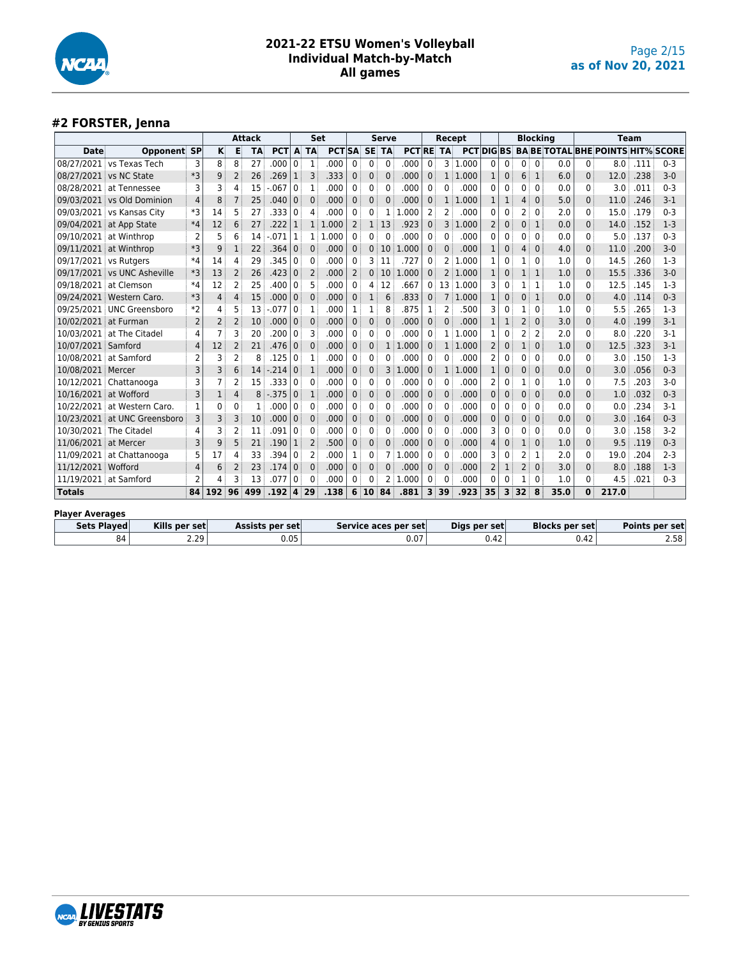

## **#2 FORSTER, Jenna**

|                        |                                                                                                          |                |          |                | <b>Attack</b> |            |              |                | Set           |                |              | <b>Serve</b> |                 |                | Recept         |          |              |              |                                  | <b>Blocking</b> |      |              | <b>Team</b>                                          |      |         |
|------------------------|----------------------------------------------------------------------------------------------------------|----------------|----------|----------------|---------------|------------|--------------|----------------|---------------|----------------|--------------|--------------|-----------------|----------------|----------------|----------|--------------|--------------|----------------------------------|-----------------|------|--------------|------------------------------------------------------|------|---------|
| <b>Date</b>            | <b>Opponent SP</b>                                                                                       |                | Κ        | Е              | <b>TA</b>     | <b>PCT</b> | A            | <b>TA</b>      | <b>PCT</b> SA |                | <b>SE</b>    | <b>TA</b>    | <b>PCTRE TA</b> |                |                |          |              |              |                                  |                 |      |              | <b>PCT DIG BS: BA BE TOTAL BHE POINTS HIT% SCORE</b> |      |         |
|                        | 08/27/2021 vs Texas Tech                                                                                 | 3              | 8        | 8              | 27            | .000       | $\Omega$     | $\mathbf{1}$   | .000          | $\mathbf 0$    | 0            | $\mathbf{0}$ | .000            | $\mathbf{0}$   | $\overline{3}$ | 1.000    | $\mathbf{0}$ | 0            | 0                                | 0               | 0.0  | $\Omega$     | 8.0                                                  | .111 | $0 - 3$ |
|                        | 08/27/2021 vs NC State                                                                                   | *3             | 9        | 2              | 26            | .269       | 1            | 3              | .333          | $\mathbf{0}$   | 0            | $\mathbf{0}$ | .000            | $\mathbf 0$    |                | 1:1.000  |              | $\mathbf{0}$ | 6                                | 1               | 6.0  | 0            | 12.0                                                 | .238 | $3 - 0$ |
|                        | 08/28/2021 at Tennessee                                                                                  | 3              | 3        | Δ              | 15            | .067       | $\Omega$     | 1              | .000          | $\mathbf{0}$   | 0            | 0            | .000            | $\Omega$       | 0              | .000     | 0            | 0            | 0                                | $\mathbf{0}$    | 0.0  | 0            | 3.0                                                  | .011 | $0 - 3$ |
|                        | 09/03/2021 vs Old Dominion                                                                               | 4              | 8        | 7              | 25            | .040       | $\mathbf 0$  | $\mathbf 0$    | .000          | $\mathbf 0$    | $\mathbf 0$  | $\mathbf{0}$ | .000            | $\mathbf 0$    | $\mathbf{1}$   | 1.000    | 1            | $\mathbf{1}$ | 4                                | $\mathbf 0$     | 5.0  | $\Omega$     | 11.0                                                 | .246 | $3-1$   |
|                        | 09/03/2021 vs Kansas City                                                                                | *3             | 14       | 5              | 27            | .333       | $\Omega$     | 4              | .000          | 0              | 0            | 1            | 1.000           | $\overline{2}$ | 2              | .000     | 0            | $\Omega$     | 2                                | $\Omega$        | 2.0  | $\mathbf{0}$ | 15.0                                                 | .179 | $0 - 3$ |
|                        | 09/04/2021 at App State                                                                                  | $*4$           | 12       | 6              | 27            | .222       | $\mathbf{1}$ |                | 1:1.000       | $\overline{2}$ | $\mathbf{1}$ | 13           | .923            | $\Omega$       | $\overline{3}$ | 1.000    | 2            | $\mathbf{0}$ | $\mathbf 0$                      | $\mathbf{1}$    | 0.0  | $\Omega$     | 14.0                                                 | .152 | $1 - 3$ |
|                        | 09/10/2021 at Winthrop                                                                                   | 2              | 5        | 6              | 14            | .071       | 1            | 1              | 1.000         | 0              | 0            | $\Omega$     | .000            | 0              | 0              | .000     | 0            | 0            | 0                                | $\Omega$        | 0.0  | 0            | 5.0                                                  | .137 | $0 - 3$ |
|                        | 09/11/2021 at Winthrop                                                                                   | $*3$           | 9        | 1              | 22            | .364       | $\mathbf{0}$ | $\Omega$       | .000          | $\mathbf 0$    | 0            | 10           | 1.000           | $\mathbf 0$    | $\Omega$       | .000     |              | 0            | 4                                | $\mathbf 0$     | 4.0  | $\Omega$     | 11.0                                                 | .200 | $3-0$   |
| 09/17/2021 vs Rutgers  |                                                                                                          | $*4$           | 14       | 4              | 29            | 345        | $\Omega$     | $\mathbf{0}$   | .000          | $\mathbf{0}$   | 3            | 11           | .727            | $\Omega$       | 2              | 1.000    | 1            | 0            |                                  | $\Omega$        | 1.0  | $\Omega$     | 14.5                                                 | .260 | $1-3$   |
|                        | 09/17/2021 vs UNC Asheville                                                                              | *3             | 13       | 2              | 26            | .423       | 0            | $\overline{2}$ | .000          | $\overline{2}$ | 0            | 10           | 1.000           | $\mathbf{0}$   | $\overline{2}$ | 1.000    | 1            | $\mathbf{0}$ | 1                                | 1               | 1.0  | $\Omega$     | 15.5                                                 | .336 | $3-0$   |
| 09/18/2021 at Clemson  |                                                                                                          | $*4$           | 12       | 2              | 25            | 400        | $\Omega$     | 5              | .000          | 0              | 4            | 12           | .667            | 0              |                | 13 1.000 | 3            | 0            | 1                                | 1               | 1.0  | $\mathbf{0}$ | 12.5                                                 | .145 | $1 - 3$ |
|                        | 09/24/2021 Western Caro.                                                                                 | $*3$           | 4        | 4              | 15            | .000       | $\Omega$     | $\mathbf 0$    | .000          | $\mathbf{0}$   | $\mathbf{1}$ | 6            | .833            | $\Omega$       |                | 7:1.000  | 1            | $\Omega$     | 0                                | 1               | 0.0  | 0            | 4.0                                                  | .114 | $0 - 3$ |
|                        | 09/25/2021 UNC Greensboro                                                                                | $*2$           | 4        | 5              | 13            | .077       | $\Omega$     | $\mathbf{1}$   | .000          | 1              | 1            | 8            | 875             | 1              | 2              | 500      | 3            | 0            |                                  | $\Omega$        | 1.0  | 0            | 5.5                                                  | .265 | $1-3$   |
| 10/02/2021 at Furman   |                                                                                                          | 2              | 2        | $\overline{2}$ | 10            | .000       | $\mathbf{0}$ | $\mathbf{0}$   | .000          | $\mathbf{0}$   | $\mathbf 0$  | $\mathbf 0$  | .000            | $\mathbf{0}$   | 0              | .000     | 1            | 1            | 2                                | $\mathbf{0}$    | 3.0  | 0            | 4.0                                                  | .199 | $3-1$   |
|                        | 10/03/2021 at The Citadel                                                                                | 4              | 7        | 3              | 20            | .200       | $\Omega$     | 3              | .000          | $\mathbf{0}$   | 0            | 0            | .000            | $\Omega$       | 1              | 1.000    |              | 0            | $\overline{c}$                   | $\overline{2}$  | 2.0  | 0            | 8.0                                                  | .220 | $3-1$   |
| 10/07/2021 Samford     |                                                                                                          | 4              | 12       | 2              | 21            | .476       | 0            | $\mathbf 0$    | .000          | $\mathbf 0$    | 0            | $\mathbf{1}$ | 1.000           | 0              | $\mathbf{1}$   | 1.000    | 2            | 0            | 1                                | $\mathbf{0}$    | 1.0  | $\Omega$     | 12.5                                                 | .323 | $3-1$   |
| 10/08/2021 at Samford  |                                                                                                          | $\overline{2}$ | 3        | $\overline{2}$ | 8             | 125        | 0            | 1              | .000          | 0              | 0            | 0            | .000            | 0              | 0              | .000     | 2            | 0            | 0                                | 0               | 0.0  | 0            | 3.0                                                  | .150 | $1 - 3$ |
| 10/08/2021 Mercer      |                                                                                                          | 3              | 3        | 6              | 14            | .214       | $\Omega$     | $\mathbf{1}$   | .000          | $\Omega$       | 0            | 3            | 1.000           | $\Omega$       | $\mathbf{1}$   | 1.000    |              | $\Omega$     | 0                                | $\Omega$        | 0.0  | $\Omega$     | 3.0                                                  | .056 | $0 - 3$ |
|                        | 10/12/2021 Chattanooga                                                                                   | 3              | 7        | 2              | 15            | .333       | 0            | $\mathbf{0}$   | .000          | $\mathbf{0}$   | 0            | 0            | .000            | 0              | 0              | .000     | 2            | 0            |                                  | $\Omega$        | 1.0  | 0            | 7.5                                                  | .203 | $3-0$   |
| 10/16/2021 at Wofford  |                                                                                                          | 3              | 1        | 4              | 8             | $-0.375$   | 0            | $\mathbf{1}$   | .000          | $\mathbf{0}$   | $\mathbf 0$  | $\mathbf 0$  | .000            | $\mathbf{0}$   | $\mathbf{0}$   | .000     | 0            | $\mathbf 0$  | 0                                | $\mathbf{0}$    | 0.0  | $\Omega$     | 1.0                                                  | .032 | $0 - 3$ |
|                        | 10/22/2021 at Western Caro.                                                                              |                | 0        | 0              |               | .000       | $\Omega$     | $\mathbf{0}$   | .000          | 0              | 0            | 0            | .000            | 0              | $\Omega$       | .000     | 0            | 0            | 0                                | $\mathbf{0}$    | 0.0  | 0            | 0.0                                                  | .234 | $3 - 1$ |
|                        | 10/23/2021 at UNC Greensboro                                                                             | 3              | 3        | 3              | 10            | .000       | $\mathbf{0}$ | $\mathbf{0}$   | .000          | $\mathbf{0}$   | $\mathbf 0$  | $\mathbf 0$  | .000            | $\mathbf{0}$   | $\mathbf 0$    | .000     | 0            | $\mathbf{0}$ | 0                                | $\mathbf 0$     | 0.0  | 0            | 3.0                                                  | .164 | $0 - 3$ |
| 10/30/2021 The Citadel |                                                                                                          | 4              | 3        | 2              | 11            | .091       | 0            | 0              | .000          | 0              | 0            | 0            | .000            | 0              | 0              | .000     | 3            | 0            | 0                                | 0               | 0.0  | 0            | 3.0                                                  | .158 | $3 - 2$ |
| 11/06/2021 at Mercer   |                                                                                                          | 3              | 9        | 5              | 21            | .190       | 1            | 2              | .500          | $\mathbf 0$    | 0            | 0            | .000            | $\mathbf{0}$   | $\Omega$       | .000     | 4            | $\mathbf{0}$ | 1                                | $\Omega$        | 1.0  | $\Omega$     | 9.5                                                  | .119 | $0 - 3$ |
|                        | 11/09/2021 at Chattanooga                                                                                | 5              | 17       | Δ              | 33            | 394        | 0            | $\overline{2}$ | .000          | 1              | 0            | 7            | 1.000           | $\Omega$       | $\Omega$       | .000     | 3            | 0            | $\overline{c}$                   | 1               | 2.0  | 0            | 19.0                                                 | .204 | $2 - 3$ |
| 11/12/2021 Wofford     |                                                                                                          | 4              | 6        | 2              | 23            | .174       | 0            | $\mathbf{0}$   | .000          | $\mathbf{0}$   | $\mathbf 0$  | $\Omega$     | .000            | $\mathbf{0}$   | $\mathbf{0}$   | .000     | 2            | 1            | 2                                | $\Omega$        | 3.0  | 0            | 8.0                                                  | .188 | $1-3$   |
| 11/19/2021 at Samford  |                                                                                                          | 2              | 4<br>192 | 3<br>96        | 13<br>499     | .077       | 0            | $\Omega$       | .000          | 0              | 0            | 2            | .000            | 0              | 0              | .000     | 0            | 0            | 1                                | 0               | 1.0  | O            | 4.5                                                  | .021 | $0 - 3$ |
| <b>Totals</b>          | 84                                                                                                       |                |          |                |               | .192       | 4            | 29             | .138          | 6              | 10           | 84           | .881            | 3              | 39             | .923     | 35           |              | $3 \overline{\smash{\big)}\ 32}$ | 8               | 35.0 | $\bf{0}$     | 217.0                                                |      |         |
|                        |                                                                                                          |                |          |                |               |            |              |                |               |                |              |              |                 |                |                |          |              |              |                                  |                 |      |              |                                                      |      |         |
|                        | <b>Player Averages</b><br>Cote Bloyced<br>Ville nor cot<br>Contico acor nor<br>Accicts nor sot<br>$\sim$ |                |          |                |               |            |              |                |               |                |              |              |                 | Diac nor cot   |                |          |              |              | <b>Diacks nor set</b>            |                 |      |              | Dointe nor cot                                       |      |         |

| Sets Plaved | Kills per set | Assists per set | Service aces per set | Digs per set   | <b>Blocks per set</b>            | Points per set |
|-------------|---------------|-----------------|----------------------|----------------|----------------------------------|----------------|
| 34          | 2.29          | 0.05            | 0.07                 | $\sim$<br>v.42 | $\overline{\phantom{a}}$<br>V.42 | 2.58           |

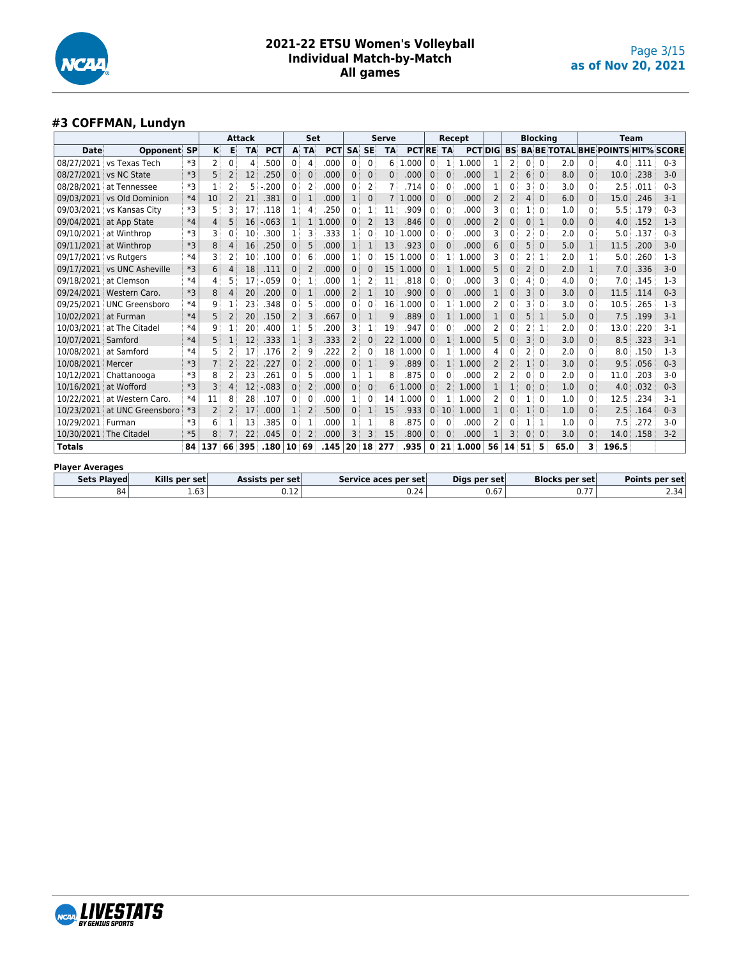

#### **#3 COFFMAN, Lundyn**

|                        |                        |           |     |                | <b>Attack</b> |            |              | Set            |            |                |           | <b>Serve</b>    |                      |              | Recept       |       |                |                |                | <b>Blocking</b> |      |              | Team                                     |      |         |
|------------------------|------------------------|-----------|-----|----------------|---------------|------------|--------------|----------------|------------|----------------|-----------|-----------------|----------------------|--------------|--------------|-------|----------------|----------------|----------------|-----------------|------|--------------|------------------------------------------|------|---------|
| <b>Date</b>            | Opponent               | <b>SP</b> | κ   | Е              | <b>TA</b>     | <b>PCT</b> | A            | <b>TA</b>      | <b>PCT</b> | <b>SA</b>      | <b>SE</b> | <b>TA</b>       | <b>PCTRE TA</b>      |              |              |       | <b>PCTIDIG</b> | <b>BS:</b>     |                |                 |      |              | <b>BA BE TOTAL BHE POINTS HIT% SCORE</b> |      |         |
| 08/27/2021             | vs Texas Tech          | *3        | 2   | 0              | 4             | .500       | 0            | 4              | .000       | 0              | 0         | 6               | .000<br>-1           | 0            | 1            | .000  | 1              | 2              | 0 <sup>1</sup> | 0               | 2.0  | 0            | 4.0                                      | .111 | $0 - 3$ |
|                        | 08/27/2021 vs NC State | *3        | 5   | 2              | 12            | .250       | $\Omega$     | $\Omega$       | .000       | 0              | 0         | 0               | .000                 | $\Omega$     | $\mathbf 0$  | .000  |                | 2              | 6              | $\Omega$        | 8.0  | $\Omega$     | 10.0                                     | .238 | $3-0$   |
| 08/28/2021             | at Tennessee           | *3        |     | 2              | 5             | .200       | 0            | 2              | .000       | 0              | 2         |                 | .714                 | 0            | 0            | .000  | 1              | 0              | 3              | $\Omega$        | 3.0  | 0            | 2.5                                      | .011 | $0 - 3$ |
| 09/03/2021             | vs Old Dominion        | $*4$      | 10  |                | 21            | .381       | $\Omega$     | 1              | .000       | 1              | $\Omega$  |                 | .000                 | $\mathbf 0$  | $\Omega$     | .000  |                | 2              | 4              | $\mathbf 0$     | 6.0  | $\mathbf{0}$ | 15.0                                     | .246 | $3 - 1$ |
| 09/03/2021             | vs Kansas City         | *3        | 5   | ٦              | 17            | .118       | 1            | 4              | 250        | 0              | 1         | 11              | 909                  | 0            | 0            | .000  | 3              | 0              |                | 0               | 1.0  | 0            | 5.5                                      | .179 | $0 - 3$ |
| 09/04/2021             | at App State           | $*4$      | 4   | 5              | 16            | $-.063$    | $\mathbf{1}$ | 1              | 1.000      | 0              | 2         | 13              | .846                 | $\mathbf{0}$ | 0            | .000  | 2              | 0              | 0              | 1               | 0.0  | 0            | 4.0                                      | .152 | $1-3$   |
| 09/10/2021             | at Winthrop            | *3        | 3   |                | 10            | .300       | 1            | 3              | .333       | 1              | 0         | 10              | .000                 | 0            | $\mathbf{0}$ | .000  | 3              | 0              | 2              | $\Omega$        | 2.0  | 0            | 5.0                                      | .137 | $0 - 3$ |
| 09/11/2021             | at Winthrop            | *3        | 8   | 4              | 16            | .250       | $\mathbf{0}$ | 5              | .000       | 1              | 1         | 13              | .923                 | 0            | $\mathbf 0$  | .000  | 6              | 0              | 5              | $\mathbf{0}$    | 5.0  | $\mathbf{1}$ | 11.5                                     | .200 | $3-0$   |
| 09/17/2021 vs Rutgers  |                        | $*4$      | 3   | 2              | 10            | .100       | 0            | 6              | .000       | 1              | 0         | 15              | .000                 | 0            | 1            | .000  | 3              | 0              | 2              |                 | 2.0  | 1            | 5.0                                      | .260 | $1 - 3$ |
| 09/17/2021             | vs UNC Asheville       | *3        | 6   | 4              | 18            | .111       | $\mathbf{0}$ | 2              | .000       | 0              | $\Omega$  | 15              | 1.000                | $\mathbf{0}$ | 1            | 1.000 | 5              | 0              | $\overline{2}$ | $\mathbf 0$     | 2.0  | 1            | 7.0                                      | .336 | $3-0$   |
| 09/18/2021             | at Clemson             | $*4$      | 4   |                | 17            | .059       | 0            | 1              | .000       |                | 2         | 11              | .818                 | 0            | $\Omega$     | .000  | 3              | 0              |                | $\Omega$        | 4.0  | 0            | 7.0                                      | .145 | $1-3$   |
| 09/24/2021             | Western Caro.          | *3        | 8   | 4              | 20            | .200       | $\mathbf{0}$ | $\mathbf{1}$   | .000       | 2              | 1         | 10              | .900                 | $\mathbf{0}$ | $\mathbf 0$  | .000  | 1              | 0              | 3              | $\mathbf{0}$    | 3.0  | 0            | 11.5                                     | .114 | $0 - 3$ |
| 09/25/2021             | <b>UNC Greensboro</b>  | $*4$      | 9   |                | 23            | .348       | 0            | 5              | .000       | 0              | 0         | 16              | .000                 | 0            | 1            | 1.000 | 2              | 0              | 3              | 0               | 3.0  | 0            | 10.5                                     | .265 | $1-3$   |
| 10/02/2021             | at Furman              | $*4$      | 5   | 2              | 20            | .150       | 2            | 3              | .667       | 0              | 1         | 9               | 889                  | $\mathbf 0$  | 1            | 1.000 | 1              | 0              | 5              |                 | 5.0  | 0            | 7.5                                      | .199 | $3-1$   |
| 10/03/2021             | at The Citadel         | *4        | 9   |                | 20            | .400       |              | 5              | .200       | 3              | 1         | 19              | .947                 | 0            | $\mathbf{0}$ | .000  | 2              | 0              | 2              |                 | 2.0  | 0            | 13.0                                     | .220 | $3-1$   |
| 10/07/2021             | Samford                | $*4$      | 5   |                | 12            | .333       | 1            | 3              | .333       | $\overline{2}$ | 0         | 22              | .000<br>1            | $\Omega$     | 1            | 1.000 | 5              | 0              | 3              | $\Omega$        | 3.0  | $\mathbf{0}$ | 8.5                                      | .323 | $3 - 1$ |
| 10/08/2021             | at Samford             | $*4$      | 5   | 2              | 17            | .176       | 2            | 9              | .222       | 2              | 0         | 18 <sup>3</sup> | $\mathbf{1}$<br>.000 | 0            |              | 1.000 | 4              | 0              | 2              | 0               | 2.0  | 0            | 8.0                                      | .150 | $1 - 3$ |
| 10/08/2021             | Mercer                 | $*3$      |     | $\overline{2}$ | 22            | .227       | $\Omega$     | $\overline{2}$ | .000       | 0              |           | q               | .889                 | $\Omega$     |              | 1.000 | 2              | 2              | 1              | $\Omega$        | 3.0  | $\mathbf{0}$ | 9.5                                      | .056 | $0 - 3$ |
| 10/12/2021             | Chattanooga            | *3        | 8   | 2              | 23            | .261       | 0            | 5              | .000       | 1              | 1         | 8               | 875                  | 0            | 0            | .000  | 2              | $\overline{2}$ | 0              | $\Omega$        | 2.0  | 0            | 11.0                                     | .203 | $3-0$   |
| 10/16/2021             | at Wofford             | $*3$      | 3   | 4              | 12            | $-083$     | $\Omega$     | $\overline{2}$ | .000       | 0              | $\Omega$  | 6               | .000                 | $\Omega$     | 2            | 1.000 | 1              |                | 0              | $\Omega$        | 1.0  | $\mathbf{0}$ | 4.0                                      | .032 | $0 - 3$ |
| 10/22/2021             | at Western Caro.       | $*4$      | 11  | 8              | 28            | .107       | 0            | 0              | .000       | 1              | 0         | 14              | .000                 | 0            | 1            | 1.000 | 2              | 0              |                | 0               | 1.0  | 0            | 12.5                                     | .234 | $3-1$   |
| 10/23/2021             | at UNC Greensboro      | *3        | 2   | 2              | 17            | .000       | 1            | $\overline{2}$ | .500       | 0              | 1         | 15              | .933                 | $\mathbf 0$  | 10           | 1.000 |                | 0              | 1              | $\mathbf 0$     | 1.0  | $\mathbf{0}$ | 2.5                                      | .164 | $0 - 3$ |
| 10/29/2021             | Furman                 | *3        | 6   |                | 13            | .385       | 0            | 1              | .000       | 1              | 1         | 8               | 875                  | 0            | $\mathbf{0}$ | .000  | 2              | 0              |                |                 | 1.0  | 0            | 7.5                                      | .272 | $3-0$   |
| 10/30/2021             | The Citadel            | $*5$      | 8   |                | 22            | .045       | $\mathbf 0$  | $\overline{2}$ | .000       | 3              | 3         | 15              | .800                 | 0            | $\mathbf 0$  | .000  |                | 3              | 0              | $\mathbf 0$     | 3.0  | $\mathbf{0}$ | 14.0                                     | .158 | $3-2$   |
| <b>Totals</b>          |                        | 84        | 137 | 66             | 395           | .180       | 10           | 69             | .145       | 20             | 18        | 277             | .935                 | 0            | 21           | 1.000 | 56             | 14             | 51             | 5               | 65.0 | 3            | 196.5                                    |      |         |
| <b>Player Averages</b> |                        |           |     |                |               |            |              |                |            |                |           |                 |                      |              |              |       |                |                |                |                 |      |              |                                          |      |         |
| $  -$                  | . .<br>1.7777          |           |     |                | .             |            |              |                | -          |                |           |                 |                      |              |              |       |                |                |                | --              |      |              |                                          | .    |         |

| Sets Played | Kills per set  | Assists per setl  | Service aces per set | Digs per set          | <b>Blocks per set</b> | <b>Points per set</b> |
|-------------|----------------|-------------------|----------------------|-----------------------|-----------------------|-----------------------|
| 84          | $\sim$<br>1.63 | $-$<br><b>U.L</b> | 0.24                 | $\sim$ $\sim$<br>u.o. | .<br><b>U.I.</b>      | 2.34                  |

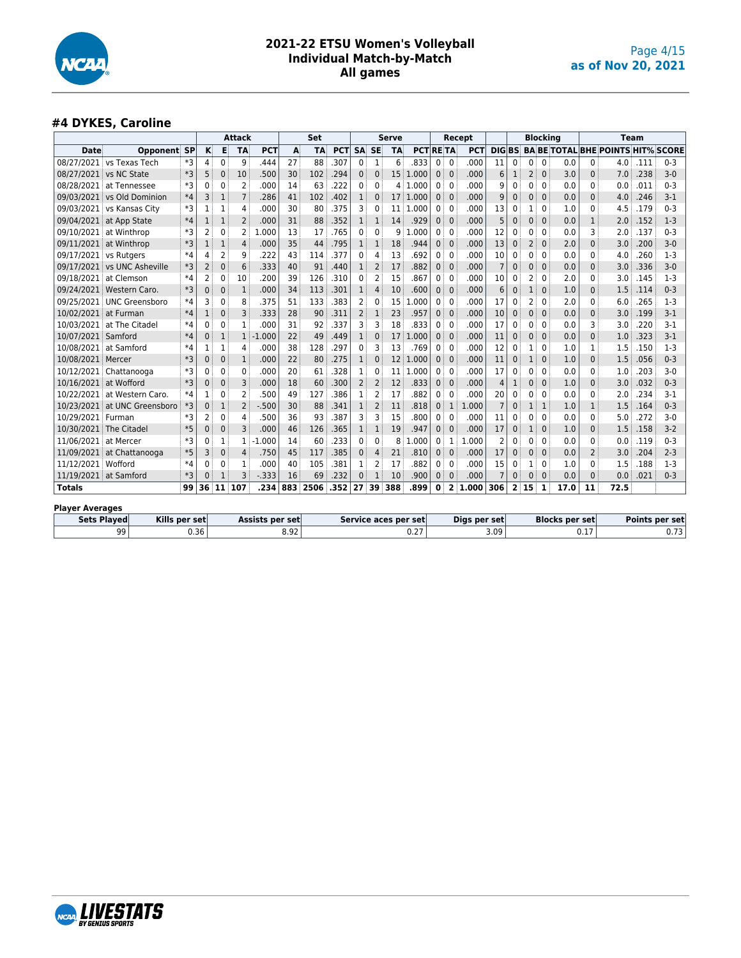

#### **#4 DYKES, Caroline**

|                        |                                                        |      |              |              | <b>Attack</b>  |            |     | <b>Set</b> |            |                |              | <b>Serve</b> |                      |              |                | Recept       |                |                         |                | <b>Blocking</b> |                       |          |                                          | Team |                |
|------------------------|--------------------------------------------------------|------|--------------|--------------|----------------|------------|-----|------------|------------|----------------|--------------|--------------|----------------------|--------------|----------------|--------------|----------------|-------------------------|----------------|-----------------|-----------------------|----------|------------------------------------------|------|----------------|
| Date                   | <b>Opponent SP</b>                                     |      | κ            | E            | <b>TA</b>      | <b>PCT</b> | A   | <b>TA</b>  | <b>PCT</b> | <b>SA</b>      | <b>SE</b>    | <b>TA</b>    | <b>PCTRETA</b>       |              |                | PCT          | DIG BS         |                         |                |                 |                       |          | <b>BA BE TOTAL BHE POINTS HIT% SCORE</b> |      |                |
| 08/27/2021             | vs Texas Tech                                          | $*3$ | 4            | 0            | 9              | 444        | 27  | 88         | .307       | $\Omega$       | 1            | 6            | 833                  | $\Omega$     | $\Omega$       | .000         | 11             | $\Omega$                | 0              | $\Omega$        | 0.0                   | 0        | 4.0                                      | .111 | $0 - 3$        |
| 08/27/2021             | vs NC State                                            | *3   | 5            | 0            | 10             | .500       | 30  | 102        | .294       | $\mathbf 0$    | 0            | 15           | 1.000                | $\mathbf{0}$ | $\mathbf{0}$   | .000         | 6              | 1                       | 2              | $\mathbf{0}$    | 3.0                   | 0        | 7.0                                      | .238 | $3 - 0$        |
| 08/28/2021             | at Tennessee                                           | $*3$ | $\Omega$     | 0            | $\overline{2}$ | .000       | 14  | 63         | .222       | 0              | 0            | 4            | 1.000                | 0            | 0              | .000         | q              | $\Omega$                | 0              | $\Omega$        | 0.0                   | 0        | 0.0                                      | .011 | $0 - 3$        |
| 09/03/2021             | vs Old Dominion                                        | $*4$ | 3            | $\mathbf{1}$ | $\overline{7}$ | .286       | 41  | 102        | .402       | 1              | 0            | 17           | 1.000                | $\mathbf{0}$ | $\mathbf{0}$   | .000         | 9              | $\Omega$                | 0              | $\mathbf{0}$    | 0.0                   | 0        | 4.0                                      | .246 | $3-1$          |
| 09/03/2021             | vs Kansas City                                         | $*3$ |              | 1            | 4              | .000       | 30  | 80         | .375       | 3              | 0            |              | 11 1.000             | 0            | $\Omega$       | .000         | 13             | 0                       | 1              | $\Omega$        | 1.0                   | 0        | 4.5                                      | .179 | $0 - 3$        |
| 09/04/2021             | at App State                                           | $*4$ | 1            | $\mathbf{1}$ | 2              | .000       | 31  | 88         | .352       | 1              | $\mathbf{1}$ | 14           | .929                 | $\mathbf 0$  | $\mathbf{0}$   | .000         | 5              | $\mathbf 0$             | 0              | $\mathbf{0}$    | 0.0                   | 1        | 2.0                                      | .152 | $1 - 3$        |
| 09/10/2021             | at Winthrop                                            | $*3$ | 2            | 0            | 2              | .000<br>1. | 13  | 17         | .765       | 0              | 0            | 9            | .000<br>1            | 0            | $\mathbf{0}$   | .000         | 12             | 0                       | 0              | $\Omega$        | 0.0                   | З        | 2.0                                      | .137 | $0 - 3$        |
|                        | 09/11/2021 at Winthrop                                 | $*3$ |              | 1            | 4              | .000       | 35  | 44         | .795       | 1              | 1            | 18           | .944                 | $\mathbf 0$  | $\mathbf{0}$   | .000         | 13             | $\mathbf 0$             | 2              | $\mathbf{0}$    | 2.0                   | $\Omega$ | 3.0                                      | .200 | $3 - 0$        |
| 09/17/2021             | vs Rutgers                                             | $*4$ | 4            | 2            | 9              | .222       | 43  | 114        | .377       | 0              | 4            | 13           | 692                  | 0            | 0              | .000         | 10             | $\Omega$                | 0              | $\Omega$        | 0.0                   | 0        | 4.0                                      | .260 | $1-3$          |
| 09/17/2021             | vs UNC Asheville                                       | $*3$ | 2            | 0            | 6              | .333       | 40  | 91         | .440       | $\mathbf{1}$   | 2            | 17           | .882                 | $\mathbf 0$  | $\mathbf{0}$   | .000         | $\overline{7}$ | $\Omega$                | 0              | $\Omega$        | 0.0                   | $\Omega$ | 3.0                                      | .336 | $3 - 0$        |
| 09/18/2021             | at Clemson                                             | $*4$ | 2            | 0            | 10             | .200       | 39  | 126        | .310       | 0              | 2            | 15           | .867                 | 0            | $\mathbf 0$    | .000         | 10             | $\Omega$                | $\overline{2}$ | $\Omega$        | 2.0                   | 0        | 3.0                                      | .145 | $1-3$          |
| 09/24/2021             | <b>Western Caro</b>                                    | $*3$ | $\Omega$     | $\Omega$     | $\mathbf 1$    | .000       | 34  | 113        | .301       | 1              | 4            | 10           | .600                 | $\mathbf{0}$ | $\mathbf{0}$   | .000         | 6              | $\mathbf 0$             | $\mathbf{1}$   | $\Omega$        | 1.0                   | $\Omega$ | 1.5                                      | .114 | $0 - 3$        |
| 09/25/2021             | <b>UNC Greensboro</b>                                  | $*4$ | 3            | 0            | 8              | 375        | 51  | 133        | .383       | 2              | 0            | 15           | 1.000                | 0            | $\mathbf{0}$   | .000         | 17             | 0                       | 2              | $\Omega$        | 2.0                   | 0        | 6.0                                      | .265 | $1-3$          |
| 10/02/2021             | at Furman                                              | $*4$ | $\mathbf{1}$ | 0            | 3              | .333       | 28  | 90         | .311       | $\overline{2}$ | $\mathbf{1}$ | 23           | .957                 | $\mathbf{0}$ | $\mathbf{0}$   | .000         | 10             | $\mathbf 0$             | 0              | $\mathbf{0}$    | 0.0                   | $\Omega$ | 3.0                                      | .199 | $3 - 1$        |
| 10/03/2021             | at The Citadel                                         | $*4$ | $\Omega$     | 0            | $\mathbf{1}$   | .000       | 31  | 92         | .337       | 3              | 3            | 18           | .833                 | 0            | $\mathbf{0}$   | .000         | 17             | 0                       | 0              | $\Omega$        | 0.0                   | 3        | 3.0                                      | .220 | 3-1            |
| 10/07/2021             | Samford                                                | $*4$ | $\Omega$     | $\mathbf{1}$ | $\mathbf{1}$   | $-1.000$   | 22  | 49         | .449       | 1              | $\Omega$     | 17           | 1.000                | $\mathbf{0}$ | $\Omega$       | .000         | 11             | $\Omega$                | 0              | $\Omega$        | 0.0                   | $\Omega$ | 1.0                                      | .323 | $3-1$          |
| 10/08/2021             | at Samford                                             | $*4$ | 1            | $\mathbf{1}$ | 4              | .000       | 38  | 128        | .297       | 0              | 3            | 13           | .769                 | 0            | $\mathbf 0$    | .000         | 12             | 0                       | 1              | $\mathbf{0}$    | 1.0                   | 1        | 1.5                                      | .150 | $1-3$          |
| 10/08/2021             | Mercer                                                 | $*3$ | $\Omega$     | $\mathbf 0$  | $1\,$          | .000       | 22  | 80         | .275       | 1              | $\Omega$     | 12           | 1.000                | $\mathbf{0}$ | $\mathbf{0}$   | .000         | 11             | $\mathbf 0$             | $\overline{1}$ | $\Omega$        | 1.0                   | $\Omega$ | 1.5                                      | .056 | $0 - 3$        |
| 10/12/2021             | Chattanooga                                            | $*3$ | $\Omega$     | 0            | 0              | .000       | 20  | 61         | .328       | 1              | 0            | 11           | 1.000                | 0            | $\Omega$       | .000         | 17             | $\Omega$                | 0              | $\Omega$        | 0.0                   | 0        | 1.0                                      | .203 | $3 - 0$        |
| 10/16/2021             | at Wofford                                             | $*3$ | $\mathbf{0}$ | 0            | 3              | .000       | 18  | 60         | .300       | $\overline{2}$ | 2            | 12           | .833                 | $\mathbf{0}$ | $\mathbf{0}$   | .000         | Δ              | 1                       | 0              | $\mathbf{0}$    | 1.0                   | $\Omega$ | 3.0                                      | .032 | $0 - 3$        |
| 10/22/2021             | at Western Caro.                                       | $*4$ |              | 0            | $\overline{2}$ | .500       | 49  | 127        | .386       | 1              | 2            | 17           | .882                 | 0            | 0              | .000         | 20             | $\Omega$                | 0              | $\Omega$        | 0.0                   | ი        | 2.0                                      | .234 | $3 - 1$        |
| 10/23/2021             | at UNC Greensboro                                      | $*3$ | $\mathbf{0}$ | $\mathbf{1}$ | $\overline{2}$ | $-0.500$   | 30  | 88         | .341       | 1              | 2            | 11           | .818                 | $\mathbf{0}$ | $\mathbf{1}$   | 1.000        | $\overline{7}$ | $\mathbf{0}$            | 1              | 1               | 1.0                   | 1        | 1.5                                      | .164 | $0 - 3$        |
| 10/29/2021             | Furman                                                 | *3   | 2            | 0            | 4              | .500       | 36  | 93         | 387        | 3              | 3            | 15           | .800                 | 0            | 0              | .000         | 11             | $\Omega$                | 0              | $\Omega$        | 0.0                   | 0        | 5.0                                      | .272 | $3 - 0$        |
| 10/30/2021             | The Citadel                                            | $*5$ | $\Omega$     | 0            | 3              | .000       | 46  | 126        | .365       | 1              | 1            | 19           | .947                 | $\mathbf 0$  | $\mathbf 0$    | .000         | 17             | 0                       | 1              | $\mathbf{0}$    | 1.0                   | 0        | 1.5                                      | .158 | $3 - 2$        |
| 11/06/2021             | at Mercer                                              | $*3$ | 0            | 1            | 1              | $-1.000$   | 14  | 60         | .233       | 0              | 0            | 8            | 1.000                | 0            | 1              | 1.000        | 2              | $\Omega$                | 0              | $\Omega$        | 0.0                   | 0        | 0.0                                      | .119 | $0 - 3$        |
| 11/09/2021             | at Chattanooga                                         | $*5$ | 3            | $\mathbf 0$  | 4              | .750       | 45  | 117        | .385       | $\Omega$       | 4            | 21           | .810                 | $\mathbf{0}$ | $\mathbf{0}$   | .000         | 17             | $\Omega$                | 0              | $\Omega$        | 0.0                   | 2        | 3.0                                      | .204 | $2 - 3$        |
| 11/12/2021 Wofford     |                                                        | $*4$ | 0            | 0            | 1              | .000       | 40  | 105        | .381       | 1              | 2            | 17           | 882                  | $\mathbf{0}$ | $\Omega$       | .000         | 15             | <sup>0</sup>            | 1              | 0               | 1.0                   | 0        | 1.5                                      | .188 | $1-3$          |
| 11/19/2021 at Samford  |                                                        | $*3$ | $\Omega$     | 1            | 3              | $-0.333$   | 16  | 69         | .232       | $\Omega$       | 1            | 10           | .900                 | $\mathbf{0}$ | $\mathbf{0}$   | .000         |                | 0                       | 0              | $\mathbf{0}$    | 0.0                   | $\Omega$ | 0.0                                      | .021 | $0 - 3$        |
| <b>Totals</b>          |                                                        | 99   | 36           | 11           | 107            | .234       | 883 | 2506       | .352       | 27             | 39           | 388          | .899                 | 0            | $\overline{2}$ | 1.000        | 306            | $\overline{\mathbf{2}}$ | 15             | 1               | 17.0                  | 11       | 72.5                                     |      |                |
| <b>Player Averages</b> |                                                        |      |              |              |                |            |     |            |            |                |              |              |                      |              |                |              |                |                         |                |                 |                       |          |                                          |      |                |
|                        | <b>Sets Played</b><br>Kills per set<br>Assists per set |      |              |              |                |            |     |            |            |                |              |              | Service aces per set |              |                | Digs per set |                |                         |                |                 | <b>Blocks per set</b> |          |                                          |      | Points per set |
|                        | 0.36<br>99                                             |      |              |              |                | 8.92       |     |            |            |                |              | 0.27         |                      |              |                | 3.09         |                |                         |                |                 | 0.17                  |          |                                          | 0.73 |                |

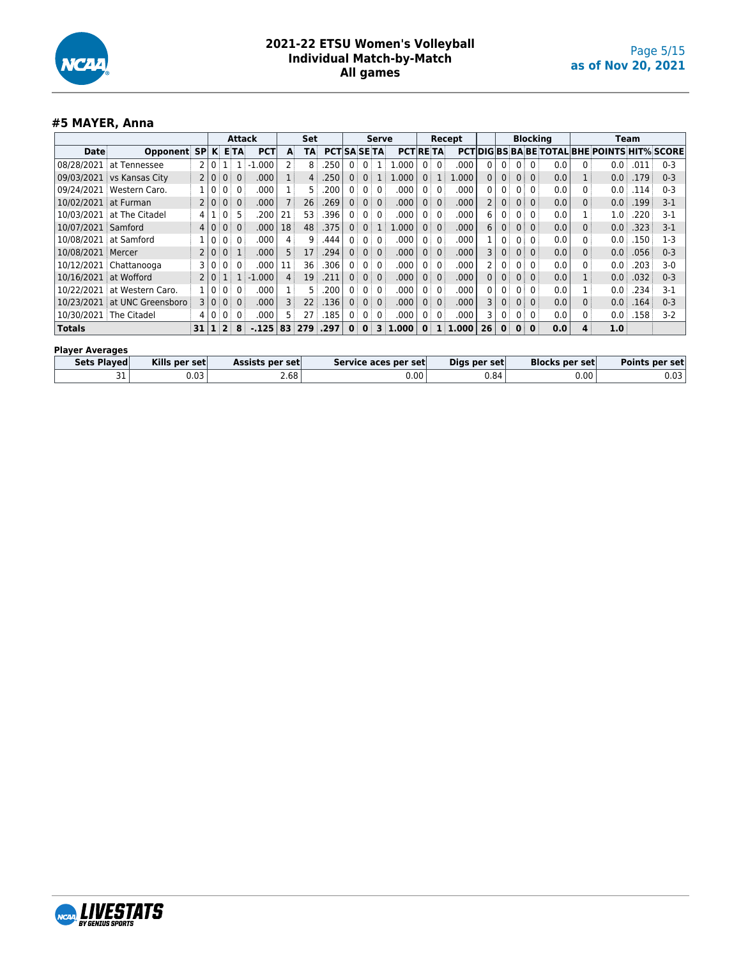

#### **#5 MAYER, Anna**

|                        |                           |                |                |                  | <b>Attack</b>  |             |    | <b>Set</b>      |                     |                   |                | <b>Serve</b>    |                 |                |              | Recept    |                |                   |              | <b>Blocking</b> |     |   |                                                     | Team |         |
|------------------------|---------------------------|----------------|----------------|------------------|----------------|-------------|----|-----------------|---------------------|-------------------|----------------|-----------------|-----------------|----------------|--------------|-----------|----------------|-------------------|--------------|-----------------|-----|---|-----------------------------------------------------|------|---------|
| <b>Date</b>            | Opponent SP               |                |                | K ETA            |                | <b>PCT</b>  | A  | <b>TA</b>       | <b>PCTISA SE TA</b> |                   |                |                 | <b>PCT RETA</b> |                |              |           |                |                   |              |                 |     |   | <b>PCTIDIGIBS BA BE TOTAL BHE POINTS HIT% SCORE</b> |      |         |
| 08/28/2021             | at Tennessee              | 2              | $\overline{0}$ |                  |                | 000<br>-1   | 2  | 8               | .250                | $\mathbf{0}$      | $\mathbf{0}$   |                 | 1.000           | $0^{\circ}$    | $\Omega$     | .000      | $\mathbf{0}$   | $\mathbf{0}$      |              | 0:0:            | 0.0 | 0 | 0.0                                                 | .011 | $0 - 3$ |
|                        | 09/03/2021 vs Kansas City | $\overline{2}$ | $\Omega$       | $0^{\pm}$        | $\Omega$       | .000        |    | 4:              | .250                | $\mathbf{0}$      | $\Omega$       |                 | 1.000           |                | 0:1          | .000      | 0              | 0 <sup>1</sup>    |              | 0:0:            | 0.0 |   | 0.0                                                 | .179 | $0 - 3$ |
| 09/24/2021             | Western Caro.             |                |                | $0^{\circ}$      | $\Omega$       | .000        |    | 5.              | .200                | 0                 | 0              | $\Omega$        | .000            | 0              | $\Omega$     | .000      | 0              | 0                 | 0            | $\overline{0}$  | 0.0 |   | 0.0                                                 | .114 | $0 - 3$ |
| 10/02/2021 at Furman   |                           | $\overline{2}$ | $\mathbf{0}$   | $0^{\circ}$      | $\overline{0}$ | .000        |    | 26:             | .269                | 0 <sup>1</sup>    |                | 0:0:            | .000            | $0^{\pm}$      | $\Omega$     | .000      | $\overline{2}$ | 0 <sup>1</sup>    |              | $0 \mid 0 \mid$ | 0.0 | 0 | 0.0                                                 | .199 | $3-1$   |
| 10/03/2021             | at The Citadel            | 4              |                | 0:               | 5.             | .200        | 21 | 53              | .396                | 0:                | 0 <sup>1</sup> | $\overline{0}$  | .000            | 0 <sup>1</sup> | $\Omega$     | .000      | 6              | 0:                |              | 0:0:            | 0.0 |   | 1.0:                                                | .220 | $3-1$   |
| 10/07/2021 Samford     |                           | 4              |                | 0:               | $\Omega$       | .000        | 18 | 48              | .375                | $\Omega$          | $\Omega$       | $\mathbb{I}$ .  | 1.000           | 0 <sup>1</sup> | $\Omega$     | .000      | 6              | $\mathbf{0}$      |              | $0 \mid 0 \mid$ | 0.0 | 0 | 0.0                                                 | .323 | $3-1$   |
| 10/08/2021             | at Samford                |                |                | 0                | $\Omega$       | .000        | 4  | 9               | .444                | 0:                | 0 <sup>1</sup> | $\overline{0}$  | .000            | $0^{\circ}$    | $\Omega$     | .000      |                | 0 <sup>1</sup>    |              | 0:0:            | 0.0 |   | 0.0                                                 | .150 | $1-3$   |
| 10/08/2021 Mercer      |                           | $\overline{2}$ | $\Omega$       | 0 <sup>1</sup>   | 1              | .000        | 5  | 17              | .294                | 0 <sup>1</sup>    | 0 <sup>1</sup> | $\overline{0}$  | .000            | 0 <sup>1</sup> | $\mathbf{0}$ | .000      | 3              | $\mathbf{0}$      |              | 0:0:            | 0.0 | 0 | 0.0                                                 | .056 | $0 - 3$ |
|                        | 10/12/2021 Chattanooga    | 3              |                | $0^{\pm}$        | $\Omega$       | .000        | 11 | 36 <sup>3</sup> | .306                | $0^{\circ}$       |                | $0 \mid 0 \mid$ | .000            | 0              | $\mathbf{0}$ | .000      | $\overline{2}$ | 0 <sup>1</sup>    |              | 0 <sub>0</sub>  | 0.0 | 0 | 0.0                                                 | .203 | $3-0$   |
| 10/16/2021             | at Wofford                | $\overline{2}$ | 0 <sup>1</sup> | $\mathbf{1}$     |                | $1 - 1.000$ | 4  | 19              | .211                | $0^{\frac{1}{3}}$ |                | 0:0:            | .000            | 0:             | $\Omega$     | .000      | 0              | $0^{\frac{1}{3}}$ | 0            | $\overline{0}$  | 0.0 |   | 0.0                                                 | .032 | $0 - 3$ |
| 10/22/2021             | at Western Caro.          |                | $\Omega$       | $0^{\circ}$      | $\Omega$       | .000        |    | 5.              | .200                | 0 <sup>1</sup>    | $0^{\circ}$    | 0:              | .000            | 0 <sup>1</sup> | $\Omega$     | .000      | $\mathbf{0}$   | 0 <sup>1</sup>    | 0            | 0:              | 0.0 |   | 0.0                                                 | .234 | $3-1$   |
| 10/23/2021             | at UNC Greensboro         | 3              | $\overline{0}$ |                  | $0 \mid 0$     | .000        | 3  | 22 <sup>3</sup> | .136                | 0:                |                | 0:0:            | .000            | 0:             | $\Omega$     | .000      | 3              | $\mathbf{0}$      | $0$ :        | $\overline{0}$  | 0.0 | 0 | 0.0                                                 | .164 | $0 - 3$ |
| 10/30/2021 The Citadel |                           | 4              | $\mathbf{0}$   | $0^{\circ}$      | $\Omega$       | .000        | 5: | 27              | .185                | 0:                | 0:             | 0 <sup>3</sup>  | .000            | 0 <sup>1</sup> | $\Omega$     | .000      | 3              | 0 <sup>1</sup>    | $0^{\circ}$  | 0:              | 0.0 | 0 | 0.0                                                 | .158 | $3-2$   |
| Totals                 |                           | 31             |                | $1 \overline{2}$ | 8              | $-.125$     | 83 | 279 .297        |                     | $\mathbf{0}$      | $\mathbf{0}$   |                 | $3 \mid 1.000$  |                |              | 0:1:1.000 | 26             | $\mathbf{0}$      | $\mathbf{0}$ | $\mathbf{0}$    | 0.0 | 4 | 1.0 <sub>1</sub>                                    |      |         |

| <b>Plaver Averages</b> |               |                 |                      |              |                       |                |
|------------------------|---------------|-----------------|----------------------|--------------|-----------------------|----------------|
| Sets Plaved            | Kills per set | Assists per set | Service aces per set | Digs per set | <b>Blocks per set</b> | Points per set |
| ـ د ب                  | 0.03          | 2.68            | 0.00                 | 0.84         | 0.00                  | U.U3           |

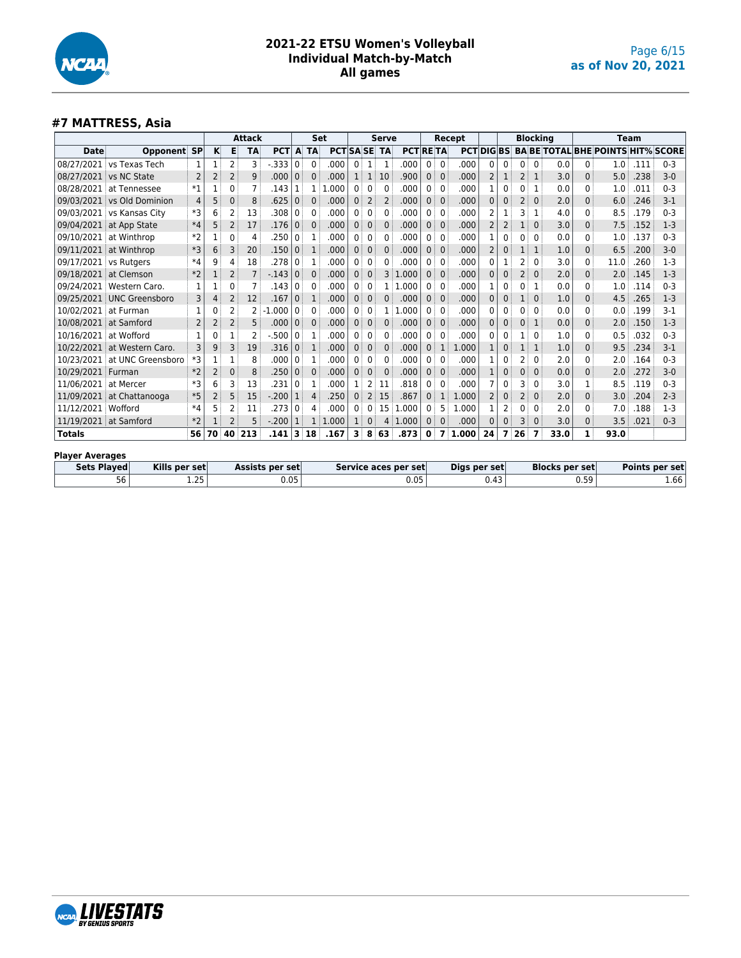

#### **#7 MATTRESS, Asia**

|               |                           |                |     |                | <b>Attack</b>  |            |              | Set          |                     |              |                | <b>Serve</b> |                 |                |              | Recept |                 |                |                   | <b>Blocking</b> |      |              | Team                                     |      |         |
|---------------|---------------------------|----------------|-----|----------------|----------------|------------|--------------|--------------|---------------------|--------------|----------------|--------------|-----------------|----------------|--------------|--------|-----------------|----------------|-------------------|-----------------|------|--------------|------------------------------------------|------|---------|
| <b>Date</b>   | <b>Opponent SP</b>        |                | K   | в              | <b>TA</b>      | <b>PCT</b> |              | A TA         | <b>PCT SA SE TA</b> |              |                |              | <b>PCT RETA</b> |                |              |        | <b>PCTDIGBS</b> |                |                   |                 |      |              | <b>BA BE TOTAL BHE POINTS HIT% SCORE</b> |      |         |
| 08/27/2021    | vs Texas Tech             | 1              |     | 2              | 3              | -.333      | $\mathbf{0}$ | 0            | .000                | $\mathbf{0}$ | 1              | 1            | .000            | $\overline{0}$ | 0            | .000   | 0               | 0              | $0^{\frac{1}{2}}$ | $\Omega$        | 0.0  | 0            | 1.0                                      | .111 | $0 - 3$ |
| 08/27/2021    | vs NC State               | $\overline{2}$ | 2   | $\overline{2}$ | 9              | .000       | $\mathbf 0$  | $\mathbf{0}$ | .000                | 1            | 1              | 10           | .900            | 0              | $\Omega$     | .000   |                 |                | 2                 | 1               | 3.0  | $\Omega$     | 5.0                                      | .238 | $3-0$   |
| 08/28/2021    | at Tennessee              | $*1$           |     | 0              | 7              | .143       |              |              | .000<br>-1.         | $\mathbf{0}$ | 0              | 0            | .000            | $\Omega$       | $\mathbf{0}$ | .000   |                 | 0              | 0                 |                 | 0.0  | $\Omega$     | 1.0                                      | .011 | $0 - 3$ |
| 09/03/2021    | vs Old Dominion           | 4              | 5   | 0              | 8              | .625       | $\mathbf 0$  | $\Omega$     | .000                | $\mathbf{0}$ | $\overline{2}$ | 2            | .000            | 0              | $\Omega$     | .000   |                 | 0              | 2                 | $\Omega$        | 2.0  | $\mathbf{0}$ | 6.0                                      | .246 | $3-1$   |
| 09/03/2021    | vs Kansas City            | *3             | 6   | 2              | 13             | .308       | 0            | 0            | .000                | 0            | 0              | 0            | .000            | 0              | 0            | .000   |                 |                | 3                 | 1               | 4.0  | $\mathbf{0}$ | 8.5                                      | .179 | $0 - 3$ |
| 09/04/2021    | at App State              | $*4$           | 5   | 2              | 17             | .176       | $\mathbf 0$  | $\Omega$     | .000                | $\mathbf{0}$ | $\Omega$       | $\Omega$     | .000            | 0              | $\mathbf{0}$ | .000   | 2               | $\overline{2}$ | 1                 | $\Omega$        | 3.0  | $\mathbf{0}$ | 7.5                                      | .152 | $1-3$   |
| 09/10/2021    | at Winthrop               | $*2$           |     | 0              | 4              | .250       | 0            | 1            | .000                | 0            | 0              | 0            | .000            | $\mathbf{0}$   | 0            | .000   |                 | $\mathbf{0}$   | 0                 | $\Omega$        | 0.0  | $\mathbf{0}$ | 1.0                                      | .137 | $0 - 3$ |
| 09/11/2021    | at Winthrop               | $*3$           | 6   | 3              | 20             | .150       | $\mathbf{0}$ | 1            | .000                | $\mathbf{0}$ | $\mathbf{0}$   | $\Omega$     | .000            | 0              | $\mathbf{0}$ | .000   |                 | 0              |                   | 1               | 1.0  | $\Omega$     | 6.5                                      | .200 | $3-0$   |
| 09/17/2021    | vs Rutgers                | $*4$           | 9   | 4              | 18             | .278       | 0            |              | .000                | 0            | 0              |              | .000            | 0              | 0            | .000   |                 |                | 2                 | 0               | 3.0  | $\mathbf{0}$ | 11.0                                     | .260 | $1-3$   |
| 09/18/2021    | at Clemson                | $*2$           |     | 2              |                | $-143$     | $\mathbf{0}$ | $\mathbf 0$  | .000                | $\mathbf{0}$ | $\mathbf{0}$   | 3            | 1.000           | $\Omega$       | $\mathbf{0}$ | .000   |                 | $\mathbf{0}$   | 2                 | 0               | 2.0  | 0            | 2.0                                      | .145 | $1-3$   |
| 09/24/2021    | Western Caro.             | 1              |     | ი              |                | .143       | $\mathbf{0}$ | 0            | .000                | $\mathbf{0}$ | $\Omega$       |              | .000            | 0              | $\mathbf{0}$ | .000   |                 | $\mathbf{0}$   | 0                 | 1               | 0.0  | $\mathbf{0}$ | 1.0                                      | .114 | $0 - 3$ |
|               | 09/25/2021 UNC Greensboro | 3              | 4   | 2              | 12             | .167       | $\mathbf{0}$ | 1            | .000                | $\mathbf{0}$ | $\mathbf 0$    | 0            | .000            | 0 <sup>1</sup> | $\mathbf{0}$ | .000   |                 | 0              | 1                 | $\mathbf{0}$    | 1.0  | $\Omega$     | 4.5                                      | .265 | $1-3$   |
| 10/02/2021    | at Furman                 | 1              | 0   | 2              | $\overline{2}$ | .000       | 0            | $\Omega$     | .000                | 0            | 0              |              | .000            | 0              | $\mathbf{0}$ | .000   | 0               | 0              | 0 i               | $\Omega$        | 0.0  | $\Omega$     | 0.0                                      | .199 | $3-1$   |
| 10/08/2021    | at Samford                | 2              | 2   | 2              | 5              | .000       | $\mathbf{0}$ | $\mathbf 0$  | .000                | $\mathbf{0}$ | $\mathbf{0}$   | $\Omega$     | .000            | 0              | $\mathbf{0}$ | .000   | 0               | 0              | 0                 | 1               | 0.0  | $\mathbf{0}$ | 2.0                                      | .150 | $1-3$   |
| 10/16/2021    | at Wofford                | $\mathbf{1}$   | 0   | 1              | $\overline{2}$ | .500       | 0            |              | .000                | 0            | $\Omega$       | 0            | .000            | 0              | 0            | .000   | 0               | 0              |                   | $\Omega$        | 1.0  | $\mathbf{0}$ | 0.5                                      | .032 | $0 - 3$ |
| 10/22/2021    | at Western Caro.          | 3              | 9   | 3              | 19             | .316       | $\mathbf{0}$ | 1            | .000                | $\mathbf{0}$ | $\mathbf{0}$   | $\Omega$     | .000            | $\Omega$       | 1            | 1.000  |                 | 0              | 1                 | 1               | 1.0  | $\Omega$     | 9.5                                      | .234 | $3-1$   |
| 10/23/2021    | at UNC Greensboro         | *3             | 1:  | 1              | 8              | .000       | 0            |              | .000                | 0            | 0              | 0            | .000            | $\overline{0}$ | $\mathbf{0}$ | .000   |                 | 0              | 2                 | 0               | 2.0  | $\Omega$     | 2.0                                      | .164 | $0 - 3$ |
| 10/29/2021    | Furman                    | $*2$           | 2 : | 0              | 8              | .250       | $\mathbf{0}$ | 0            | .000                | $\Omega$     | $\Omega$       | $\mathbf 0$  | .000            | 0              | $\mathbf{0}$ | .000   |                 | $\Omega$       | 0                 | $\mathbf{0}$    | 0.0  | $\mathbf{0}$ | 2.0                                      | .272 | $3-0$   |
| 11/06/2021    | at Mercer                 | *3             | 6   | 3              | 13             | .231       | 0            |              | .000                |              | 2              | 11           | .818            | 0              | $\mathbf{0}$ | .000   |                 | 0              | 3                 | 0               | 3.0  |              | 8.5                                      | .119 | $0 - 3$ |
| 11/09/2021    | at Chattanooga            | $*5$           | 2   | 5              | 15             | $-.200$    |              | 4            | .250                | 0            | $\overline{2}$ | 15           | .867            | $\Omega$       |              | 1.000  |                 | $\Omega$       | 2                 | $\mathbf{0}$    | 2.0  | $\Omega$     | 3.0                                      | .204 | $2 - 3$ |
| 11/12/2021    | Wofford                   | $*4$           | 5   | 2              | 11             | .273       | $\mathbf{0}$ | 4            | .000                | 0            | $\Omega$       | 15           | 1.000           | $\Omega$       | 5.           | 1.000  |                 | $\overline{2}$ | 0                 | $\Omega$        | 2.0  | $\Omega$     | 7.0                                      | .188 | $1-3$   |
| 11/19/2021    | at Samford                | $*2$           |     | $\overline{2}$ | 5              | $-.200$    |              |              | 1.000               |              | $\Omega$       | 4            | 1.000           | $\Omega$       | $\Omega$     | .000   | $\Omega$        | $\Omega$       | 3                 | $\Omega$        | 3.0  | $\Omega$     | 3.5                                      | .021 | $0 - 3$ |
| <b>Totals</b> |                           | 56             | 70  |                | 40 213         | .141       | 3            | 18           | .167                | 3            | 8              | 63           | .873            | 0              | 7            | 1.000  | 24              | 7              | 26                | 7               | 33.0 | 1            | 93.0                                     |      |         |
|               |                           |                |     |                |                |            |              |              |                     |              |                |              |                 |                |              |        |                 |                |                   |                 |      |              |                                          |      |         |

#### **Player Averages**

| Sets Played   | Kills per set      | Assists per set | Service aces per set | Digs per set                     | <b>Blocks per set</b> | Points per set |
|---------------|--------------------|-----------------|----------------------|----------------------------------|-----------------------|----------------|
| $ \sim$<br>56 | חר<br>. . <u>.</u> | 0.05            | 0.05                 | $\overline{\phantom{a}}$<br>0.43 | 59.<br><b>U.JJ</b>    | 4.66           |

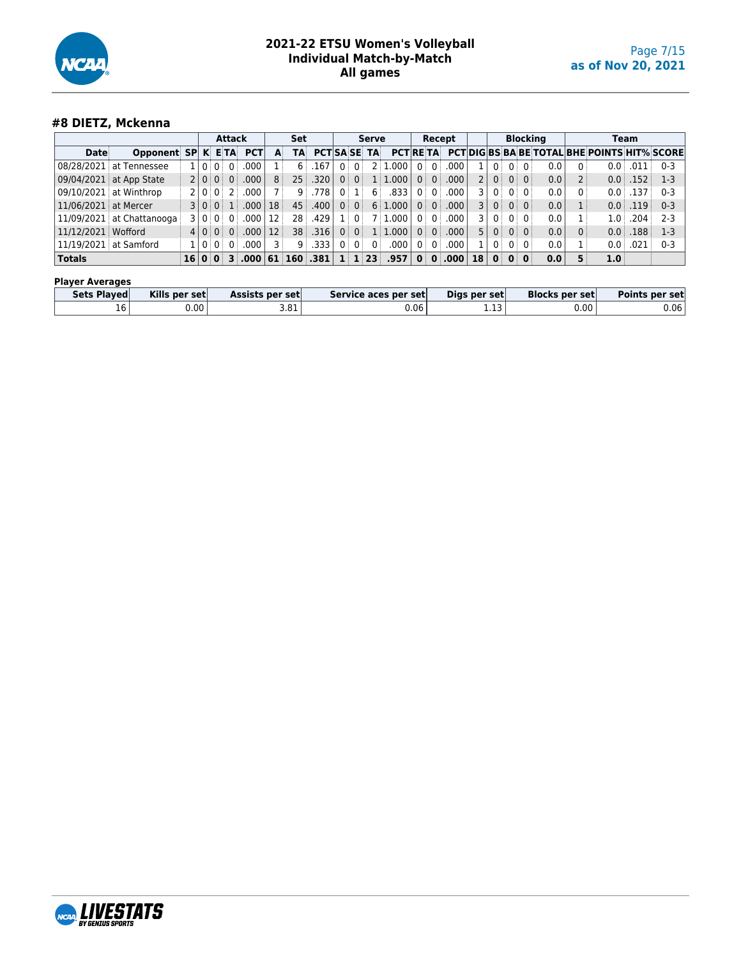

## **#8 DIETZ, Mckenna**

| <b>Date</b>                 |  |  |             |    |                                    |                                                                      |                 |      |                                      |                                           |                                                                     |                                                                                         |                                          |                                                                                            |                                                                                                    |                                   |                                                     |                                                                |                                                                                                                      |                 |                                                      |                                  |                                                                                                                                                                 |
|-----------------------------|--|--|-------------|----|------------------------------------|----------------------------------------------------------------------|-----------------|------|--------------------------------------|-------------------------------------------|---------------------------------------------------------------------|-----------------------------------------------------------------------------------------|------------------------------------------|--------------------------------------------------------------------------------------------|----------------------------------------------------------------------------------------------------|-----------------------------------|-----------------------------------------------------|----------------------------------------------------------------|----------------------------------------------------------------------------------------------------------------------|-----------------|------------------------------------------------------|----------------------------------|-----------------------------------------------------------------------------------------------------------------------------------------------------------------|
|                             |  |  |             |    | <b>PCT</b>                         | A                                                                    | TA              |      |                                      |                                           |                                                                     |                                                                                         |                                          |                                                                                            |                                                                                                    |                                   |                                                     |                                                                |                                                                                                                      |                 |                                                      |                                  |                                                                                                                                                                 |
| 08/28/2021   at Tennessee   |  |  |             |    | 000                                |                                                                      | 6               | 167  | 0:                                   |                                           | L.000                                                               |                                                                                         |                                          | .000                                                                                       |                                                                                                    | $\Omega$                          |                                                     | $\Omega$ :                                                     |                                                                                                                      | 0               |                                                      | .011                             | $0 - 3$                                                                                                                                                         |
| $09/04/2021$ at App State   |  |  |             |    | .000 <sub>1</sub>                  | 8 <sup>3</sup>                                                       |                 | .320 | 0:                                   |                                           |                                                                     |                                                                                         |                                          | .000 <sub>1</sub>                                                                          |                                                                                                    |                                   |                                                     |                                                                |                                                                                                                      |                 |                                                      |                                  | $1-3$                                                                                                                                                           |
| 09/10/2021 at Winthrop      |  |  |             |    | 000                                |                                                                      | 9               |      | 0                                    |                                           | .833                                                                |                                                                                         |                                          | .000.                                                                                      |                                                                                                    |                                   |                                                     |                                                                |                                                                                                                      |                 |                                                      | .137                             | $0 - 3$                                                                                                                                                         |
| 11/06/2021 at Mercer        |  |  |             |    |                                    | 18 <sup>3</sup>                                                      |                 |      | 0 <sup>1</sup>                       |                                           |                                                                     |                                                                                         |                                          |                                                                                            |                                                                                                    |                                   |                                                     | 0:                                                             |                                                                                                                      |                 |                                                      |                                  | $0 - 3$                                                                                                                                                         |
| $11/09/2021$ at Chattanooga |  |  |             |    | 000                                | 12                                                                   | 28.             | .429 |                                      |                                           |                                                                     |                                                                                         |                                          | .000.                                                                                      | 3                                                                                                  | $\Omega$                          |                                                     | $\Omega$                                                       |                                                                                                                      |                 |                                                      |                                  | $2 - 3$                                                                                                                                                         |
| 11/12/2021   Wofford        |  |  |             | 0: |                                    | 12                                                                   |                 | .316 | 0                                    |                                           |                                                                     |                                                                                         |                                          |                                                                                            |                                                                                                    |                                   |                                                     | 0:                                                             |                                                                                                                      |                 |                                                      |                                  | $1-3$                                                                                                                                                           |
| 11/19/2021   at Samford     |  |  |             |    | .000                               |                                                                      |                 | .333 | $0^{\circ}$                          |                                           | .000                                                                |                                                                                         |                                          | .000                                                                                       |                                                                                                    |                                   |                                                     | 0:                                                             |                                                                                                                      |                 |                                                      | .021                             | $0 - 3$                                                                                                                                                         |
|                             |  |  |             |    |                                    |                                                                      |                 |      |                                      |                                           |                                                                     |                                                                                         |                                          |                                                                                            |                                                                                                    |                                   |                                                     |                                                                |                                                                                                                      | 5               |                                                      |                                  |                                                                                                                                                                 |
|                             |  |  | Opponent SP |    | 110:0<br>2 0 0 <br>310:01<br>4 0 0 | <b>Attack</b><br><b>KETA</b><br>2 0 0 0<br>3 0 0 1 <br>1   0   0   0 | ا 000.<br>.0001 |      | <b>Set</b><br>25:<br>45<br>38 i<br>9 | .778 '<br>.400<br>16 0 0 3 000 61 160 031 | 0:<br>0 <sup>1</sup><br>$0^+$<br>0<br>0 <sup>1</sup><br>$0^{\circ}$ | Serve<br><b>PCTISA SE TA</b><br>2:1<br>6<br>$0^{\circ}$<br>$1 \mid 1 \mid 23 \mid .957$ | 1:1.000<br>6:1.000<br>7:1.000<br>1:1.000 | 0 <sup>1</sup><br>0<br>$0^{\circ}$<br>$0^{\circ}$<br>$0^{\circ}$<br>0<br>0<br>$\mathbf{0}$ | Recept<br><b>PCTRETA</b><br>$0^{\frac{1}{2}}$<br>0<br>$0^+$<br>$0^{\circ}$<br>$0$ :<br>$0^{\circ}$ | $0$ 000<br>.000<br>$\vert$ 000. 0 | 3 <sup>1</sup><br>5 <sup>1</sup><br>18 <sup>1</sup> | 0 <sup>1</sup><br>0:<br>0 <sup>1</sup><br>0:<br>0 <sup>1</sup> | 0 <sup>1</sup><br>0:0:<br>0:0:<br>$0^{\circ}$<br>$\Omega$ :<br>0 <sup>1</sup><br>0 <sup>1</sup><br>$0 \mid 0 \mid 0$ | <b>Blocking</b> | 0.0<br>0.0<br>0.0<br>0.0<br>0.0<br>0.0<br>0.0<br>0.0 | 0 <sup>1</sup><br>0 <sup>3</sup> | Team<br><b>PCTIDIG BS BA BE TOTAL BHE POINTS HIT% SCORE</b><br>0.0<br>0.0<br>.152<br>0.0<br>$0.0$ .119<br>1.0 <sup>1</sup><br>.204<br>0.0<br>.188<br>0.0<br>1.0 |

#### **Player Averages**

| <b>Sets Played</b>              | Kills per set | Assists per set | Service aces per set | Digs per set  | <b>Blocks per set</b> | Points per set |
|---------------------------------|---------------|-----------------|----------------------|---------------|-----------------------|----------------|
| $\overline{\phantom{0}}$<br>10' | ງ.00 '        | 3.81            | ა.06                 | $\sim$<br>ᆠᆞᆠ | 0.00                  | 0.06           |

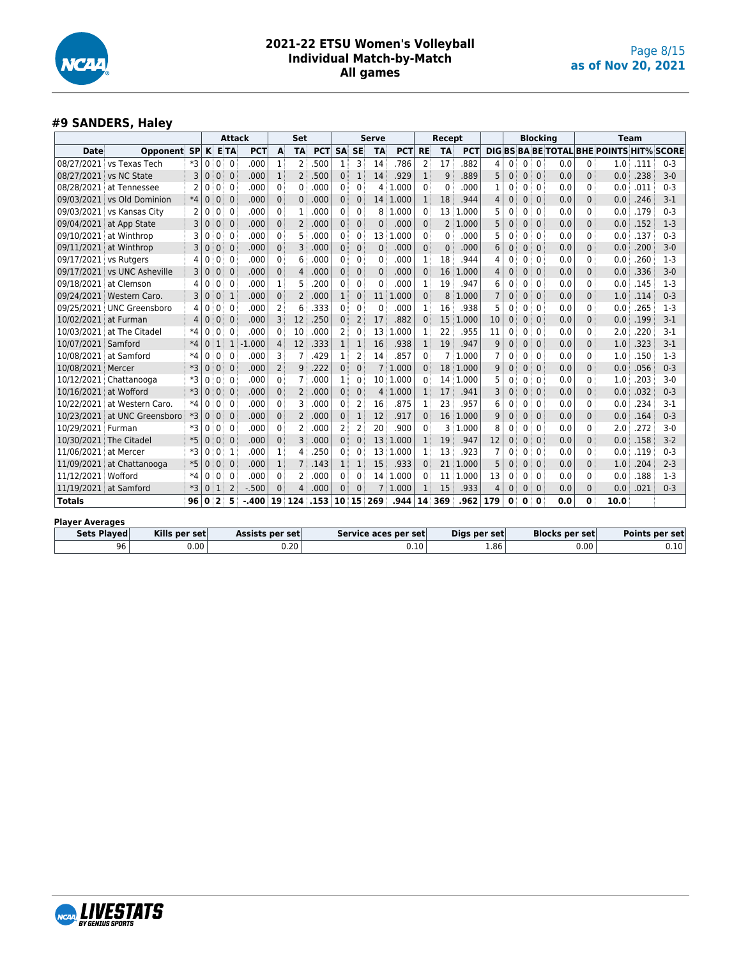

## **#9 SANDERS, Haley**

|                        |                             |      |              |                         |                | <b>Attack</b>   |                | Set            |            |              |                | Serve        |                      |                 | Recept          |              |                |              |              | <b>Blocking</b> |                       |              | Team                                            |      |                |
|------------------------|-----------------------------|------|--------------|-------------------------|----------------|-----------------|----------------|----------------|------------|--------------|----------------|--------------|----------------------|-----------------|-----------------|--------------|----------------|--------------|--------------|-----------------|-----------------------|--------------|-------------------------------------------------|------|----------------|
| <b>Date</b>            | <b>Opponent SP</b>          |      | K            |                         | <b>E</b> TA    | <b>PCT</b>      | A              | <b>TA</b>      | <b>PCT</b> | <b>SA</b>    | <b>SE</b>      | <b>TA</b>    | <b>PCT</b>           | <b>RE</b>       | <b>TA</b>       | <b>PCT</b>   |                |              |              |                 |                       |              | <b>DIG BS BA BE TOTAL BHE POINTS HIT% SCORE</b> |      |                |
| 08/27/2021             | vs Texas Tech               | *3   | 0            | 0                       | $\mathbf{0}$   | .000            | 1              | $\overline{2}$ | 500        | $\mathbf{1}$ | 3              | 14           | .786                 | 2               | 17              | 882          | 4              | 0            | 0            | $\mathbf{0}$    | 0.0                   | 0            | 1.0                                             | .111 | $0 - 3$        |
| 08/27/2021             | vs NC State                 | 3    | $\mathbf{0}$ | 0                       | $\mathbf 0$    | .000            | $\mathbf{1}$   | 2              | .500       | 0            | $\mathbf{1}$   | 14           | .929                 | $\mathbf{1}$    | 9               | .889         | 5              | $\mathbf 0$  | 0            | $\mathbf{0}$    | 0.0                   | 0            | 0.0                                             | .238 | $3 - 0$        |
| 08/28/2021             | at Tennessee                |      | $\mathbf 0$  | 0                       | $\Omega$       | .000            | 0              | 0              | 000        | 0            | 0              | 4            | 1.000                | $\mathbf{0}$    | 0               | .000         | 1              | 0            | 0            | $\mathbf{0}$    | 0.0                   | 0            | 0.0                                             | .011 | $0 - 3$        |
|                        | 09/03/2021 vs Old Dominion  | $*4$ | $\mathbf{0}$ | $\mathbf{0}$            | $\mathbf{0}$   | .000            | $\mathbf 0$    | $\mathbf{0}$   | .000       | $\mathbf{0}$ | $\mathbf{0}$   |              | 14 1.000             | $\mathbf{1}$    | 18              | .944         | $\overline{4}$ | $\mathbf 0$  | 0            | $\mathbf{0}$    | 0.0                   | 0            | 0.0                                             | .246 | $3-1$          |
|                        | 09/03/2021 vs Kansas City   | 2    | 0            | 0                       | $\mathbf{0}$   | .000            | $\Omega$       | 1              | .000       | 0            | $\mathbf{0}$   | 8            | 1.000                | $\mathbf{0}$    | 13              | 1.000        | 5              | $\Omega$     | $\mathbf{0}$ | $\mathbf{0}$    | 0.0                   | 0            | 0.0                                             | .179 | $0 - 3$        |
|                        | 09/04/2021 at App State     | 3    | $\mathbf 0$  | $\mathbf{0}$            | $\mathbf{0}$   | .000            | $\mathbf 0$    | $\overline{2}$ | .000       | 0            | $\mathbf{0}$   | $\mathbf{0}$ | .000                 | $\mathbf{0}$    | $\overline{2}$  | 1.000        | 5              | $\mathbf 0$  | 0            | $\mathbf{0}$    | 0.0                   | 0            | 0.0                                             | .152 | $1-3$          |
|                        | 09/10/2021 at Winthrop      | 3    | 0            | 0                       | $\mathbf{0}$   | .000            | 0              | 5              | 000        | 0            | 0              | 13           | 1.000                | 0               | 0               | .000         | 5              | 0            | 0            | $\mathbf{0}$    | 0.0                   | 0            | 0.0                                             | .137 | $0 - 3$        |
|                        | 09/11/2021 at Winthrop      | 3    | $\mathbf 0$  | $\mathbf 0$             | $\mathbf 0$    | .000            | $\mathbf{0}$   | 3              | .000       | 0            | $\mathbf 0$    | $\mathbf{0}$ | .000                 | 0               | $\mathbf{0}$    | .000         | 6              | $\mathbf{0}$ | 0            | $\mathbf{0}$    | 0.0                   | 0            | 0.0                                             | .200 | $3 - 0$        |
| 09/17/2021 vs Rutgers  |                             |      | 0            | 0                       | $\mathbf{0}$   | .000            | 0              | 6              | 000        | 0            | 0              | $\Omega$     | .000                 | 1               | 18              | .944         | 4              | 0            | 0            | $\mathbf{0}$    | 0.0                   | 0            | 0.0                                             | .260 | $1 - 3$        |
|                        | 09/17/2021 vs UNC Asheville | 3    | $\mathbf{0}$ | $\mathbf{0}$            | $\mathbf{0}$   | .000            | $\mathbf{0}$   | 4              | .000       | 0            | $\mathbf{0}$   | $\mathbf 0$  | .000                 | $\mathbf{0}$    | 16              | 1.000        | 4              | $\mathbf{0}$ | 0            | $\Omega$        | 0.0                   | 0            | 0.0                                             | .336 | $3 - 0$        |
| 09/18/2021             | at Clemson                  | 4    | 0            | 0                       | $\mathbf{0}$   | .000            | 1              | 5              | 200        | 0            | $\mathbf{0}$   | $\mathbf 0$  | .000                 | 1               | 19              | .947         | 6              | $\Omega$     | 0            | $\mathbf{0}$    | 0.0                   | 0            | 0.0                                             | .145 | $1 - 3$        |
|                        | 09/24/2021 Western Caro.    | 3    | 0            | $\mathbf 0$             | 1              | .000            | $\mathbf{0}$   | 2              | .000       | $\mathbf{1}$ | $\Omega$       | 11           | 1.000                | $\Omega$        | 8               | 1.000        | $\overline{7}$ | $\mathbf{0}$ | 0            | $\Omega$        | 0.0                   | $\Omega$     | 1.0                                             | .114 | $0 - 3$        |
|                        | 09/25/2021 UNC Greensboro   | 4    | 0            | 0                       | $\mathbf{0}$   | .000            | 2              | 6              | 333        | 0            | 0              | 0            | .000                 | 1               | 16              | .938         | 5              | 0            | 0            | $\Omega$        | 0.0                   | 0            | 0.0                                             | .265 | $1 - 3$        |
| 10/02/2021             | at Furman                   | 4    | $\mathbf 0$  | $\mathbf 0$             | $\mathbf{0}$   | .000            | 3              | 12             | 250        | 0            | $\overline{2}$ | 17           | .882                 | 0               | 15              | 1.000        | 10             | $\mathbf{0}$ | $\mathbf{0}$ | $\Omega$        | 0.0                   | 0            | 0.0                                             | .199 | $3 - 1$        |
| 10/03/2021             | at The Citadel              | *4   | $\mathbf 0$  | 0                       | $\mathbf{0}$   | .000            | 0              | 10             | 000        | 2            | 0              | 13           | 1.000                | 1               | 22              | .955         | 11             | 0            | 0            | $\mathbf{0}$    | 0.0                   | 0            | 2.0                                             | .220 | $3 - 1$        |
| 10/07/2021 Samford     |                             | $*4$ | 0            | $\mathbf{1}$            | $\mathbf{1}$   | $-1.000$        | $\overline{4}$ | 12             | 333        | $\mathbf{1}$ | 1              | 16           | .938                 | 1               | 19              | .947         | 9              | 0            | 0            | $\Omega$        | 0.0                   | 0            | 1.0                                             | .323 | $3 - 1$        |
| 10/08/2021             | at Samford                  | $*4$ | $\Omega$     | 0                       | $\Omega$       | .000            | 3              | 7              | 429        | 1            | $\overline{2}$ | 14           | .857                 | $\mathbf{0}$    | 7               | 1.000        | $\overline{7}$ | 0            | 0            | $\Omega$        | 0.0                   | 0            | 1.0                                             | .150 | $1 - 3$        |
| 10/08/2021             | Mercer                      | $*3$ | $\mathbf{0}$ | $\mathbf{0}$            | $\mathbf{0}$   | .000            | $\overline{2}$ | 9              | .222       | $\Omega$     | $\mathbf{0}$   |              | 7 1.000              | 0               | 18 <sup>3</sup> | 1.000        | 9              | $\mathbf 0$  | $\mathbf{0}$ | $\Omega$        | 0.0                   | 0            | 0.0                                             | .056 | $0 - 3$        |
|                        | 10/12/2021 Chattanooga      | *3   | $\mathbf{0}$ | $\mathbf{0}$            | $\mathbf{0}$   | .000            | $\Omega$       | 7              | .000       | 1            | 0              |              | 10 1.000             | $\Omega$        | 14              | 1.000        | 5              | $\Omega$     | $\mathbf{0}$ | $\mathbf{0}$    | 0.0                   | 0            | 1.0                                             | .203 | $3 - 0$        |
| 10/16/2021             | at Wofford                  | $*3$ | $\mathbf{0}$ | $\mathbf{0}$            | $\mathbf{0}$   | .000            | $\mathbf{0}$   | $\overline{2}$ | .000       | 0            | $\mathbf{0}$   | 4            | 1.000                | $\mathbf{1}$    | 17              | .941         | 3              | $\mathbf 0$  | $\mathbf{0}$ | $\mathbf{0}$    | 0.0                   | $\mathbf{0}$ | 0.0                                             | .032 | $0 - 3$        |
| 10/22/2021             | at Western Caro.            | $*4$ | $\mathbf 0$  | 0                       | $\mathbf{0}$   | .000            | 0              | 3              | 000        | 0            | 2              | 16           | .875                 |                 | 23              | .957         | 6              | 0            | 0            | $\mathbf{0}$    | 0.0                   | 0            | 0.0                                             | .234 | $3-1$          |
| 10/23/2021             | at UNC Greensboro           | *3   | $\mathbf 0$  | $\mathbf 0$             | $\mathbf{0}$   | .000            | $\mathbf{0}$   | 2              | .000       | 0            | $\mathbf{1}$   | 12           | .917                 | 0               | 16              | 1.000        | 9              | $\mathbf 0$  | 0            | $\mathbf{0}$    | 0.0                   | 0            | 0.0                                             | .164 | $0 - 3$        |
| 10/29/2021 Furman      |                             | *3   | 0            | 0                       | $\Omega$       | .000            | 0              | 2              | 000        | 2            | 2              | 20           | .900                 | 0               | 3               | 1.000        | 8              | 0            | 0            | $\mathbf{0}$    | 0.0                   | 0            | 2.0                                             | .272 | $3 - 0$        |
| 10/30/2021             | The Citadel                 | $*5$ | $\mathbf{0}$ | $\mathbf{0}$            | $\Omega$       | .000            | $\mathbf{0}$   | 3              | .000       | $\mathbf{0}$ | $\Omega$       | 13           | 1.000                | $\mathbf{1}$    | 19              | .947         | 12             | $\Omega$     | $\Omega$     | $\Omega$        | 0.0                   | $\Omega$     | 0.0                                             | .158 | $3 - 2$        |
| 11/06/2021             | at Mercer                   | *3   | $\Omega$     | $\mathbf{0}$            | 1              | .000            | 1              | 4              | 250        | 0            | 0              | 13           | 1.000                | 1               | 13              | .923         | $\overline{7}$ | 0            | $\mathbf{0}$ | $\Omega$        | 0.0                   | 0            | 0.0                                             | .119 | $0 - 3$        |
|                        | 11/09/2021 at Chattanooga   | $*5$ | $\mathbf{0}$ | $\mathbf{0}$            | $\mathbf{0}$   | .000            | 1              | 7              | .143       | $\mathbf{1}$ | 1              | 15           | .933                 | $\mathbf{0}$    | 21              | 1.000        | 5              | $\mathbf{0}$ | 0            | $\mathbf{0}$    | 0.0                   | 0            | 1.0                                             | .204 | $2 - 3$        |
| 11/12/2021 Wofford     |                             | $*4$ | $\Omega$     | 0                       | $\mathbf{0}$   | .000            | 0              | 2              | .000       | 0            | $\Omega$       | 14           | 1.000                | 0               | 11              | 1.000        | 13             | 0            | $\Omega$     | $\mathbf{0}$    | 0.0                   | 0            | 0.0                                             | .188 | $1 - 3$        |
| 11/19/2021 at Samford  |                             | $*3$ | $\Omega$     | $\mathbf{1}$            | $\overline{2}$ | $-.500$         | $\Omega$       | 4              | .000       | $\mathbf{0}$ | $\Omega$       |              | 1.000                | $\mathbf{1}$    | 15              | .933         | $\overline{4}$ | $\Omega$     | $\mathbf{0}$ | $\Omega$        | 0.0                   | $\mathbf{0}$ | 0.0                                             | .021 | $0 - 3$        |
| <b>Totals</b>          |                             | 96   | 0            | $\overline{\mathbf{2}}$ | 5              | $-.400$         |                | 19 124         | .153       |              | 10 15          | 269          | .944                 | 14 <sup>1</sup> | 369             | .962         | 179            | $\mathbf 0$  | 0            | $\mathbf 0$     | 0.0                   | 0            | 10.0                                            |      |                |
|                        |                             |      |              |                         |                |                 |                |                |            |              |                |              |                      |                 |                 |              |                |              |              |                 |                       |              |                                                 |      |                |
| <b>Player Averages</b> |                             |      |              |                         |                |                 |                |                |            |              |                |              |                      |                 |                 |              |                |              |              |                 |                       |              |                                                 |      |                |
| <b>Sets Played</b>     | Kills per set               |      |              |                         |                | Assists per set |                |                |            |              |                |              | Service aces per set |                 |                 | Digs per set |                |              |              |                 | <b>Blocks per set</b> |              |                                                 |      | Points per set |
|                        | 96                          | 0.00 |              |                         |                |                 |                | 0.20           |            |              |                |              |                      | 0.10            |                 |              | 1.86           |              |              |                 |                       | 0.00         |                                                 |      | 0.10           |

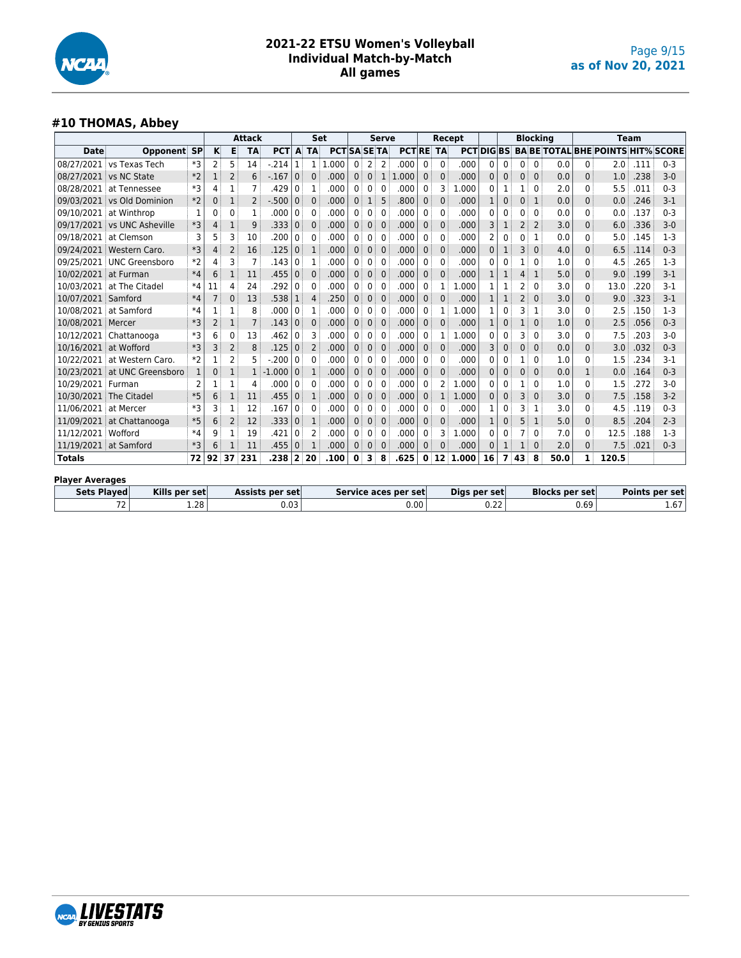

## **#10 THOMAS, Abbey**

|                        |                        |           |                |              | <b>Attack</b>  |            |                | Set          |                     |                   |              | <b>Serve</b> |                 |                | Recept         |            |              |              |                | <b>Blocking</b> |      |              | <b>Team</b>                              |      |         |
|------------------------|------------------------|-----------|----------------|--------------|----------------|------------|----------------|--------------|---------------------|-------------------|--------------|--------------|-----------------|----------------|----------------|------------|--------------|--------------|----------------|-----------------|------|--------------|------------------------------------------|------|---------|
| Date                   | Opponent               | <b>SP</b> | K              | E            | <b>TA</b>      | <b>PCT</b> |                | A TA         | <b>PCT SA SE TA</b> |                   |              |              | <b>PCTRE TA</b> |                |                | <b>PCT</b> | <b>DIGBS</b> |              |                |                 |      |              | <b>BA BE TOTAL BHE POINTS HIT% SCORE</b> |      |         |
| 08/27/2021             | vs Texas Tech          | *3        | 2 <sup>1</sup> | 5            | 14             | .214       |                | 1            | .000<br>1.          | $0^{\frac{1}{2}}$ | 2            | 2            | .000            | 0:             | 0              | .000       | 0            | 0            | 0              | $\Omega$        | 0.0  | $\mathbf{0}$ | 2.0                                      | .111 | $0 - 3$ |
| 08/27/2021             | vs NC State            | $*2$      |                | 2            | 6              | $-.167$    | $\mathbf 0$    | $\Omega$     | .000                | $\Omega$          | $\mathbf{0}$ | 1            | .000            | 0:             | $\Omega$       | .000       | 0            | 0            | 0              | 0               | 0.0  | $\Omega$     | 1.0                                      | .238 | $3-0$   |
| 08/28/2021             | at Tennessee           | *3        | 4              | 1            | 7              | .429       | $\Omega$       |              | .000                | 0                 | $\Omega$     | 0            | .000            | 0              | 3              | 1.000      | 0            | 1            |                | $\Omega$        | 2.0  | 0            | 5.5                                      | .011 | $0 - 3$ |
| 09/03/2021             | vs Old Dominion        | $*2$      | 0              | 1            | $\overline{2}$ | $-.500$    | $\mathbf 0$    | $\mathbf 0$  | .000                | $\mathbf{0}$      | $\mathbf{1}$ | 5            | .800            | 0 <sup>1</sup> | 0              | .000       |              | $\mathbf{0}$ | 0              | 1               | 0.0  | $\mathbf{0}$ | 0.0                                      | .246 | $3-1$   |
| 09/10/2021             | at Winthrop            | 1         | 0              | 0            | 1              | .000       | 0              | $\Omega$     | .000                | $\Omega$          | $\mathbf{0}$ | $\Omega$     | .000            | 0              | $\Omega$       | .000       | 0            | 0            | 0              | $\Omega$        | 0.0  | $\mathbf{0}$ | 0.0                                      | .137 | $0 - 3$ |
| 09/17/2021             | vs UNC Asheville       | *3        | 4              | 1            | 9              | .333       | $\mathbf{0}$   | $\mathbf 0$  | .000                | $\mathbf{0}$      | $\mathbf{0}$ | $\mathbf{0}$ | .000            | 0:             | $\mathbf{0}$   | .000       | 3            | 1            | 2              | $\overline{2}$  | 3.0  | $\mathbf{0}$ | 6.0                                      | .336 | $3 - 0$ |
| 09/18/2021             | at Clemson             | 3         | 5              | 3            | 10             | .200       | $\Omega$       | $\mathbf{0}$ | .000                | $\Omega$          | 0            | $\mathbf{0}$ | .000            | 0              | 0              | .000       | 2            | 0            | 0              | 1               | 0.0  | $\mathbf{0}$ | 5.0                                      | .145 | $1-3$   |
| 09/24/2021             | Western Caro.          | *3        | 4              | 2            | 16             | .125       | $\mathbf{0}$   | 1            | .000                | $\mathbf{0}$      | $\mathbf{0}$ | $\mathbf{0}$ | .000            | 0:             | $\Omega$       | .000       | 0            |              | 3              | 0               | 4.0  | $\mathbf{0}$ | 6.5                                      | .114 | $0 - 3$ |
| 09/25/2021             | <b>UNC Greensboro</b>  | $*2$      | 4              | 3            | $\overline{7}$ | .143       | $\Omega$       | 1            | .000                | $\Omega$          | $\mathbf{0}$ | 0            | .000            | 0 <sup>1</sup> | 0              | .000       | 0            | 0            |                | 0               | 1.0  | $\Omega$     | 4.5                                      | .265 | $1-3$   |
| 10/02/2021             | at Furman              | $*4$      | 6              | 1            | 11             | .455       | $\mathbf{0}$   | $\mathbf{0}$ | .000                | $\mathbf{0}$      | 0            | $\mathbf{0}$ | .000            | 0:             | $\Omega$       | .000       |              |              | 4              | $\mathbf{1}$    | 5.0  | $\mathbf{0}$ | 9.0                                      | .199 | $3-1$   |
| 10/03/2021             | at The Citadel         | $*4$      | 11             | 4            | 24             | .292       | $\Omega$       | $\mathbf{0}$ | .000                | $\mathbf{0}$      | $\mathbf{0}$ | 0            | .000            | 0 <sup>1</sup> |                | .000       |              | 1            | 2              | 0               | 3.0  | $\mathbf{0}$ | 13.0                                     | .220 | $3-1$   |
| 10/07/2021             | Samford                | $*4$      | 7              | 0            | 13             | .538       |                | 4            | .250                | $\mathbf 0$       | $\mathbf{0}$ | $\mathbf{0}$ | .000            | 0 <sup>1</sup> | $\Omega$       | .000       |              |              | $\overline{2}$ | $\mathbf{0}$    | 3.0  | $\mathbf{0}$ | 9.0                                      | .323 | $3 - 1$ |
| 10/08/2021             | at Samford             | $*4$      |                | 1            | 8              | .000       | $\mathbf{0}$   |              | .000                | 0                 | $\Omega$     | $\mathbf{0}$ | .000            | 0:             | $1$ :          | 1.000      |              | 0            | 3              | 1               | 3.0  | $\mathbf{0}$ | 2.5                                      | .150 | $1-3$   |
| 10/08/2021             | Mercer                 | $*3$      | 2              | 1            | $\overline{7}$ | .143       | $\Omega$       | $\Omega$     | .000                | $\Omega$          | $\Omega$     | $\mathbf{0}$ | .000            | 0:             | 0              | .000       |              | 0            |                | $\Omega$        | 1.0  | $\Omega$     | 2.5                                      | .056 | $0 - 3$ |
|                        | 10/12/2021 Chattanooga | *3        | 6              | 0            | 13             | .462       | 0              | 3            | .000                | $\Omega$          | 0            | 0            | .000            | 0              |                | 1.000      | 0            | 0            | 3              | $\Omega$        | 3.0  | 0            | 7.5                                      | .203 | $3-0$   |
| 10/16/2021             | at Wofford             | *3        | 3              | 2            | 8              | .125       | $\mathbf{0}$   | 2            | .000                | $\mathbf{0}$      | $\mathbf{0}$ | $\mathbf{0}$ | .000            | 0:             | $\Omega$       | .000       | 3            | $\mathbf{0}$ | 0              | 0               | 0.0  | $\mathbf 0$  | 3.0                                      | .032 | $0 - 3$ |
| 10/22/2021             | at Western Caro.       | $*2$      |                | 2            | 5              | .200       | 0              | $\Omega$     | .000                | $\Omega$          | 0            | 0            | .000            | 0              | 0              | .000       | 0            | 0            |                | 0               | 1.0  | $\mathbf{0}$ | 1.5                                      | 234  | $3-1$   |
| 10/23/2021             | at UNC Greensboro      | 1         | 0              | 1            |                | $-1.000$   | $\mathbf{0}$   | 1            | .000                | $\mathbf{0}$      | $\mathbf{0}$ | $\mathbf{0}$ | .000            | 0:             | 0              | .000       | 0            | $\mathbf{0}$ | 0              | 0               | 0.0  | $\mathbf{1}$ | 0.0                                      | .164 | $0 - 3$ |
| 10/29/2021 Furman      |                        | 2         |                | 1            | 4              | .000       | $\Omega$       | 0            | .000                | $\Omega$          | 0            | 0            | .000            | 0 <sup>1</sup> | 2              | 1.000      | 0            | 0            |                | $\Omega$        | 1.0  | $\mathbf{0}$ | 1.5                                      | .272 | $3-0$   |
| 10/30/2021             | The Citadel            | $*5$      | 6              | $\mathbf{1}$ | 11             | .455       | $\mathbf 0$    | 1            | .000                | $\mathbf{0}$      | $\mathbf{0}$ | $\mathbf{0}$ | .000            | 0 <sup>1</sup> | 1 <sup>1</sup> | 1.000      | 0            | $\mathbf{0}$ | 3              | 0               | 3.0  | $\Omega$     | 7.5                                      | .158 | $3 - 2$ |
| 11/06/2021             | at Mercer              | *3        | 3              | 1            | 12             | .167       | $\Omega$       | $\mathbf{0}$ | .000                | 0                 | 0            | 0            | .000            | 0              | 0              | .000       |              | 0            | 3              | 1               | 3.0  | $\mathbf{0}$ | 4.5                                      | .119 | $0 - 3$ |
| 11/09/2021             | at Chattanooga         | *5        | 6              | 2            | 12             | .333   0   |                | 1            | .000                | $\mathbf{0}$      | 0            | $\mathbf{0}$ | .000            | 0:             | 0              | .000       | 1            | $\mathbf{0}$ | 5              | 1               | 5.0  | $\mathbf{0}$ | 8.5                                      | .204 | $2 - 3$ |
| 11/12/2021             | Wofford                | $*4$      | 9              | 1            | 19             | .421       | 0              | 2            | .000                | $\Omega$          | 0            | 0            | .000            | 0              | 3              | 1.000      | 0            | 0            | 7              | $\Omega$        | 7.0  | $\mathbf{0}$ | 12.5                                     | .188 | $1-3$   |
| 11/19/2021             | at Samford             | *3        | 6              |              | 11             | .455       | $\mathbf 0$    |              | .000                | $\mathbf 0$       | $\mathbf{0}$ | $\mathbf{0}$ | .000            | 0              | 0              | .000       | $\Omega$     | 1            |                | 0               | 2.0  | $\mathbf{0}$ | 7.5                                      | .021 | $0 - 3$ |
| <b>Totals</b>          |                        | 72        | 92             | 37           | 231            | .238       | $\overline{2}$ | 20           | .100                | 0                 | 3            | 8            | .625            |                |                | 0:12:1.000 | 16           | 7            | 43             | 8               | 50.0 | 1            | 120.5                                    |      |         |
| <b>Player Averages</b> |                        |           |                |              |                |            |                |              |                     |                   |              |              |                 |                |                |            |              |              |                |                 |      |              |                                          |      |         |

| Sets Played | Kills per set | Assists per setl | Service aces per set | Digs per set   | <b>Blocks per set</b> | Points per set        |
|-------------|---------------|------------------|----------------------|----------------|-----------------------|-----------------------|
| $-1$        | 1.28          | 0.03             | 0.00                 | $\sim$<br>U.ZZ | 0.69                  | $\sim$ $\sim$<br>1.O/ |

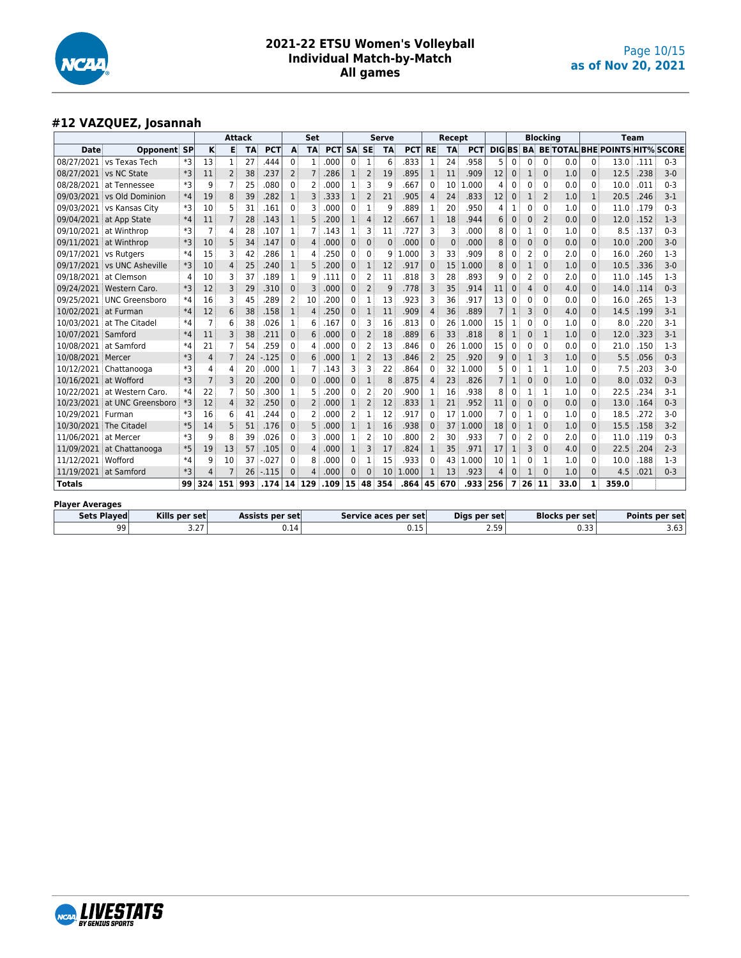

## **#12 VAZQUEZ, Josannah**

|                        |                                     |      |                |                | <b>Attack</b> |                 |                | Set            |            |              |                | <b>Serve</b> |                      |                | Recept    |              |                |              |          | <b>Blocking</b> |                       |              |                                          | <b>Team</b> |                       |
|------------------------|-------------------------------------|------|----------------|----------------|---------------|-----------------|----------------|----------------|------------|--------------|----------------|--------------|----------------------|----------------|-----------|--------------|----------------|--------------|----------|-----------------|-----------------------|--------------|------------------------------------------|-------------|-----------------------|
| Date                   | <b>Opponent SP</b>                  |      | к              | Е              | <b>TA</b>     | <b>PCT</b>      | A              | <b>TA</b>      | <b>PCT</b> | <b>SA</b>    | <b>SE</b>      | <b>TA</b>    | <b>PCT</b>           | <b>RE</b>      | <b>TA</b> | <b>PCT</b>   | <b>DIGBS</b>   |              |          |                 |                       |              | <b>BA BE TOTAL BHE POINTS HIT% SCORE</b> |             |                       |
|                        | 08/27/2021 vs Texas Tech            | *3   | 13             | 1              | 27            | 444             | $\mathbf{0}$   | $\mathbf{1}$   | .000       | $\Omega$     | $\mathbf{1}$   | 6            | 833                  |                | 24        | .958         | 5              | 0            | ŋ        | $\Omega$        | 0.0                   | $\Omega$     | 13.0                                     | .111        | $0 - 3$               |
|                        | 08/27/2021 vs NC State              | *3   | 11             | $\overline{2}$ | 38            | .237            | $\overline{2}$ | $\overline{7}$ | .286       | $\mathbf{1}$ | $\overline{2}$ | 19           | .895                 | 1              | 11        | .909         | 12             | $\mathbf{0}$ | 1        | $\Omega$        | 1.0                   | $\Omega$     | 12.5                                     | .238        | $3-0$                 |
|                        | 08/28/2021 at Tennessee             | $*3$ | 9              |                | 25            | .080            | $\mathbf{0}$   | 2              | .000       | 1            | 3              | 9            | .667                 | $\Omega$       | 10        | 1.000        | 4              | 0            | 0        | $\mathbf{0}$    | 0.0                   | $\Omega$     | 10.0                                     | .011        | $0 - 3$               |
|                        | 09/03/2021 vs Old Dominion          | $*4$ | 19             | 8              | 39            | .282            | $\mathbf{1}$   | 3              | .333       | $\mathbf{1}$ | 2              | 21           | 905                  | 4              | 24        | .833         | 12             | $\mathbf{0}$ |          | $\overline{2}$  | 1.0                   | 1            | 20.5                                     | .246        | $3-1$                 |
|                        | 09/03/2021 vs Kansas City           | *3   | 10             | 5              | 31            | .161            | $\mathbf{0}$   | ٦              | .000       | 0            | $\mathbf{1}$   | 9            | 889                  | 1              | 20        | .950         | Δ              |              | 0        | $\Omega$        | 1.0                   | 0            | 11.0                                     | .179        | $0 - 3$               |
|                        | 09/04/2021 at App State             | $*4$ | 11             | 7              | 28            | .143            | $\mathbf{1}$   | 5              | .200       | $\mathbf{1}$ | 4              | 12           | .667                 | 1              | 18        | .944         | 6              | $\mathbf{0}$ | 0        | $\overline{2}$  | 0.0                   | $\Omega$     | 12.0                                     | .152        | $1 - 3$               |
|                        | 09/10/2021 at Winthrop              | $*3$ | 7              | 4              | 28            | .107            | 1              |                | .143       | 1            | 3              | 11           | .727                 | 3              | 3         | .000         | 8              | 0            |          | $\Omega$        | 1.0                   | 0            | 8.5                                      | .137        | $0 - 3$               |
|                        | 09/11/2021 at Winthrop              | $*3$ | 10             | 5              | 34            | .147            | $\Omega$       | $\Delta$       | .000       | $\Omega$     | $\Omega$       | $\Omega$     | .000                 | $\Omega$       | $\Omega$  | .000         | 8              | $\mathbf{0}$ | 0        | $\Omega$        | 0.0                   | $\Omega$     | 10.0                                     | .200        | $3 - 0$               |
| 09/17/2021 vs Rutgers  |                                     | $*4$ | 15             | 3              | 42            | 286             | 1              | Δ              | .250       | 0            | 0              | q            | .000                 | 3              | 33        | .909         | 8              | 0            | 2        | $\Omega$        | 2.0                   | $\Omega$     | 16.0                                     | .260        | $1-3$                 |
|                        | 09/17/2021 vs UNC Asheville         | *3   | 10             | 4              | 25            | .240            | $\mathbf{1}$   | 5              | .200       | $\mathbf{0}$ | $\mathbf{1}$   | 12           | .917                 | $\Omega$       | 15        | .000         | 8              | $\mathbf{0}$ |          | $\mathbf{0}$    | 1.0                   | $\Omega$     | 10.5                                     | .336        | $3 - 0$               |
| 09/18/2021 at Clemson  |                                     | 4    | 10             | 3              | 37            | .189            | 1              | q              | .111       | $\mathbf{0}$ | 2              | 11           | .818                 | 3              | 28        | .893         | q              | 0            | 2        | $\mathbf{0}$    | 2.0                   | $\Omega$     | 11.0                                     | .145        | $1-3$                 |
|                        | 09/24/2021 Western Caro             | $*3$ | 12             | 3              | 29            | .310            | $\Omega$       | 3              | .000       | $\Omega$     | $\overline{2}$ | 9            | .778                 | 3              | 35        | .914         | 11             | 0            |          | $\Omega$        | 4.0                   | $\Omega$     | 14.0                                     | .114        | $0 - 3$               |
|                        | 09/25/2021 UNC Greensboro           | *4   | 16             | 3              | 45            | 289             | 2              | 10             | .200       | $\mathbf{0}$ | 1              | 13           | 923                  | 3              | 36        | .917         | 13             | $\mathbf{0}$ | 0        | $\mathbf{0}$    | 0.0                   | $\Omega$     | 16.0                                     | .265        | $1 - 3$               |
| 10/02/2021 at Furman   |                                     | $*4$ | 12             | 6              | 38            | .158            | $\mathbf{1}$   | $\overline{4}$ | .250       | $\mathbf{0}$ | $\mathbf{1}$   | 11           | .909                 | Δ              | 36        | .889         |                | $\mathbf{1}$ | 3        | $\mathbf{0}$    | 4.0                   | $\Omega$     | 14.5                                     | .199        | $3 - 1$               |
|                        | 10/03/2021 at The Citadel           | $*4$ | $\overline{7}$ | 6              | 38            | 026             | $\mathbf{1}$   | 6              | .167       | 0            | 3              | 16           | .813                 | 0              | 26        | .000         | 15             |              | 0        | $\Omega$        | 1.0                   | 0            | 8.0                                      | .220        | $3-1$                 |
| 10/07/2021 Samford     |                                     | $*4$ | 11             | 3              | 38            | .211            | $\mathbf{0}$   | 6              | .000       | $\mathbf{0}$ | $\overline{2}$ | 18           | .889                 | 6              | 33        | .818         | 8              | $\mathbf{1}$ | 0        | $\mathbf{1}$    | 1.0                   | $\Omega$     | 12.0                                     | .323        | $3 - 1$               |
| 10/08/2021 at Samford  |                                     | $*4$ | 21             |                | 54            | .259            | $\Omega$       | 4              | .000       | $\mathbf{0}$ | $\overline{a}$ | 13           | .846                 | $\Omega$       | 26        | 1.000        | 15             | 0            | 0        | $\Omega$        | 0.0                   | $\mathbf{0}$ | 21.0                                     | .150        | $1-3$                 |
| 10/08/2021 Mercer      |                                     | $*3$ | $\overline{4}$ | $\overline{7}$ | 24            | $-125$          | $\Omega$       | 6              | .000       | $\mathbf{1}$ | $\overline{2}$ | 13           | .846                 | $\overline{2}$ | 25        | .920         | q              | $\mathbf{0}$ | 1        | $\overline{3}$  | 1.0                   | $\Omega$     | 5.5                                      | .056        | $0 - 3$               |
|                        | 10/12/2021 Chattanooga              | $*3$ | 4              | 4              | 20            | .000            | 1              |                | .143       | 3            | 3              | 22           | 864                  | 0              | 32        | 1.000        |                | 0            |          | $\mathbf{1}$    | 1.0                   | 0            | 7.5                                      | .203        | 3-0                   |
| 10/16/2021 at Wofford  |                                     | $*3$ | $\overline{7}$ | 3              | 20            | .200            | $\mathbf{0}$   | $\Omega$       | .000       | $\mathbf{0}$ | $\mathbf{1}$   | 8            | .875                 | 4              | 23        | .826         | $\overline{7}$ | $\mathbf{1}$ | 0        | $\mathbf{0}$    | 1.0                   | $\Omega$     | 8.0                                      | .032        | $0 - 3$               |
|                        | 10/22/2021 at Western Caro.         | $*4$ | 22             |                | 50            | 300             | 1              | 5              | .200       | $\mathbf{0}$ | $\overline{2}$ | 20           | .900                 | ำ              | 16        | .938         | 8              | 0            |          | $\mathbf{1}$    | 1.0                   | 0            | 22.5                                     | .234        | $3 - 1$               |
|                        | 10/23/2021 at UNC Greensboro        | *3   | 12             | 4              | 32            | .250            | $\Omega$       | 2              | .000       | 1            | $\overline{2}$ | 12           | .833                 | -1             | 21        | .952         | 11             | $\mathbf{0}$ | $\Omega$ | $\Omega$        | 0.0                   | $\Omega$     | 13.0                                     | .164        | $0 - 3$               |
| 10/29/2021 Furman      |                                     | *3   | 16             | 6              | 41            | 244             | $\Omega$       | 2              | .000       | 2            | $\mathbf{1}$   | 12           | 917                  | 0              | 17        | 1.000        |                | $\mathbf{0}$ |          | $\mathbf{0}$    | 1.0                   | 0            | 18.5                                     | .272        | $3-0$                 |
| 10/30/2021 The Citadel |                                     | $*5$ | 14             | 5              | 51            | .176            | $\mathbf{0}$   | 5              | .000       | $\mathbf{1}$ | $\mathbf{1}$   | 16           | .938                 | $\Omega$       | 37        | 1.000        | 18             | 0            |          | $\mathbf{0}$    | 1.0                   | $\Omega$     | 15.5                                     | .158        | $3-2$                 |
| 11/06/2021 at Mercer   |                                     | $*3$ | 9              | 8              | 39            | .026            | $\mathbf{0}$   | З              | .000       | 1            | 2              | 10           | .800                 | 2              | 30        | .933         | 7              | $\mathbf{0}$ | 2        | $\Omega$        | 2.0                   | $\Omega$     | 11.0                                     | .119        | $0 - 3$               |
|                        | 11/09/2021 at Chattanooga           | $*5$ | 19             | 13             | 57            | .105            | $\Omega$       | 4              | .000       | 1            | 3              | 17           | .824                 | 1              | 35        | .971         | 17             | 1            | 3        | $\Omega$        | 4.0                   | $\Omega$     | 22.5                                     | .204        | $2 - 3$               |
| 11/12/2021 Wofford     |                                     | $*4$ | 9              | 10             | 37            | $-027$          | $\Omega$       | 8              | .000       | 0            | 1              | 15           | .933                 |                | 43        | 1.000        | 10             | 1            | ŋ        | $\mathbf{1}$    | 1.0                   | 0            | 10.0                                     | .188        | $1-3$                 |
| 11/19/2021 at Samford  |                                     | *3   | 4              |                | 26            | $-115$          | $\Omega$       | Δ              | .000       | $\Omega$     | $\Omega$       | 10           | 1.000                |                | 13        | .923         | $\Delta$       | $\mathbf{0}$ |          | $\Omega$        | 1.0                   | $\Omega$     | 4.5                                      | .021        | $0 - 3$               |
| <b>Totals</b>          |                                     | 99   | 324            | 151            | 993           | .174            | 14             | 129            | .109       | 15           | 48             | 354          | .864                 | 45             | 670       | .933         | 256            | 7            | 26       | - 11            | 33.0                  |              | 359.0                                    |             |                       |
| <b>Player Averages</b> |                                     |      |                |                |               |                 |                |                |            |              |                |              |                      |                |           |              |                |              |          |                 |                       |              |                                          |             |                       |
|                        | <b>Sets Played</b><br>Kills per set |      |                |                |               | Assists per set |                |                |            |              |                |              | Service aces per set |                |           | Digs per set |                |              |          |                 | <b>Blocks per set</b> |              |                                          |             | <b>Points per set</b> |

99 3.27 0.14 0.15 2.59 0.33 3.63

| VLƏ IAI Ə<br><b>Martin</b><br><b>BY GENIUS SPORTS</b> |  |
|-------------------------------------------------------|--|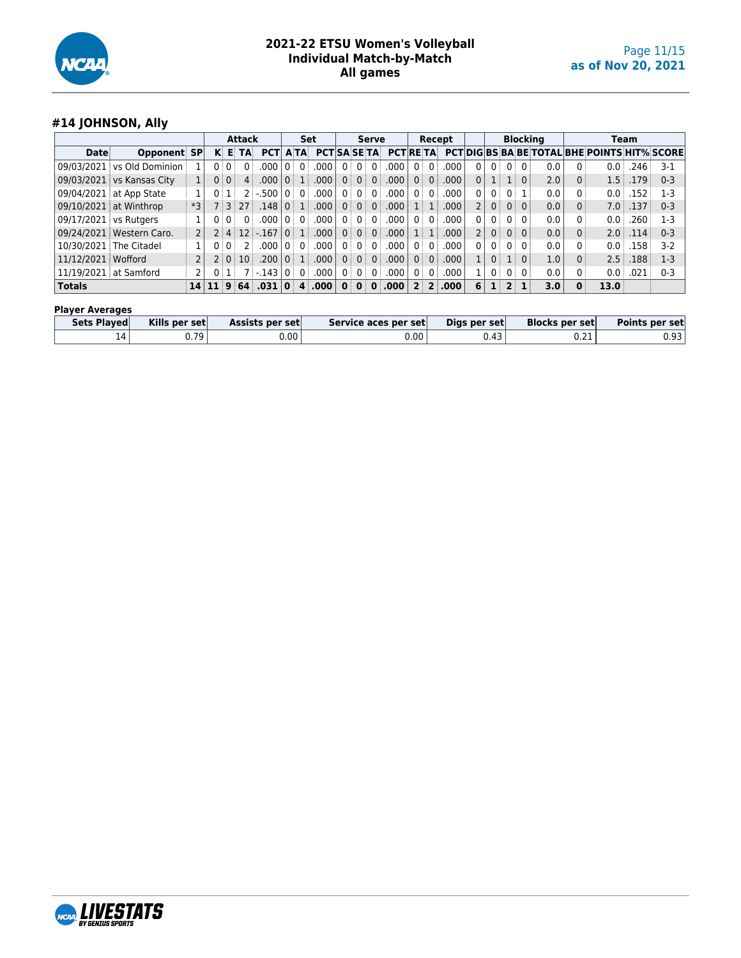

## **#14 JOHNSON, Ally**

|                          |                                |      |                             |      | <b>Attack</b> |                              |                |                | Set                 |                |              | <b>Serve</b>    |                      |                |                 | Recept           |                |                |                 | <b>Blocking</b> |   | <b>Team</b>                                         |       |         |
|--------------------------|--------------------------------|------|-----------------------------|------|---------------|------------------------------|----------------|----------------|---------------------|----------------|--------------|-----------------|----------------------|----------------|-----------------|------------------|----------------|----------------|-----------------|-----------------|---|-----------------------------------------------------|-------|---------|
| Date                     | <b>Opponent SP</b>             |      |                             |      | <b>KETA</b>   | <b>PCT</b>                   |                | <b>ATA</b>     | <b>PCTISA SE TA</b> |                |              |                 | <b>PCTRETA</b>       |                |                 |                  |                |                |                 |                 |   | <b>PCTIDIGIBS BA BE TOTAL BHE POINTS HIT% SCORE</b> |       |         |
|                          | 09/03/2021 vs Old Dominion     |      |                             | 0:0: |               | 000                          |                | $\Omega$       | .000                |                | $0^+$        | 0 <sup>1</sup>  | .000                 | 0 <sup>1</sup> |                 | .000.            | 0 <sup>1</sup> | $0^{\circ}$    | $0 \mid 0 \mid$ | 0.0             |   | 0.0                                                 | .246  | $3-1$   |
|                          | 09/03/2021 vs Kansas City      |      |                             | 0:0: |               | .000                         |                | $\overline{1}$ | .000.               | 0 <sup>1</sup> |              | $0 \mid 0 \mid$ | .000                 | 0 <sup>1</sup> | $\overline{0}$  | .000             | 0              | $1 \pm$        | 1:0:            | 2.0             |   | 1.5                                                 | L79 i | $0 - 3$ |
|                          | 09/04/2021 at App State        |      | 0 :                         |      |               | $2: -500$                    | 0 i            | $\Omega$ :     | .000                |                | 0:0:0        |                 | .000                 | 0 <sup>1</sup> |                 | .000             | 0 <sup>1</sup> | 0              | 0 i 1 i         | 0.0             |   | 0.0                                                 | .152  | 1-3     |
|                          | $\vert$ 09/10/2021 at Winthrop | $*3$ |                             |      | 7:3:27        | .148                         | $\overline{0}$ | 1 <sup>1</sup> | .000                | 0 <sup>1</sup> |              | $0 \mid 0 \mid$ | .000.                |                | 1:1             | .000             | 2 <sup>1</sup> | 0 <sup>1</sup> | $0 \mid 0 \mid$ | 0.0             |   | 7.0                                                 | .137  | $0 - 3$ |
| 09/17/2021 vs Rutgers    |                                |      |                             | 0:0: |               | 000                          |                |                | .000                |                | 0:0:0:       |                 | .000                 | 0 <sup>1</sup> |                 | .000             | 0 <sup>1</sup> | 0              | $0 \pm 0 \pm$   | 0.0             |   | 0.0                                                 | 260   | $1-3$   |
|                          | 09/24/2021   Western Caro.     |      |                             |      |               | $2 \mid 4 \mid 12 \mid -167$ | 0:             | 1 <sup>1</sup> | .000.               | 0 <sup>1</sup> |              | $0 \mid 0 \mid$ | .000.                |                | $1 \mid 1 \mid$ | .000             | 2 <sup>1</sup> | $0$ :          | 0:0:            | 0.0             |   | 2.0                                                 | .114  | $0 - 3$ |
| 10/30/2021   The Citadel |                                |      |                             | 0:0: |               | 000                          |                | l ດ ⊟ ດ ⊟      | .000                | 0 <sup>1</sup> |              | $0 \mid 0 \mid$ | .000.                | n :            |                 | .000             | 0 <sup>1</sup> | 0 <sup>1</sup> | $0 \pm 0$       | 0.0             |   | 0.0                                                 | L58   | $3-2$   |
| 11/12/2021   Wofford     |                                |      |                             |      | 2   0   10    | .200                         | $\Omega$ :     | $-1$           | .000                | 0 <sup>1</sup> |              | $0 \mid 0 \mid$ | .000.                | 0 <sup>1</sup> | $\overline{0}$  | .000             |                | 0              | 1:0:            | 1.0             |   | 2.5                                                 | .188  | $1-3$   |
| 11/19/2021 at Samford    |                                |      |                             | 0:1  |               | $7 - 143$                    | $\Omega$       | 0 <sup>1</sup> | .000                | 0 <sup>1</sup> | $0^+$        | 0 <sup>1</sup>  | .000                 | 0 <sup>1</sup> | $\overline{0}$  | .000.            |                | 0 <sup>1</sup> | 0:0:            | 0.0             |   | $0.0\,$                                             | .021  | $0 - 3$ |
| <b>Totals</b>            |                                |      | $14 \mid 11 \mid 9 \mid 64$ |      |               | .031                         | $\mathbf{0}$   | 4              | .000                | $\mathbf{0}$   | $\mathbf{0}$ |                 | $\vert 0 \vert$ .000 |                |                 | $2 \, 2 \, .000$ | 6              | $\mathbf{1}$   | $2 \mid 1$      | 3.0             | 0 | 13.0                                                |       |         |

#### **Player Averages**

| <b>Sets Plaved</b> | Kills per set | Assists per set | Service aces per set | Digs per set | <b>Blocks per set</b> | Points per set |
|--------------------|---------------|-----------------|----------------------|--------------|-----------------------|----------------|
| $\mathbf{\Lambda}$ | 0.79          | ງ.00'           | $0.00\,$             | 0.43         | U.ZI                  | 0.93           |

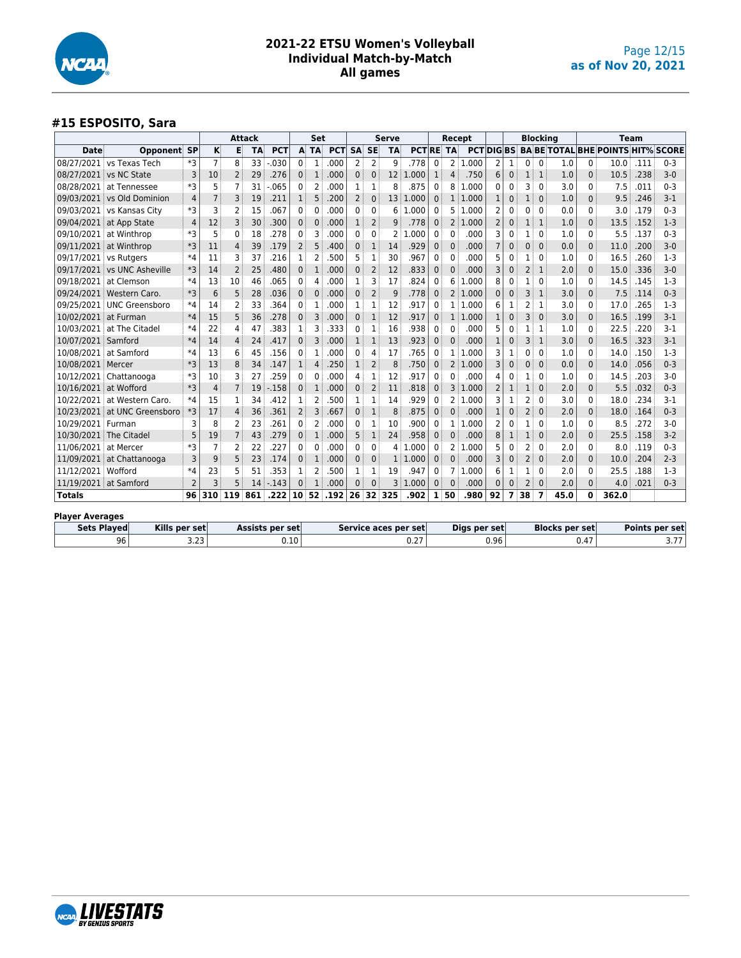

#### **#15 ESPOSITO, Sara**

|                        |                              |                |                |                | <b>Attack</b> |                        |                 | Set            |            |              |                | <b>Serve</b>    |                      |              |                   | Recept       |                |                |                | <b>Blocking</b> |                       |              | Team                                                |      |                       |
|------------------------|------------------------------|----------------|----------------|----------------|---------------|------------------------|-----------------|----------------|------------|--------------|----------------|-----------------|----------------------|--------------|-------------------|--------------|----------------|----------------|----------------|-----------------|-----------------------|--------------|-----------------------------------------------------|------|-----------------------|
| Date                   | Opponent                     | <b>SP</b>      | к              | Е              | <b>TA</b>     | <b>PCT</b>             |                 | A TA           | <b>PCT</b> | <b>SA</b>    | <b>SE</b>      | <b>TA</b>       | <b>PCT RE</b>        |              | ់ TA              |              |                |                |                |                 |                       |              | <b>PCT DIG BS BA BE TOTAL BHE POINTS HIT% SCORE</b> |      |                       |
|                        | 08/27/2021 vs Texas Tech     | *3             | $\overline{7}$ | 8              | 33            | .030                   | 0 <sup>3</sup>  | $\mathbf{1}$   | .000       | 2            | 2              | 9               | .778                 | 0            | 2                 | 1.000        | 2              | 1              | $\Omega$       | $\mathbf 0$     | 1.0                   | 0            | 10.0                                                | .111 | $0 - 3$               |
|                        | 08/27/2021 vs NC State       | 3              | 10             | $\overline{2}$ | 29            | .276                   | 0               | $\mathbf{1}$   | .000       | $\Omega$     | 0              | 12 <sup>2</sup> | .000                 | $\mathbf{1}$ | 4                 | .750         | 6              | 0              | $\mathbf{1}$   | $\mathbf{1}$    | 1.0                   | 0            | 10.5                                                | .238 | $3 - 0$               |
|                        | 08/28/2021 at Tennessee      | *3             | 5              | $\overline{7}$ | 31            | .065                   | 0               | 2              | .000       |              | 1              | 8               | .875                 | 0            | 8                 | 1.000        | 0              | 0              | 3              | 0               | 3.0                   | 0            | 7.5                                                 | .011 | $0 - 3$               |
|                        | 09/03/2021 vs Old Dominion   | 4              | $\overline{7}$ | 3              | 19            | .211                   | $\mathbf{1}$    | 5              | .200       | 2            | $\mathbf{0}$   | 13 <sup>3</sup> | 1.000                | $\Omega$     |                   | 1:1.000      | $\mathbf{1}$   | 0              | $\mathbf{1}$   | $\mathbf{0}$    | 1.0                   | $\mathbf{0}$ | 9.5                                                 | .246 | $3-1$                 |
|                        | 09/03/2021 vs Kansas City    | *3             | 3              | $\overline{2}$ | 15            | 067                    | 0               | 0              | .000       | 0            | 0              | 6               | .000<br>1.           | 0            | 5                 | 1.000        | 2              | 0              | 0              | $\Omega$        | 0.0                   | $\Omega$     | 3.0                                                 | .179 | $0 - 3$               |
|                        | 09/04/2021 at App State      | $\overline{4}$ | 12             | 3              | 30            | .300                   | $\mathbf{0}$    | $\mathbf 0$    | .000       |              | $\overline{2}$ | 9               | .778                 | $\mathbf{0}$ | 2                 | 1.000        | $\overline{2}$ | 0              | $\mathbf{1}$   | $\mathbf{1}$    | 1.0                   | $\mathbf{0}$ | 13.5                                                | .152 | $1-3$                 |
|                        | 09/10/2021 at Winthrop       | *3             | 5              | $\mathbf 0$    | 18            | .278                   | 0               | 3              | .000       | $\Omega$     | 0              | 2               | .000                 | 0            | 0                 | .000         | 3              | 0              |                | $\mathbf 0$     | 1.0                   | 0            | 5.5                                                 | .137 | $0 - 3$               |
|                        | 09/11/2021 at Winthrop       | *3             | 11             | $\overline{4}$ | 39            | .179                   | $\overline{2}$  | 5              | 400        | 0            | 1              | 14              | .929                 | 0            | $\mathbf 0$       | .000         | $\overline{7}$ | $\overline{0}$ | $\mathbf{0}$   | $\mathbf{0}$    | 0.0                   | $\mathbf{0}$ | 11.0                                                | .200 | $3 - 0$               |
| 09/17/2021 vs Rutgers  |                              | $*4$           | 11             | 3              | 37            | 216                    | 1               | $\overline{2}$ | 500        |              | 1              | 30              | .967                 | 0            | $\Omega$          | .000         | 5              | 0              | 1              | $\Omega$        | 1.0                   | 0            | 16.5                                                | .260 | $1-3$                 |
|                        | 09/17/2021 vs UNC Asheville  | *3             | 14             | $\overline{2}$ | 25            | .480                   | $\mathbf{0}$    | 1              | .000       | $\Omega$     | $\overline{2}$ | 12              | .833                 | $\mathbf{0}$ | 0                 | .000         | 3              | 0              | $\overline{2}$ | $\mathbf{1}$    | 2.0                   | $\mathbf 0$  | 15.0                                                | .336 | $3 - 0$               |
|                        | 09/18/2021 at Clemson        | $*4$           | 13             | 10             | 46            | 065                    | 0               | 4              | .000       |              | 3              | 17              | .824                 | 0            | 6                 | .000<br>1    | 8              | 0              | 1              | $\mathbf 0$     | 1.0                   | 0            | 14.5                                                | .145 | $1-3$                 |
|                        | 09/24/2021 Western Caro.     | *3             | 6              | 5              | 28            | .036                   | $\Omega$        | $\mathbf{0}$   | .000       | 0            | $\overline{2}$ | 9               | .778                 | $\Omega$     | $2^{\frac{1}{2}}$ | 1.000        | $\mathbf{0}$   | $\mathbf{0}$   | 3              | $\mathbf{1}$    | 3.0                   | 0            | 7.5                                                 | .114 | $0 - 3$               |
|                        | 09/25/2021 UNC Greensboro    | $*4$           | 14             | $\overline{2}$ | 33            | 364                    | 0               | 1              | .000       |              | 1              | 12              | .917                 | 0            | $\mathbf{1}$      | 1.000        | 6              | 1              | 2              | 1               | 3.0                   | 0            | 17.0                                                | .265 | $1-3$                 |
| 10/02/2021 at Furman   |                              | $*4$           | 15             | 5              | 36            | .278                   | $\Omega$        | 3              | .000       | $\mathbf{0}$ | $\mathbf{1}$   | 12              | .917                 | $\Omega$     | $\mathbf{1}$      | 1.000        | $\mathbf{1}$   | 0              | 3              | $\mathbf{0}$    | 3.0                   | $\Omega$     | 16.5                                                | .199 | $3 - 1$               |
|                        | 10/03/2021 at The Citadel    | $*4$           | 22             | 4              | 47            | 383                    | 1               | З              | 333        | 0            | 1              | 16              | .938                 | 0            | $\Omega$          | .000         | 5              | 0              | 1              | 1               | 1.0                   | 0            | 22.5                                                | .220 | $3-1$                 |
| 10/07/2021 Samford     |                              | $*4$           | 14             | $\overline{4}$ | 24            | 417                    | $\Omega$        | 3              | .000       |              | $\mathbf{1}$   | 13              | .923                 | $\mathbf{0}$ | $\overline{0}$    | .000         | $\mathbf{1}$   | 0              | 3              | $\mathbf{1}$    | 3.0                   | $\Omega$     | 16.5                                                | .323 | $3-1$                 |
|                        | 10/08/2021 at Samford        | $*4$           | 13             | 6              | 45            | .156                   | 0               | $\mathbf{1}$   | .000       | 0            | Δ              | 17              | .765                 | 0            | 1                 | .000<br>-1   | 3              | 1              | U              | $\mathbf 0$     | 1.0                   | 0            | 14.0                                                | .150 | $1-3$                 |
| 10/08/2021 Mercer      |                              | *3             | 13             | 8              | 34            | .147                   | $\mathbf{1}$    | 4              | .250       |              | 2              | 8               | .750                 | $\mathbf{0}$ |                   | 2 1.000      | 3              | 0              | $\Omega$       | $\mathbf{0}$    | 0.0                   | $\mathbf 0$  | 14.0                                                | .056 | $0 - 3$               |
|                        | 10/12/2021 Chattanooga       | *3             | 10             | 3              | 27            | 259                    | 0               | 0              | .000       | 4            | 1              | 12              | .917                 | 0            | 0                 | .000         | 4              | 0              | 1              | $\Omega$        | 1.0                   | 0            | 14.5                                                | .203 | $3-0$                 |
| 10/16/2021 at Wofford  |                              | *3             | 4              | $\overline{7}$ | 19            | .158                   | $\mathbf{0}$    | $\mathbf{1}$   | .000       | $\Omega$     | $\overline{2}$ | 11              | .818                 | 0            | 3                 | 1.000        | 2              | $1\,$          |                | $\mathbf{0}$    | 2.0                   | $\Omega$     | 5.5                                                 | .032 | $0 - 3$               |
| 10/22/2021             | at Western Caro.             | $*4$           | 15             | 1              | 34            | .412                   | 1               | 2              | 500        |              | 1              | 14              | .929                 | 0            | 2                 | 1.000        | 3              | 1              | 2              | 0               | 3.0                   | 0            | 18.0                                                | .234 | $3-1$                 |
|                        | 10/23/2021 at UNC Greensboro | *3             | 17             | $\overline{4}$ | 36            | .361                   | $\overline{2}$  | 3              | .667       | 0            | $\mathbf{1}$   | 8               | .875                 | 0            | 0                 | .000         | $\mathbf{1}$   | $\mathbf 0$    | $\overline{2}$ | $\mathbf{0}$    | 2.0                   | $\mathbf{0}$ | 18.0                                                | .164 | $0 - 3$               |
| 10/29/2021 Furman      |                              | 3              | 8              | 2              | 23            | 261                    | 0               | 2              | .000       | 0            | 1              | 10              | .900                 | 0            | 1                 | .000<br>ำ    | 2              | 0              | 1              | $\Omega$        | 1.0                   | 0            | 8.5                                                 | .272 | $3-0$                 |
|                        | 10/30/2021 The Citadel       | 5              | 19             | $\overline{7}$ | 43            | .279                   | $\mathbf{0}$    | 1              | .000       | 5            | 1              | 24              | .958                 | $\mathbf{0}$ | $\Omega$          | .000         | 8              | $\mathbf 1$    | $\mathbf{1}$   | $\mathbf{0}$    | 2.0                   | $\Omega$     | 25.5                                                | .158 | $3 - 2$               |
| 11/06/2021 at Mercer   |                              | *3             | $\overline{7}$ | $\overline{2}$ | 22            | .227                   | 0               | $\mathbf{0}$   | .000       | 0            | 0              | 4               | .000                 | 0            | 2                 | .000<br>٦    | 5              | 0              | 2              | $\mathbf 0$     | 2.0                   | 0            | 8.0                                                 | .119 | $0 - 3$               |
|                        | 11/09/2021 at Chattanooga    | 3              | 9              | 5              | 23            | .174                   | $\Omega$        | $\mathbf{1}$   | .000       | $\mathbf{0}$ | 0              | 1:              | 1.000                | $\Omega$     | $\mathbf{0}$      | .000         | 3              | 0              | $\overline{2}$ | $\mathbf{0}$    | 2.0                   | $\mathbf{0}$ | 10.0                                                | .204 | $2 - 3$               |
| 11/12/2021 Wofford     |                              | $*4$           | 23             | 5              | 51            | .353                   | 1               | 2              | .500       |              | 1              | 19              | .947                 | 0            | 7                 | .000<br>-1   | 6              | 1              | 1              | $\mathbf 0$     | 2.0                   | 0            | 25.5                                                | .188 | $1-3$                 |
| 11/19/2021 at Samford  |                              | $\overline{2}$ | 3              | 5              | 14            | $-143$                 | $\Omega$        | $\mathbf{1}$   | .000       | $\Omega$     | $\Omega$       | 3               | .000<br>1            | $\Omega$     | $\mathbf{0}$      | .000         | $\Omega$       | 0              | 2              | $\Omega$        | 2.0                   | $\Omega$     | 4.0                                                 | .021 | $0 - 3$               |
| <b>Totals</b>          |                              | 96             | 310            | 119            | 861           | .222                   | 10 <sup>1</sup> | 52             | .192       |              |                | 26 32 325       | .902                 | $\mathbf{1}$ | 50                | .980         | 92             | 7              | 38             | 7               | 45.0                  | 0            | 362.0                                               |      |                       |
|                        |                              |                |                |                |               |                        |                 |                |            |              |                |                 |                      |              |                   |              |                |                |                |                 |                       |              |                                                     |      |                       |
| <b>Player Averages</b> |                              |                |                |                |               |                        |                 |                |            |              |                |                 |                      |              |                   |              |                |                |                |                 |                       |              |                                                     |      |                       |
| <b>Sets Played</b>     | Kills per set                |                |                |                |               | <b>Assists per set</b> |                 |                |            |              |                |                 | Service aces per set |              |                   | Digs per set |                |                |                |                 | <b>Blocks per set</b> |              |                                                     |      | <b>Points per set</b> |
|                        | 96                           | 3.23           |                |                |               |                        | 0.10            |                |            |              |                |                 | 0.27                 |              |                   |              | 0.96           |                |                |                 |                       | 0.47         |                                                     |      | 3.77                  |

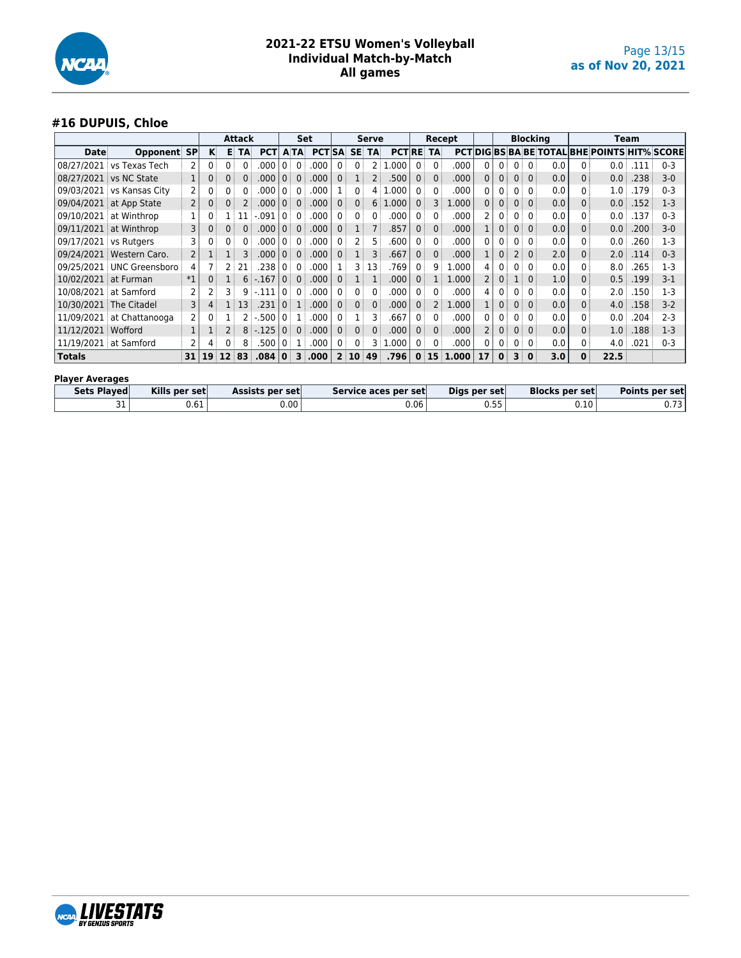

## **#16 DUPUIS, Chloe**

|                        | <b>Attack</b>             |                |          |                 |      |            |                |                         | Set           |                   |                | <b>Serve</b>   |                  |                | Recept       |       |                |                |                         |                | <b>Blocking</b> |              |                                                     | Team |         |
|------------------------|---------------------------|----------------|----------|-----------------|------|------------|----------------|-------------------------|---------------|-------------------|----------------|----------------|------------------|----------------|--------------|-------|----------------|----------------|-------------------------|----------------|-----------------|--------------|-----------------------------------------------------|------|---------|
| Date                   | Opponent                  | <b>SP</b>      | K.       |                 | E TA | <b>PCT</b> |                | <b>ATA</b>              | <b>PCT SA</b> |                   | <b>SE</b>      | TA             | <b>PCTIRE TA</b> |                |              |       |                |                |                         |                |                 |              | <b>PCT DIG BS BA BE TOTAL BHE POINTS HIT% SCORE</b> |      |         |
| 08/27/2021             | vs Texas Tech             | 2              | $\Omega$ | 0               | 0    | .000       | 0              | $\Omega$                | .000          | 0                 | 0              | 2:             | 1.000            | $\mathbf{0}$   | $\mathbf{0}$ | .000  | 0              | 0 <sup>1</sup> | 0:                      | $\mathbf{0}$   | 0.0             | 0            | 0.0                                                 | .111 | $0 - 3$ |
| 08/27/2021             | vs NC State               | 1              |          |                 |      | .000       | $\Omega$       | $\mathbf{0}$            | .000          | 0 <sup>1</sup>    |                | 2:             | .500             | $\mathbf{0}$   | $\Omega$     | .000  | 0              | 0              | 0:                      | $\mathbf{0}$   | 0.0             | 0            | 0.0                                                 | .238 | $3-0$   |
| 09/03/2021             | vs Kansas City            | 2              |          |                 |      | .000       | 0              | 0                       | .000          |                   | 0              | 4              | 1.000            | 0              | $\mathbf{0}$ | .000  | 0              | 0              | 0:                      | $\Omega$       | 0.0             | 0            | 1.0                                                 | .179 | $0 - 3$ |
| 09/04/2021             | at App State              | 2              |          |                 |      | .000       | $\mathbf{0}$   | $\mathbf{0}$            | .000          | 0:                | 0              | 6:             | 1.000            | 0 <sup>1</sup> | 3            | 1.000 | 0              | 0              | 0:                      | $\mathbf{0}$   | 0.0             | $\Omega$     | 0.0                                                 | .152 | $1-3$   |
| 09/10/2021             | at Winthrop               |                |          |                 | 11   | : 091      | $\Omega$       | 0                       | .000          | 0:                | 0              | 0              | .000             | 0:             | $\mathbf{0}$ | .000  |                | 0              | 0 <sup>1</sup>          | $\mathbf{0}$   | 0.0             |              | 0.0                                                 | .137 | $0 - 3$ |
| 09/11/2021             | at Winthrop               | 3              |          |                 |      | .000       | $\mathbf{0}$   | $\mathbf{0}$            | .000          | 0:                |                |                | .857             | 0              | $\mathbf{0}$ | .000  |                | 0              | 0:                      | $\mathbf{0}$   | 0.0             | 0            | 0.0                                                 | .200 | $3-0$   |
| 09/17/2021 vs Rutgers  |                           | 3              |          | 0               |      | .000       | $\mathbf{0}$   | 0                       | .000          | 0 <sup>1</sup>    |                | 5.             | .600             | 0              | 0            | .000  | 0              | 0              | $0^{\circ}$             | 0 <sup>1</sup> | 0.0             | 0            | 0.0                                                 | .260 | $1-3$   |
| 09/24/2021             | Western Caro.             | $\overline{2}$ |          |                 |      | .000       | 0 <sup>1</sup> | $\mathbf{0}$            | .000          | $0^{\pm}$         |                | 3              | .667             | 0:             | $\mathbf{0}$ | .000  |                | 0 <sup>1</sup> | 2 <sup>1</sup>          | 0 <sup>1</sup> | 2.0             | $\Omega$     | 2.0                                                 | .114 | $0 - 3$ |
| 09/25/2021             | UNC Greensboro            | 4              |          |                 | 21   | .238       | $\overline{0}$ | $\overline{0}$          | .000          |                   |                | 3 13           | .769             | 0 <sup>1</sup> | 9            | .000  | 4              | 0 <sup>1</sup> | $0^{\frac{1}{2}}$       | 0 <sup>1</sup> | 0.0             | 0            | 8.0                                                 | .265 | $1-3$   |
| 10/02/2021 at Furman   |                           | $*1$           |          |                 |      | $6: -167$  | $\overline{0}$ | $\overline{0}$          | .000          | 0 <sup>1</sup>    | 1 <sup>1</sup> |                | .000             | 0 <sup>1</sup> | 1            | 1.000 | $\overline{2}$ | 0:             | $1^{\circ}$             | 0 <sup>1</sup> | 1.0             | 0            | 0.5                                                 | .199 | $3-1$   |
|                        | 10/08/2021 at Samford     | 2              |          |                 |      | $9 - 111$  | $\overline{0}$ | 0 <sup>1</sup>          | .000          | 0                 | 0              | 0 <sup>1</sup> | .000             | 0 <sup>1</sup> | 0            | .000  | 4              | 0 <sup>1</sup> | 0 <sup>1</sup>          | $\overline{0}$ | 0.0             | 0            | 2.0 <sup>1</sup>                                    | .150 | $1-3$   |
|                        | 10/30/2021 The Citadel    | 3              | 4        |                 | 1 13 | .231       | $0^{\circ}$    | 1                       | .000          | 0 <sup>1</sup>    | 0              | 0              | .000             | 0 <sup>1</sup> | 2            | 1.000 |                | 0              | 0 <sup>1</sup>          | 0 <sup>1</sup> | 0.0             | $\Omega$     | 4.0 <sup>1</sup>                                    | .158 | $3-2$   |
|                        | 11/09/2021 at Chattanooga | 2              |          |                 |      | $2 - 500$  | $\overline{0}$ | 1 <sup>1</sup>          | .000          | $0^{\frac{1}{2}}$ |                | 3              | .667             | 0 <sup>1</sup> | $\Omega$     | .000  | 0              | 0              | $0^{\frac{1}{2}}$       | $\overline{0}$ | 0.0             |              | 0.0                                                 | .204 | $2 - 3$ |
| 11/12/2021             | <b>Wofford</b>            | $\mathbf{1}$   |          |                 |      | $8: -125$  | $\Omega$       | $\Omega$                | .000          | 0 <sup>1</sup>    | 0              | 0 :            | .000             | $\mathbf{0}$   | $\mathbf{0}$ | .000  | $\overline{2}$ | 0              | 0:                      | $\overline{0}$ | 0.0             | $\Omega$     | 1.0 <sup>3</sup>                                    | .188 | $1-3$   |
|                        | 11/19/2021 at Samford     | 2              |          | 0:              | 8    | .500       | l 0 i          | $\mathbf{1}$            | .000          | 0                 | 0              | 3 :            | 1.000            | 0:             | $\mathbf{0}$ | .000  | 0              | 0 <sup>1</sup> | 0:                      | $\mathbf 0$    | 0.0             | 0            | 4.0 <sup>1</sup>                                    | .021 | $0 - 3$ |
| <b>Totals</b>          |                           | 31             | 19       | 12 <sup>1</sup> | 83   | .084       | 0 I            | $\overline{\mathbf{3}}$ | .000          |                   | 2 10           | 49             | .796             |                | 0:15         | 1.000 | 17             | $\mathbf{0}$   | $\overline{\mathbf{3}}$ | $\mathbf{0}$   | 3.0             | $\mathbf{0}$ | 22.5                                                |      |         |
| <b>Player Averages</b> |                           |                |          |                 |      |            |                |                         |               |                   |                |                |                  |                |              |       |                |                |                         |                |                 |              |                                                     |      |         |

| Sets Played | Kills per set | Assists per set | Service aces per set | Digs per set         | <b>Blocks per set</b> | Points per set                     |
|-------------|---------------|-----------------|----------------------|----------------------|-----------------------|------------------------------------|
| ັ           | 0.61          | 0.00            | $0.06^+$             | . <i>.</i> .<br>ככ.ט | 0.10                  | $\overline{\phantom{a}}$<br>U. I J |

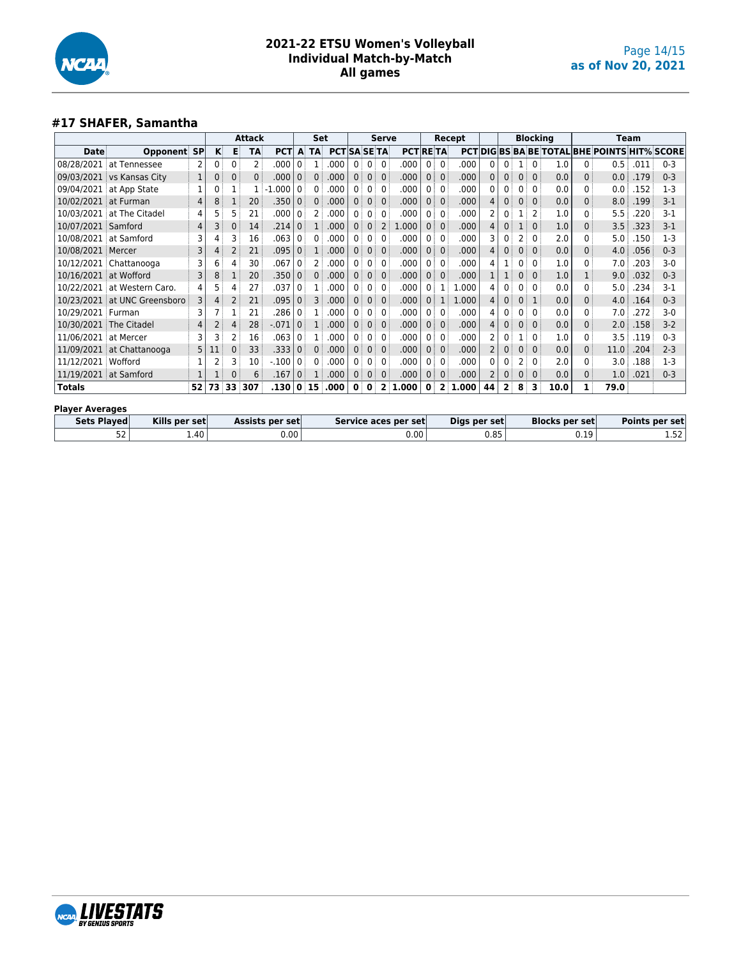

## **#17 SHAFER, Samantha**

|                       |                              |    |     |          | <b>Attack</b>   |            |                | <b>Set</b>        |                     |                |                | <b>Serve</b>   |                 |                |              | Recept  |    |              |                   | <b>Blocking</b> |      |              | <b>Team</b>                                         |      |         |
|-----------------------|------------------------------|----|-----|----------|-----------------|------------|----------------|-------------------|---------------------|----------------|----------------|----------------|-----------------|----------------|--------------|---------|----|--------------|-------------------|-----------------|------|--------------|-----------------------------------------------------|------|---------|
| Date                  | Opponent SP                  |    | κ   | Е        | TA              | <b>PCT</b> | $\mathbf{A}$   | <b>TA</b>         | <b>PCTISA SE TA</b> |                |                |                | <b>PCT RETA</b> |                |              |         |    |              |                   |                 |      |              | <b>PCTIDIGIBS BA BE TOTAL BHE POINTS HIT% SCORE</b> |      |         |
| 08/28/2021            | at Tennessee                 | 2  | 0   | 0        | $\overline{2}$  | .000       | 0              | 1                 | .000                | 0              | $\mathbf{0}$   | $\mathbf{0}$   | .000            |                | 0            | .000    | 0  | 0            | 1                 | 0               | 1.0  | 0            | 0.5                                                 | .011 | $0 - 3$ |
| 09/03/2021            | vs Kansas City               |    | 0   | $\Omega$ | 0               | .000       | 0:             | 0                 | .000                | $\mathbf{0}$   | $\mathbf{0}$   | $\mathbf{0}$   | .000            | $\mathbf{0}$   | $\Omega$     | .000    | 0  | $\Omega$     | 0:                | $\mathbf{0}$    | 0.0  | 0            | 0.0                                                 | .179 | $0 - 3$ |
|                       | 09/04/2021 at App State      |    | 0   |          |                 | $-1.000$   | $\overline{0}$ | 0:                | .000                | 0              | $\overline{0}$ | $\mathbf{0}$   | .000            | $\overline{0}$ | $\mathbf{0}$ | .000    | 0  |              | 0:                | $\Omega$        | 0.0  | 0            | 0.0                                                 | .152 | $1 - 3$ |
| 10/02/2021 at Furman  |                              | 4  | 8   |          | 20 <sup>3</sup> | .350       | 0 <sup>1</sup> | 0 <sup>1</sup>    | .000                | 0 <sup>1</sup> | 0 <sup>1</sup> | $\mathbf{0}$   | .000            |                | $\Omega$     | .000    | 4  | $\mathbf{0}$ | $0^{\circ}$       | $\Omega$        | 0.0  |              | 8.0                                                 | .199 | $3-1$   |
|                       | 10/03/2021 at The Citadel    | 4  | 5   | 5        | 21              | .000       | $\overline{0}$ | $2^{\frac{1}{2}}$ | .000                | 0              | 0 <sup>1</sup> | $\mathbf{0}$   | .000            | $\mathbf{0}$   | $\mathbf{0}$ | .000    | 2  | 0            |                   | 2               | 1.0  | 0            | 5.5                                                 | .220 | $3-1$   |
| 10/07/2021 Samford    |                              | 4  | 3   | 0        | 14              | .214       | 0              |                   | .000                | $\mathbf{0}$   | $\mathbf{0}$   | $\overline{2}$ | 1.000           | 0 <sup>1</sup> | $\Omega$     | .000    | 4  | 0            |                   | $\Omega$        | 1.0  | 0            | 3.5                                                 | .323 | $3 - 1$ |
|                       | 10/08/2021 at Samford        | 3  | 4   | 3        | 16              | .063       | 0 <sup>1</sup> | 0                 | .000                | 0              | $\mathbf{0}$   | 0              | .000            | 0:             | 0            | .000    | 3  | 0            | 2:                | $\Omega$        | 2.0  | 0            | 5.0                                                 | .150 | $1-3$   |
| 10/08/2021 Mercer     |                              | 3  | 4   | 2        | 21              | .095       | 0 <sup>1</sup> | 1:                | .000                | $\Omega$       | $\overline{0}$ | $\mathbf{0}$   | .000            | 0 <sup>1</sup> | $\Omega$     | .000    | 4  | $\Omega$     | 0 <sup>1</sup>    | $\Omega$        | 0.0  | 0            | 4.0                                                 | .056 | $0 - 3$ |
|                       | 10/12/2021 Chattanooga       | 3  | 6   | 4        | 30              | .067       | $\overline{0}$ | $2^+$             | .000                | 0              | 0:             | $\mathbf{0}$   | .000            | 0:             | $\Omega$     | .000    | 4  |              | $0^{\frac{1}{2}}$ | $\mathbf{0}$    | 1.0  | 0            | 7.0                                                 | .203 | $3-0$   |
| 10/16/2021 at Wofford |                              | 3  | 8   |          | 20              | .350       | 0 <sup>1</sup> | 0                 | .000                | 0 <sup>1</sup> | 0 <sup>1</sup> | $\mathbf{0}$   | .000            | 0 <sup>1</sup> | $\mathbf{0}$ | .000    |    |              | 0 <sup>1</sup>    | $\Omega$        | 1.0  |              | 9.0                                                 | .032 | $0 - 3$ |
|                       | 10/22/2021 at Western Caro.  | 4  | 5   | 4        | 27              | .037       | $\mathbf{0}$   | 1:                | .000                | 0              | 0 <sup>1</sup> | 0              | .000            |                |              | 1.000   | 4  | 0            | 0 <sup>1</sup>    | $\mathbf{0}$    | 0.0  |              | 5.0                                                 | .234 | $3-1$   |
|                       | 10/23/2021 at UNC Greensboro | 3  | 4   | 2        | 21              | .095       | 0 <sup>3</sup> | 3                 | .000                | $\Omega$       | $\Omega$       | $\Omega$       | .000            | $\Omega$       | 1            | 1.000   | 4  | $\Omega$     | 0 <sup>1</sup>    | 1               | 0.0  |              | 4.0                                                 | .164 | $0 - 3$ |
| 10/29/2021            | Furman                       | 3  |     |          | 21              | .286       | 0 <sup>1</sup> |                   | .000                | 0              | $\overline{0}$ | $\mathbf{0}$   | .000            |                | $\mathbf{0}$ | .000    | 4  | 0            | 0:                | $\Omega$        | 0.0  |              | 7.0                                                 | .272 | $3-0$   |
|                       | 10/30/2021 The Citadel       | 4  | 2   | 4        | 28              | $-.071$    | 0 <sup>1</sup> | 1:                | .000                | 0 <sup>1</sup> | $\overline{0}$ | $\mathbf{0}$   | .000            | 0 <sup>1</sup> | $\Omega$     | .000    | 4  | 0            | 0 <sup>1</sup>    | $\mathbf{0}$    | 0.0  |              | 2.0                                                 | .158 | $3-2$   |
| 11/06/2021 at Mercer  |                              | 3  | 3   | 2        | 16              | .063       | 0 <sup>1</sup> |                   | .000                | 0              | 0:             | $\mathbf{0}$   | .000            |                | $\Omega$     | .000    | 2  |              |                   | $\mathbf{0}$    | 1.0  |              | 3.5                                                 | .119 | $0 - 3$ |
|                       | 11/09/2021 at Chattanooga    | 5  | 11  | 0        | 33              | .333       | $\mathbf{0}$   | 0                 | .000                | $\mathbf{0}$   | $\mathbf{0}$   | $\mathbf{0}$   | .000            | 0 <sup>3</sup> | $\mathbf{0}$ | .000    |    | 0            | 0 <sup>1</sup>    | $\mathbf{0}$    | 0.0  | 0            | 11.0                                                | .204 | $2 - 3$ |
| 11/12/2021            | Wofford                      |    |     | 3        | 10              | $-100$     | 0              | 0                 | .000                | 0              | $\overline{0}$ | $\mathbf{0}$   | .000            |                | $\mathbf{0}$ | .000    | 0  | 0            | $2^{\frac{1}{2}}$ | $\mathbf{0}$    | 2.0  |              | 3.0 <sub>1</sub>                                    | .188 | $1-3$   |
| 11/19/2021 at Samford |                              |    |     |          | 6               | .167       | 0 <sup>1</sup> | 1:                | .000                | 0 <sup>1</sup> | $\mathbf{0}$   | $\mathbf{0}$   | .000            |                | $\mathbf{0}$ | .000    |    | 0            | 0:                | $\mathbf{0}$    | 0.0  | $\mathbf{0}$ | 1.0 <sup>1</sup>                                    | .021 | $0 - 3$ |
| <b>Totals</b>         |                              | 52 | 73. | 33       | 307             | .130       |                | 0 15              | .000                | $\mathbf{0}$   | $\mathbf{0}$   |                | 2 1.000         | $\mathbf{0}$   |              | 2 1,000 | 44 | $\mathbf{2}$ | -8                | 3               | 10.0 | 1            | 79.0                                                |      |         |

| <b>Plaver Averages</b> |                                  |                 |                      |              |                |                       |
|------------------------|----------------------------------|-----------------|----------------------|--------------|----------------|-----------------------|
| <b>Sets Plaved</b>     | Kills per set                    | Assists per set | Service aces per set | Digs per set | Blocks per set | <b>Points per set</b> |
| $F^{\prime}$<br>3Z.    | $4.40$ <sup><math>+</math></sup> | 0.00            | 0.00                 | 0.85         | ບ.⊥ສ           | 1.52                  |